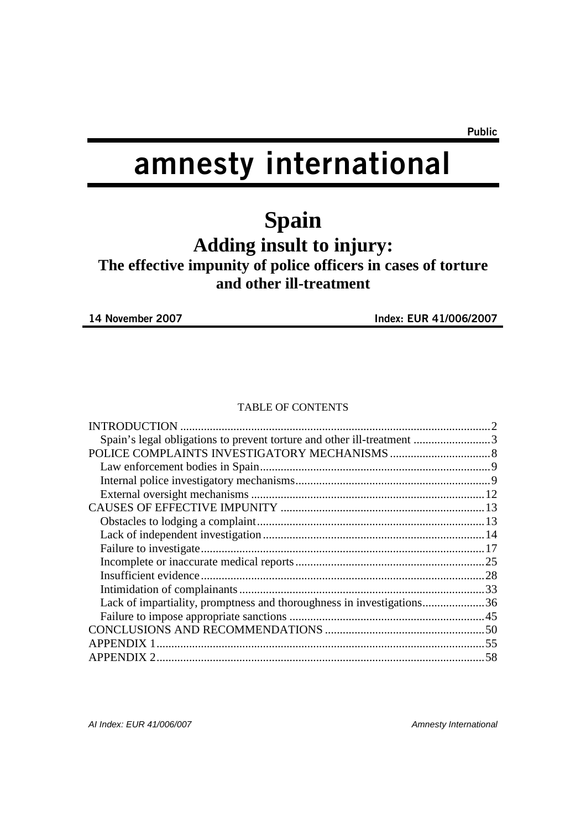Public

# amnesty international

# **Spain**

**Adding insult to injury:** 

**The effective impunity of police officers in cases of torture and other ill-treatment** 

14 November 2007 Index: EUR 41/006/2007

#### TABLE OF CONTENTS

| Lack of impartiality, promptness and thoroughness in investigations36 |  |
|-----------------------------------------------------------------------|--|
|                                                                       |  |
|                                                                       |  |
| <b>APPENDIX 1</b>                                                     |  |
|                                                                       |  |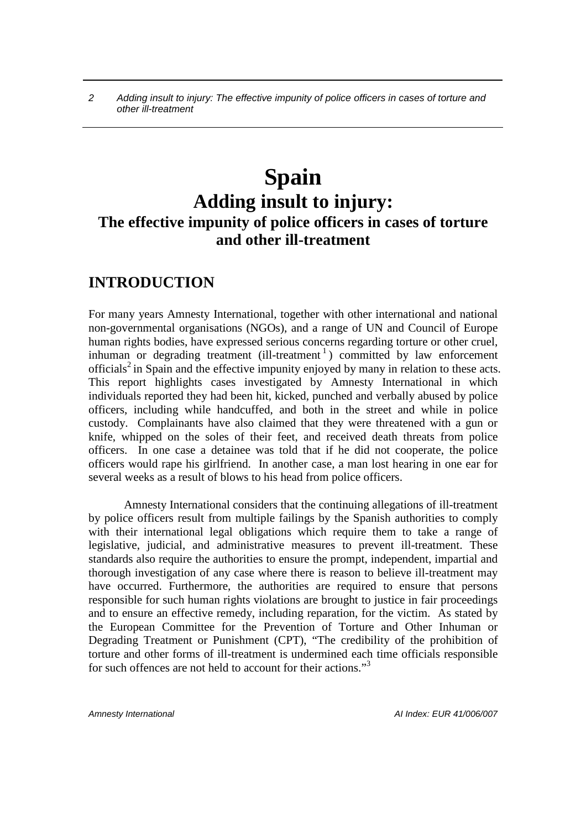# **Spain Adding insult to injury: The effective impunity of police officers in cases of torture and other ill-treatment**

# **INTRODUCTION**

For many years Amnesty International, together with other international and national non-governmental organisations (NGOs), and a range of UN and Council of Europe human rights bodies, have expressed serious concerns regarding torture or other cruel, inhuman or degrading treatment (ill-treatment<sup>1</sup>) committed by law enforcement officials<sup>2</sup> in Spain and the effective impunity enjoyed by many in relation to these acts. This report highlights cases investigated by Amnesty International in which individuals reported they had been hit, kicked, punched and verbally abused by police officers, including while handcuffed, and both in the street and while in police custody. Complainants have also claimed that they were threatened with a gun or knife, whipped on the soles of their feet, and received death threats from police officers. In one case a detainee was told that if he did not cooperate, the police officers would rape his girlfriend. In another case, a man lost hearing in one ear for several weeks as a result of blows to his head from police officers.

Amnesty International considers that the continuing allegations of ill-treatment by police officers result from multiple failings by the Spanish authorities to comply with their international legal obligations which require them to take a range of legislative, judicial, and administrative measures to prevent ill-treatment. These standards also require the authorities to ensure the prompt, independent, impartial and thorough investigation of any case where there is reason to believe ill-treatment may have occurred. Furthermore, the authorities are required to ensure that persons responsible for such human rights violations are brought to justice in fair proceedings and to ensure an effective remedy, including reparation, for the victim. As stated by the European Committee for the Prevention of Torture and Other Inhuman or Degrading Treatment or Punishment (CPT), "The credibility of the prohibition of torture and other forms of ill-treatment is undermined each time officials responsible for such offences are not held to account for their actions."<sup>3</sup>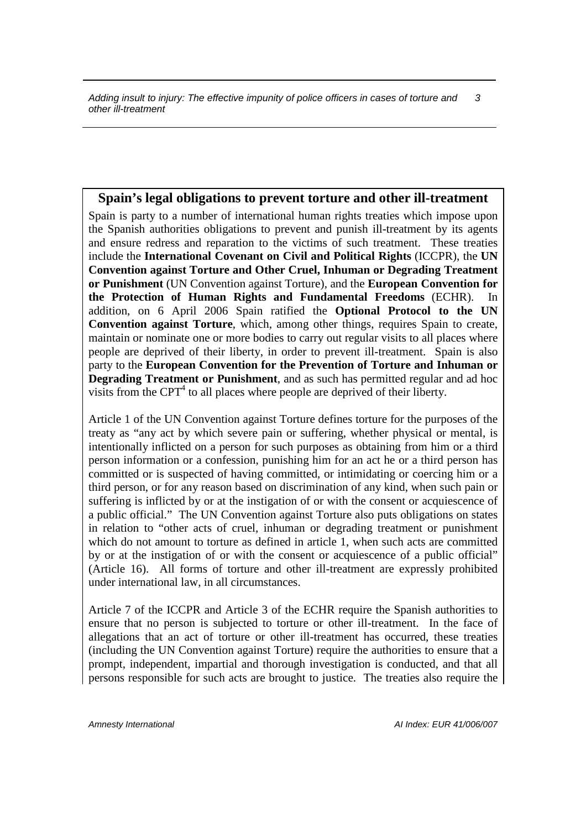#### **Spain's legal obligations to prevent torture and other ill-treatment**

Spain is party to a number of international human rights treaties which impose upon the Spanish authorities obligations to prevent and punish ill-treatment by its agents and ensure redress and reparation to the victims of such treatment. These treaties include the **International Covenant on Civil and Political Rights** (ICCPR), the **UN Convention against Torture and Other Cruel, Inhuman or Degrading Treatment or Punishment** (UN Convention against Torture), and the **European Convention for the Protection of Human Rights and Fundamental Freedoms** (ECHR). In addition, on 6 April 2006 Spain ratified the **Optional Protocol to the UN Convention against Torture**, which, among other things, requires Spain to create, maintain or nominate one or more bodies to carry out regular visits to all places where people are deprived of their liberty, in order to prevent ill-treatment. Spain is also party to the **European Convention for the Prevention of Torture and Inhuman or Degrading Treatment or Punishment**, and as such has permitted regular and ad hoc visits from the  $CPT<sup>4</sup>$  to all places where people are deprived of their liberty.

Article 1 of the UN Convention against Torture defines torture for the purposes of the treaty as "any act by which severe pain or suffering, whether physical or mental, is intentionally inflicted on a person for such purposes as obtaining from him or a third person information or a confession, punishing him for an act he or a third person has committed or is suspected of having committed, or intimidating or coercing him or a third person, or for any reason based on discrimination of any kind, when such pain or suffering is inflicted by or at the instigation of or with the consent or acquiescence of a public official." The UN Convention against Torture also puts obligations on states in relation to "other acts of cruel, inhuman or degrading treatment or punishment which do not amount to torture as defined in article 1, when such acts are committed by or at the instigation of or with the consent or acquiescence of a public official" (Article 16). All forms of torture and other ill-treatment are expressly prohibited under international law, in all circumstances.

Article 7 of the ICCPR and Article 3 of the ECHR require the Spanish authorities to ensure that no person is subjected to torture or other ill-treatment. In the face of allegations that an act of torture or other ill-treatment has occurred, these treaties (including the UN Convention against Torture) require the authorities to ensure that a prompt, independent, impartial and thorough investigation is conducted, and that all persons responsible for such acts are brought to justice. The treaties also require the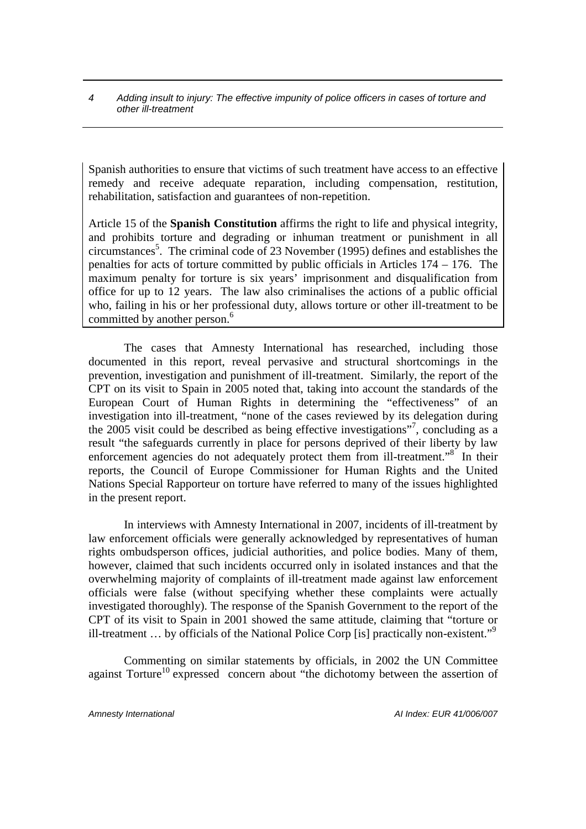Spanish authorities to ensure that victims of such treatment have access to an effective remedy and receive adequate reparation, including compensation, restitution, rehabilitation, satisfaction and guarantees of non-repetition.

Article 15 of the **Spanish Constitution** affirms the right to life and physical integrity, and prohibits torture and degrading or inhuman treatment or punishment in all circumstances<sup>5</sup>. The criminal code of 23 November (1995) defines and establishes the penalties for acts of torture committed by public officials in Articles 174 – 176. The maximum penalty for torture is six years' imprisonment and disqualification from office for up to 12 years. The law also criminalises the actions of a public official who, failing in his or her professional duty, allows torture or other ill-treatment to be committed by another person.<sup>6</sup>

The cases that Amnesty International has researched, including those documented in this report, reveal pervasive and structural shortcomings in the prevention, investigation and punishment of ill-treatment. Similarly, the report of the CPT on its visit to Spain in 2005 noted that, taking into account the standards of the European Court of Human Rights in determining the "effectiveness" of an investigation into ill-treatment, "none of the cases reviewed by its delegation during the 2005 visit could be described as being effective investigations"<sup>7</sup>, concluding as a result "the safeguards currently in place for persons deprived of their liberty by law enforcement agencies do not adequately protect them from ill-treatment."<sup>8</sup> In their reports, the Council of Europe Commissioner for Human Rights and the United Nations Special Rapporteur on torture have referred to many of the issues highlighted in the present report.

In interviews with Amnesty International in 2007, incidents of ill-treatment by law enforcement officials were generally acknowledged by representatives of human rights ombudsperson offices, judicial authorities, and police bodies. Many of them, however, claimed that such incidents occurred only in isolated instances and that the overwhelming majority of complaints of ill-treatment made against law enforcement officials were false (without specifying whether these complaints were actually investigated thoroughly). The response of the Spanish Government to the report of the CPT of its visit to Spain in 2001 showed the same attitude, claiming that "torture or ill-treatment  $\ldots$  by officials of the National Police Corp [is] practically non-existent."<sup>9</sup>

Commenting on similar statements by officials, in 2002 the UN Committee against Torture<sup>10</sup> expressed concern about "the dichotomy between the assertion of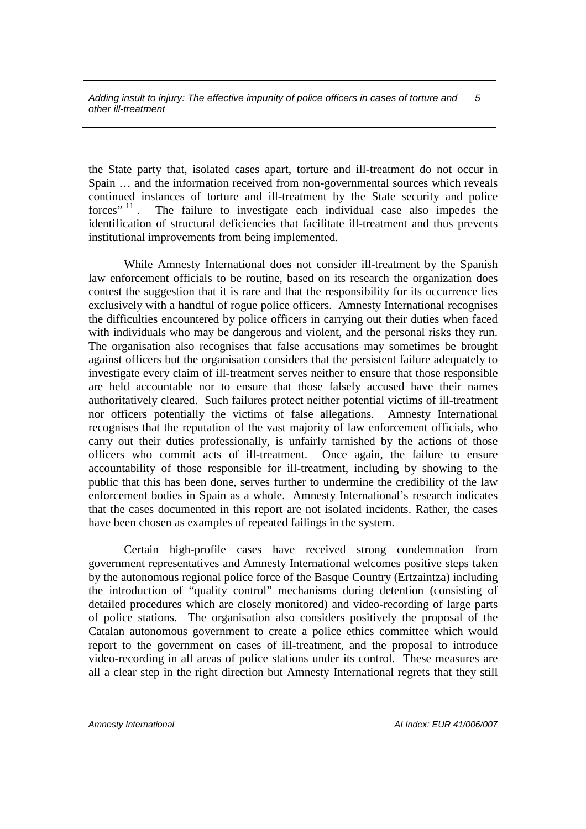the State party that, isolated cases apart, torture and ill-treatment do not occur in Spain … and the information received from non-governmental sources which reveals continued instances of torture and ill-treatment by the State security and police forces"  $11$ . The failure to investigate each individual case also impedes the identification of structural deficiencies that facilitate ill-treatment and thus prevents institutional improvements from being implemented.

While Amnesty International does not consider ill-treatment by the Spanish law enforcement officials to be routine, based on its research the organization does contest the suggestion that it is rare and that the responsibility for its occurrence lies exclusively with a handful of rogue police officers. Amnesty International recognises the difficulties encountered by police officers in carrying out their duties when faced with individuals who may be dangerous and violent, and the personal risks they run. The organisation also recognises that false accusations may sometimes be brought against officers but the organisation considers that the persistent failure adequately to investigate every claim of ill-treatment serves neither to ensure that those responsible are held accountable nor to ensure that those falsely accused have their names authoritatively cleared. Such failures protect neither potential victims of ill-treatment nor officers potentially the victims of false allegations. Amnesty International recognises that the reputation of the vast majority of law enforcement officials, who carry out their duties professionally, is unfairly tarnished by the actions of those officers who commit acts of ill-treatment. Once again, the failure to ensure accountability of those responsible for ill-treatment, including by showing to the public that this has been done, serves further to undermine the credibility of the law enforcement bodies in Spain as a whole. Amnesty International's research indicates that the cases documented in this report are not isolated incidents. Rather, the cases have been chosen as examples of repeated failings in the system.

Certain high-profile cases have received strong condemnation from government representatives and Amnesty International welcomes positive steps taken by the autonomous regional police force of the Basque Country (Ertzaintza) including the introduction of "quality control" mechanisms during detention (consisting of detailed procedures which are closely monitored) and video-recording of large parts of police stations. The organisation also considers positively the proposal of the Catalan autonomous government to create a police ethics committee which would report to the government on cases of ill-treatment, and the proposal to introduce video-recording in all areas of police stations under its control. These measures are all a clear step in the right direction but Amnesty International regrets that they still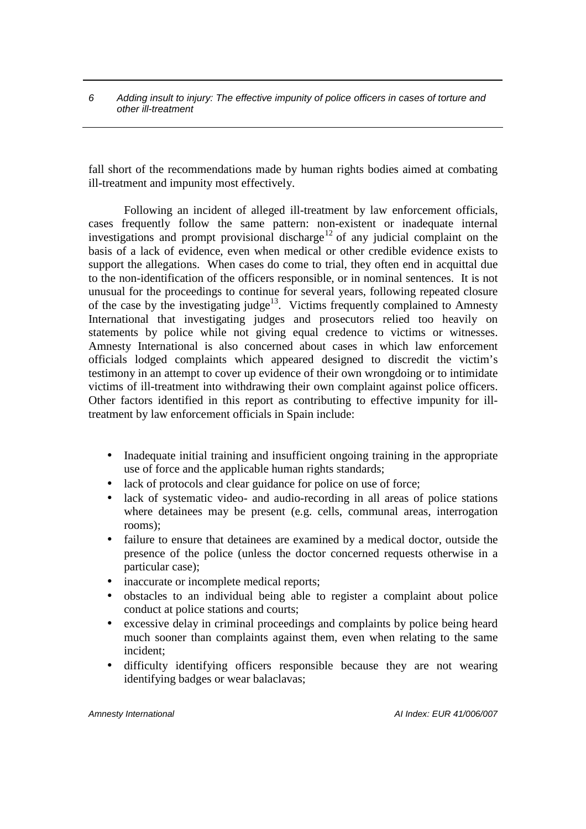fall short of the recommendations made by human rights bodies aimed at combating ill-treatment and impunity most effectively.

Following an incident of alleged ill-treatment by law enforcement officials, cases frequently follow the same pattern: non-existent or inadequate internal investigations and prompt provisional discharge<sup>12</sup> of any judicial complaint on the basis of a lack of evidence, even when medical or other credible evidence exists to support the allegations. When cases do come to trial, they often end in acquittal due to the non-identification of the officers responsible, or in nominal sentences. It is not unusual for the proceedings to continue for several years, following repeated closure of the case by the investigating judge<sup>13</sup>. Victims frequently complained to Amnesty International that investigating judges and prosecutors relied too heavily on statements by police while not giving equal credence to victims or witnesses. Amnesty International is also concerned about cases in which law enforcement officials lodged complaints which appeared designed to discredit the victim's testimony in an attempt to cover up evidence of their own wrongdoing or to intimidate victims of ill-treatment into withdrawing their own complaint against police officers. Other factors identified in this report as contributing to effective impunity for illtreatment by law enforcement officials in Spain include:

- Inadequate initial training and insufficient ongoing training in the appropriate use of force and the applicable human rights standards;
- lack of protocols and clear guidance for police on use of force;
- lack of systematic video- and audio-recording in all areas of police stations where detainees may be present (e.g. cells, communal areas, interrogation rooms);
- failure to ensure that detainees are examined by a medical doctor, outside the presence of the police (unless the doctor concerned requests otherwise in a particular case);
- inaccurate or incomplete medical reports;
- obstacles to an individual being able to register a complaint about police conduct at police stations and courts;
- excessive delay in criminal proceedings and complaints by police being heard much sooner than complaints against them, even when relating to the same incident;
- difficulty identifying officers responsible because they are not wearing identifying badges or wear balaclavas;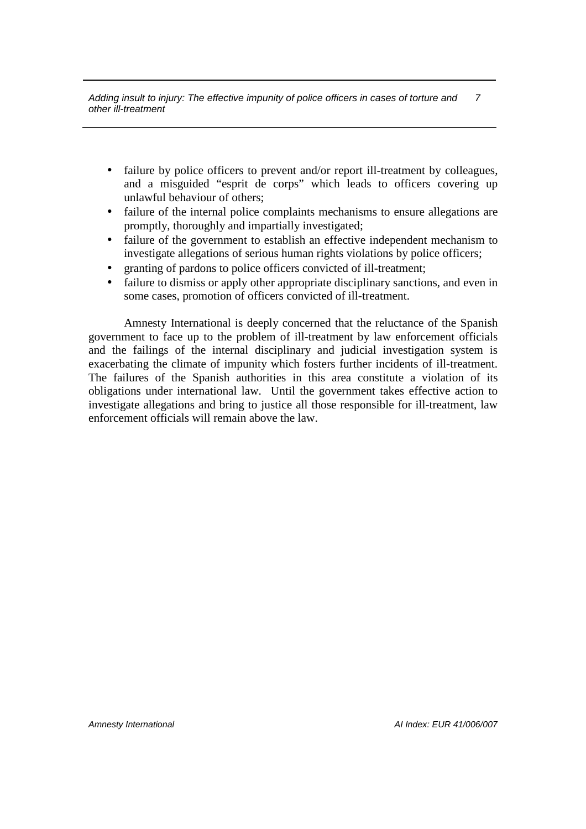- failure by police officers to prevent and/or report ill-treatment by colleagues, and a misguided "esprit de corps" which leads to officers covering up unlawful behaviour of others;
- failure of the internal police complaints mechanisms to ensure allegations are promptly, thoroughly and impartially investigated;
- failure of the government to establish an effective independent mechanism to investigate allegations of serious human rights violations by police officers;
- granting of pardons to police officers convicted of ill-treatment;
- failure to dismiss or apply other appropriate disciplinary sanctions, and even in some cases, promotion of officers convicted of ill-treatment.

Amnesty International is deeply concerned that the reluctance of the Spanish government to face up to the problem of ill-treatment by law enforcement officials and the failings of the internal disciplinary and judicial investigation system is exacerbating the climate of impunity which fosters further incidents of ill-treatment. The failures of the Spanish authorities in this area constitute a violation of its obligations under international law. Until the government takes effective action to investigate allegations and bring to justice all those responsible for ill-treatment, law enforcement officials will remain above the law.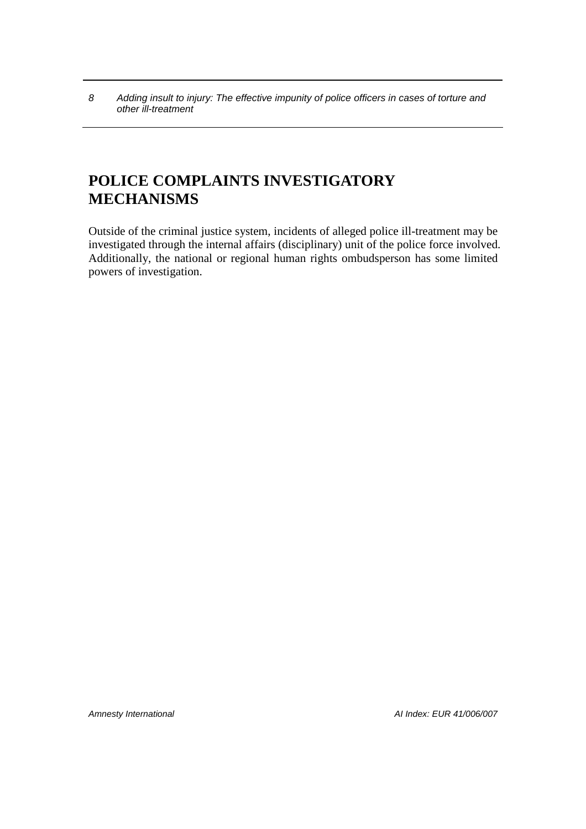# **POLICE COMPLAINTS INVESTIGATORY MECHANISMS**

Outside of the criminal justice system, incidents of alleged police ill-treatment may be investigated through the internal affairs (disciplinary) unit of the police force involved. Additionally, the national or regional human rights ombudsperson has some limited powers of investigation.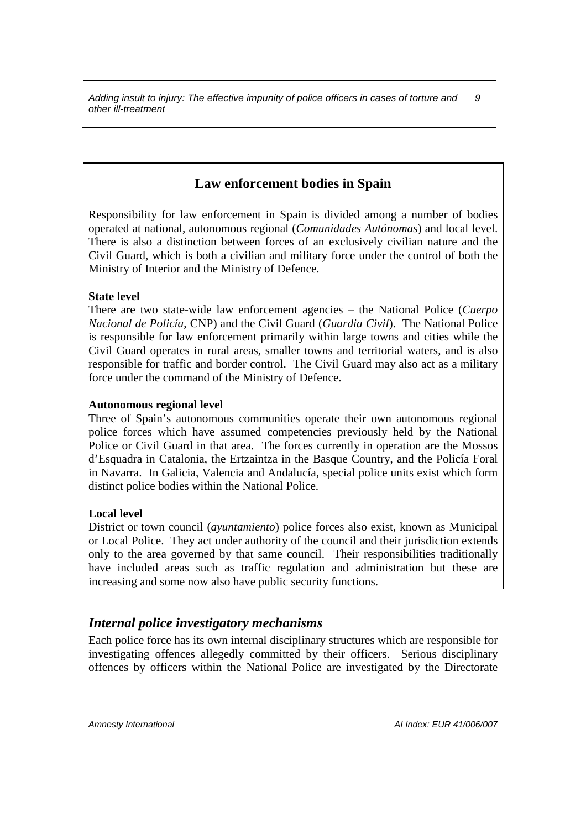# **Law enforcement bodies in Spain**

Responsibility for law enforcement in Spain is divided among a number of bodies operated at national, autonomous regional (*Comunidades Autónomas*) and local level. There is also a distinction between forces of an exclusively civilian nature and the Civil Guard, which is both a civilian and military force under the control of both the Ministry of Interior and the Ministry of Defence.

#### **State level**

There are two state-wide law enforcement agencies – the National Police (*Cuerpo Nacional de Policía*, CNP) and the Civil Guard (*Guardia Civil*). The National Police is responsible for law enforcement primarily within large towns and cities while the Civil Guard operates in rural areas, smaller towns and territorial waters, and is also responsible for traffic and border control. The Civil Guard may also act as a military force under the command of the Ministry of Defence.

#### **Autonomous regional level**

Three of Spain's autonomous communities operate their own autonomous regional police forces which have assumed competencies previously held by the National Police or Civil Guard in that area. The forces currently in operation are the Mossos d'Esquadra in Catalonia, the Ertzaintza in the Basque Country, and the Policía Foral in Navarra. In Galicia, Valencia and Andalucía, special police units exist which form distinct police bodies within the National Police.

#### **Local level**

District or town council (*ayuntamiento*) police forces also exist, known as Municipal or Local Police. They act under authority of the council and their jurisdiction extends only to the area governed by that same council. Their responsibilities traditionally have included areas such as traffic regulation and administration but these are increasing and some now also have public security functions.

#### *Internal police investigatory mechanisms*

Each police force has its own internal disciplinary structures which are responsible for investigating offences allegedly committed by their officers. Serious disciplinary offences by officers within the National Police are investigated by the Directorate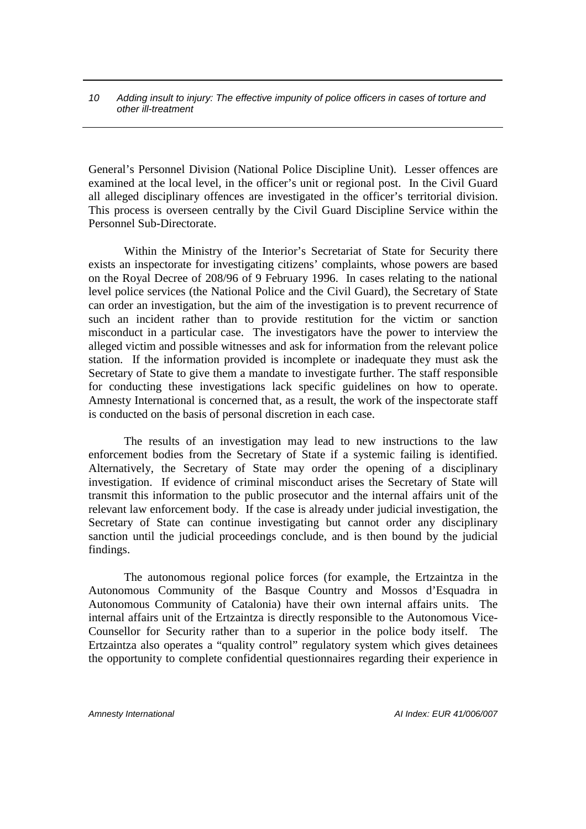General's Personnel Division (National Police Discipline Unit). Lesser offences are examined at the local level, in the officer's unit or regional post. In the Civil Guard all alleged disciplinary offences are investigated in the officer's territorial division. This process is overseen centrally by the Civil Guard Discipline Service within the Personnel Sub-Directorate.

Within the Ministry of the Interior's Secretariat of State for Security there exists an inspectorate for investigating citizens' complaints, whose powers are based on the Royal Decree of 208/96 of 9 February 1996. In cases relating to the national level police services (the National Police and the Civil Guard), the Secretary of State can order an investigation, but the aim of the investigation is to prevent recurrence of such an incident rather than to provide restitution for the victim or sanction misconduct in a particular case. The investigators have the power to interview the alleged victim and possible witnesses and ask for information from the relevant police station. If the information provided is incomplete or inadequate they must ask the Secretary of State to give them a mandate to investigate further. The staff responsible for conducting these investigations lack specific guidelines on how to operate. Amnesty International is concerned that, as a result, the work of the inspectorate staff is conducted on the basis of personal discretion in each case.

The results of an investigation may lead to new instructions to the law enforcement bodies from the Secretary of State if a systemic failing is identified. Alternatively, the Secretary of State may order the opening of a disciplinary investigation. If evidence of criminal misconduct arises the Secretary of State will transmit this information to the public prosecutor and the internal affairs unit of the relevant law enforcement body. If the case is already under judicial investigation, the Secretary of State can continue investigating but cannot order any disciplinary sanction until the judicial proceedings conclude, and is then bound by the judicial findings.

The autonomous regional police forces (for example, the Ertzaintza in the Autonomous Community of the Basque Country and Mossos d'Esquadra in Autonomous Community of Catalonia) have their own internal affairs units. The internal affairs unit of the Ertzaintza is directly responsible to the Autonomous Vice-Counsellor for Security rather than to a superior in the police body itself. The Ertzaintza also operates a "quality control" regulatory system which gives detainees the opportunity to complete confidential questionnaires regarding their experience in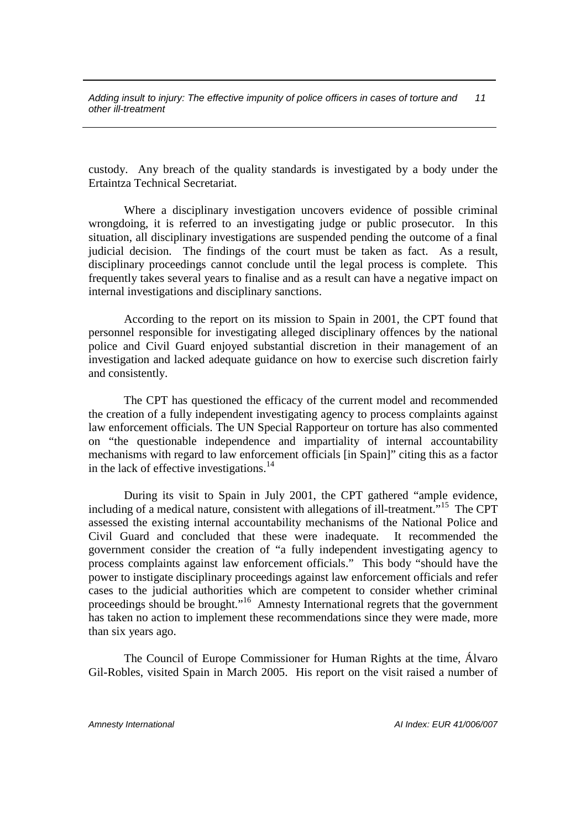custody. Any breach of the quality standards is investigated by a body under the Ertaintza Technical Secretariat.

Where a disciplinary investigation uncovers evidence of possible criminal wrongdoing, it is referred to an investigating judge or public prosecutor. In this situation, all disciplinary investigations are suspended pending the outcome of a final judicial decision. The findings of the court must be taken as fact. As a result, disciplinary proceedings cannot conclude until the legal process is complete. This frequently takes several years to finalise and as a result can have a negative impact on internal investigations and disciplinary sanctions.

According to the report on its mission to Spain in 2001, the CPT found that personnel responsible for investigating alleged disciplinary offences by the national police and Civil Guard enjoyed substantial discretion in their management of an investigation and lacked adequate guidance on how to exercise such discretion fairly and consistently.

The CPT has questioned the efficacy of the current model and recommended the creation of a fully independent investigating agency to process complaints against law enforcement officials. The UN Special Rapporteur on torture has also commented on "the questionable independence and impartiality of internal accountability mechanisms with regard to law enforcement officials [in Spain]" citing this as a factor in the lack of effective investigations. $14$ 

During its visit to Spain in July 2001, the CPT gathered "ample evidence, including of a medical nature, consistent with allegations of ill-treatment."<sup>15</sup> The CPT assessed the existing internal accountability mechanisms of the National Police and Civil Guard and concluded that these were inadequate. It recommended the government consider the creation of "a fully independent investigating agency to process complaints against law enforcement officials." This body "should have the power to instigate disciplinary proceedings against law enforcement officials and refer cases to the judicial authorities which are competent to consider whether criminal proceedings should be brought."<sup>16</sup> Amnesty International regrets that the government has taken no action to implement these recommendations since they were made, more than six years ago.

The Council of Europe Commissioner for Human Rights at the time, Álvaro Gil-Robles, visited Spain in March 2005. His report on the visit raised a number of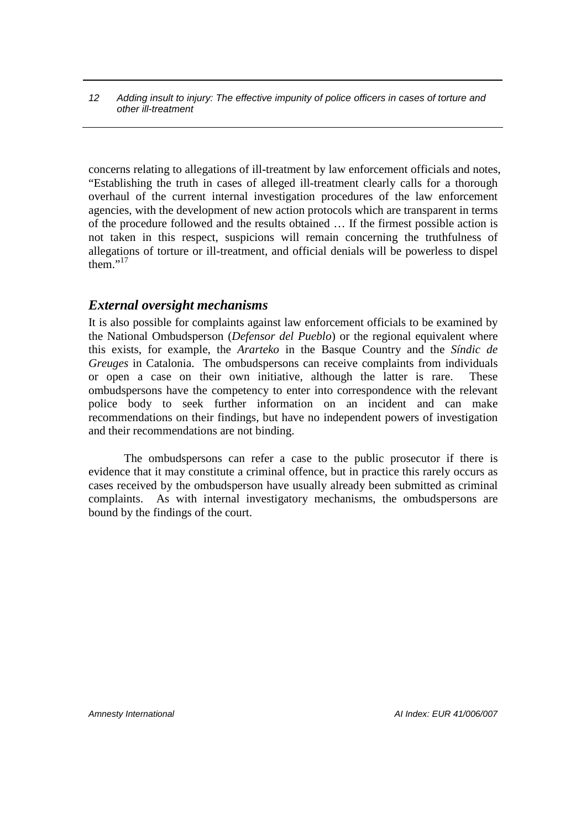concerns relating to allegations of ill-treatment by law enforcement officials and notes, "Establishing the truth in cases of alleged ill-treatment clearly calls for a thorough overhaul of the current internal investigation procedures of the law enforcement agencies, with the development of new action protocols which are transparent in terms of the procedure followed and the results obtained … If the firmest possible action is not taken in this respect, suspicions will remain concerning the truthfulness of allegations of torture or ill-treatment, and official denials will be powerless to dispel them. $\cdots$ <sup>17</sup>

#### *External oversight mechanisms*

It is also possible for complaints against law enforcement officials to be examined by the National Ombudsperson (*Defensor del Pueblo*) or the regional equivalent where this exists, for example, the *Ararteko* in the Basque Country and the *Síndic de Greuges* in Catalonia. The ombudspersons can receive complaints from individuals or open a case on their own initiative, although the latter is rare. These ombudspersons have the competency to enter into correspondence with the relevant police body to seek further information on an incident and can make recommendations on their findings, but have no independent powers of investigation and their recommendations are not binding.

The ombudspersons can refer a case to the public prosecutor if there is evidence that it may constitute a criminal offence, but in practice this rarely occurs as cases received by the ombudsperson have usually already been submitted as criminal complaints. As with internal investigatory mechanisms, the ombudspersons are bound by the findings of the court.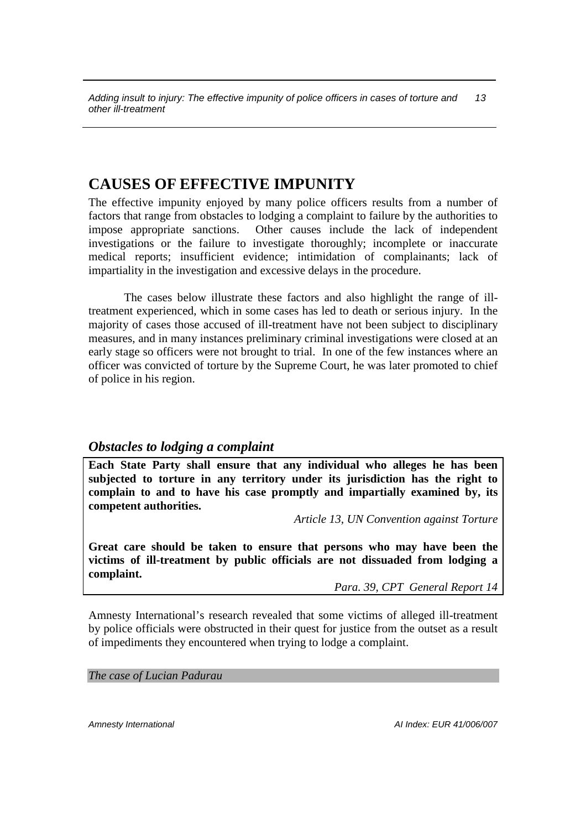# **CAUSES OF EFFECTIVE IMPUNITY**

The effective impunity enjoyed by many police officers results from a number of factors that range from obstacles to lodging a complaint to failure by the authorities to impose appropriate sanctions. Other causes include the lack of independent investigations or the failure to investigate thoroughly; incomplete or inaccurate medical reports; insufficient evidence; intimidation of complainants; lack of impartiality in the investigation and excessive delays in the procedure.

The cases below illustrate these factors and also highlight the range of illtreatment experienced, which in some cases has led to death or serious injury. In the majority of cases those accused of ill-treatment have not been subject to disciplinary measures, and in many instances preliminary criminal investigations were closed at an early stage so officers were not brought to trial. In one of the few instances where an officer was convicted of torture by the Supreme Court, he was later promoted to chief of police in his region.

#### *Obstacles to lodging a complaint*

**Each State Party shall ensure that any individual who alleges he has been subjected to torture in any territory under its jurisdiction has the right to complain to and to have his case promptly and impartially examined by, its competent authorities.** 

*Article 13, UN Convention against Torture*

**Great care should be taken to ensure that persons who may have been the victims of ill-treatment by public officials are not dissuaded from lodging a complaint.** 

*Para. 39, CPT General Report 14*

Amnesty International's research revealed that some victims of alleged ill-treatment by police officials were obstructed in their quest for justice from the outset as a result of impediments they encountered when trying to lodge a complaint.

*The case of Lucian Padurau*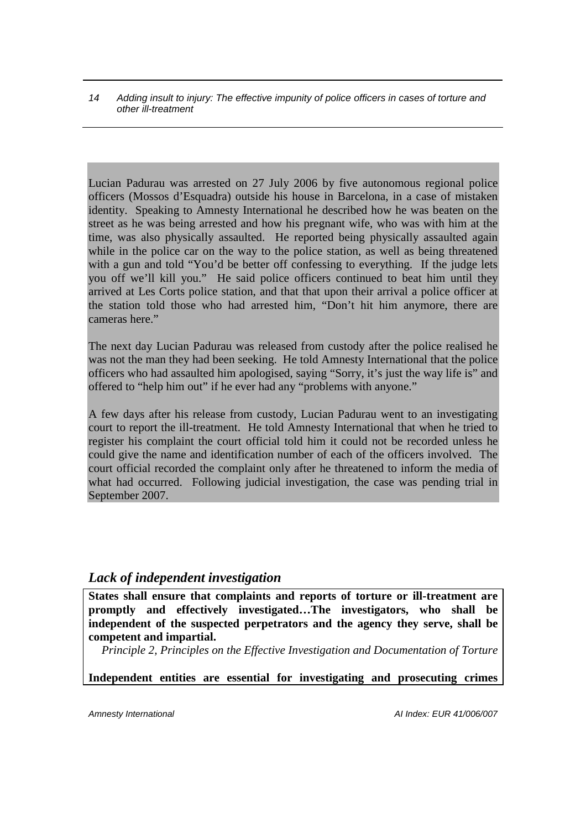Lucian Padurau was arrested on 27 July 2006 by five autonomous regional police officers (Mossos d'Esquadra) outside his house in Barcelona, in a case of mistaken identity. Speaking to Amnesty International he described how he was beaten on the street as he was being arrested and how his pregnant wife, who was with him at the time, was also physically assaulted. He reported being physically assaulted again while in the police car on the way to the police station, as well as being threatened with a gun and told "You'd be better off confessing to everything. If the judge lets you off we'll kill you." He said police officers continued to beat him until they arrived at Les Corts police station, and that that upon their arrival a police officer at the station told those who had arrested him, "Don't hit him anymore, there are cameras here."

The next day Lucian Padurau was released from custody after the police realised he was not the man they had been seeking. He told Amnesty International that the police officers who had assaulted him apologised, saying "Sorry, it's just the way life is" and offered to "help him out" if he ever had any "problems with anyone."

A few days after his release from custody, Lucian Padurau went to an investigating court to report the ill-treatment. He told Amnesty International that when he tried to register his complaint the court official told him it could not be recorded unless he could give the name and identification number of each of the officers involved. The court official recorded the complaint only after he threatened to inform the media of what had occurred. Following judicial investigation, the case was pending trial in September 2007.

#### *Lack of independent investigation*

**States shall ensure that complaints and reports of torture or ill-treatment are promptly and effectively investigated…The investigators, who shall be independent of the suspected perpetrators and the agency they serve, shall be competent and impartial.** 

*Principle 2, Principles on the Effective Investigation and Documentation of Torture*

**Independent entities are essential for investigating and prosecuting crimes** 

Amnesty International **All 2006/007** All 2006/007 All 2006/007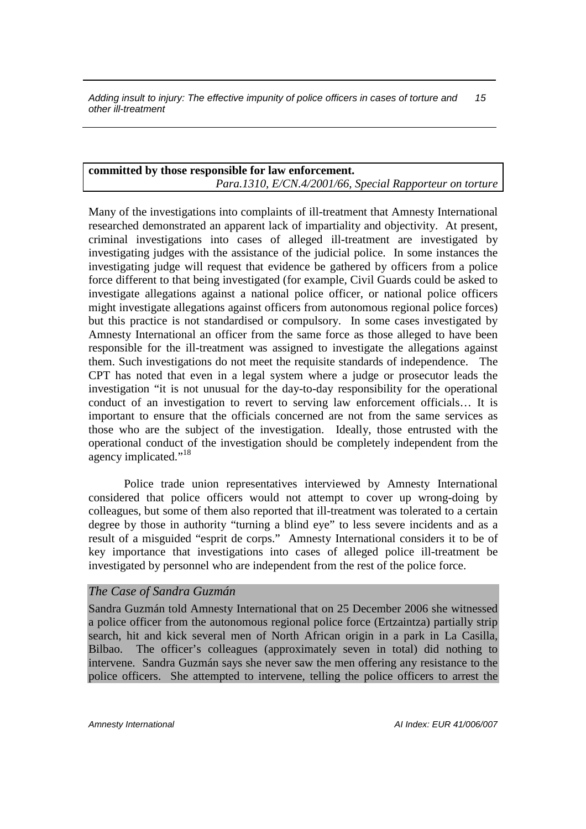#### **committed by those responsible for law enforcement.** *Para.1310, E/CN.4/2001/66, Special Rapporteur on torture*

Many of the investigations into complaints of ill-treatment that Amnesty International researched demonstrated an apparent lack of impartiality and objectivity. At present, criminal investigations into cases of alleged ill-treatment are investigated by investigating judges with the assistance of the judicial police. In some instances the investigating judge will request that evidence be gathered by officers from a police force different to that being investigated (for example, Civil Guards could be asked to investigate allegations against a national police officer, or national police officers might investigate allegations against officers from autonomous regional police forces) but this practice is not standardised or compulsory. In some cases investigated by Amnesty International an officer from the same force as those alleged to have been responsible for the ill-treatment was assigned to investigate the allegations against them. Such investigations do not meet the requisite standards of independence. The CPT has noted that even in a legal system where a judge or prosecutor leads the investigation "it is not unusual for the day-to-day responsibility for the operational conduct of an investigation to revert to serving law enforcement officials… It is important to ensure that the officials concerned are not from the same services as those who are the subject of the investigation. Ideally, those entrusted with the operational conduct of the investigation should be completely independent from the agency implicated."<sup>18</sup>

Police trade union representatives interviewed by Amnesty International considered that police officers would not attempt to cover up wrong-doing by colleagues, but some of them also reported that ill-treatment was tolerated to a certain degree by those in authority "turning a blind eye" to less severe incidents and as a result of a misguided "esprit de corps." Amnesty International considers it to be of key importance that investigations into cases of alleged police ill-treatment be investigated by personnel who are independent from the rest of the police force.

#### *The Case of Sandra Guzmán*

Sandra Guzmán told Amnesty International that on 25 December 2006 she witnessed a police officer from the autonomous regional police force (Ertzaintza) partially strip search, hit and kick several men of North African origin in a park in La Casilla, Bilbao. The officer's colleagues (approximately seven in total) did nothing to intervene. Sandra Guzmán says she never saw the men offering any resistance to the police officers. She attempted to intervene, telling the police officers to arrest the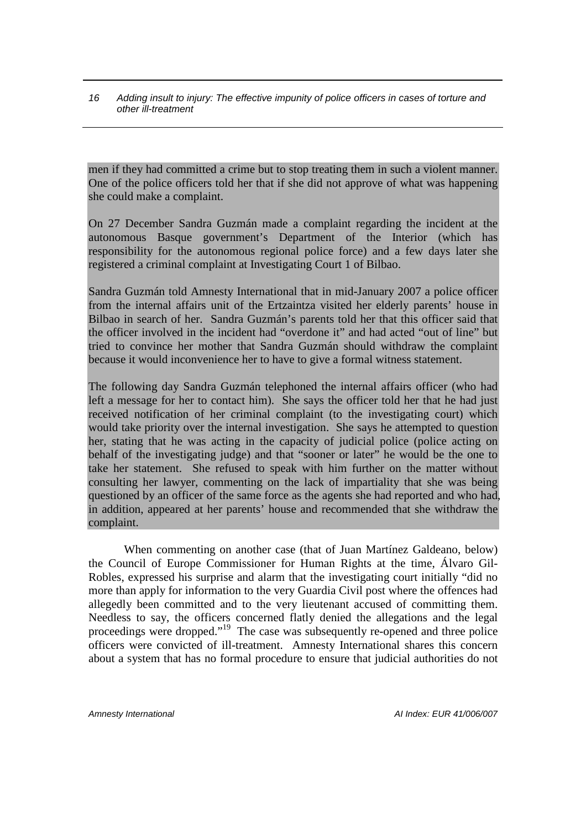men if they had committed a crime but to stop treating them in such a violent manner. One of the police officers told her that if she did not approve of what was happening she could make a complaint.

On 27 December Sandra Guzmán made a complaint regarding the incident at the autonomous Basque government's Department of the Interior (which has responsibility for the autonomous regional police force) and a few days later she registered a criminal complaint at Investigating Court 1 of Bilbao.

Sandra Guzmán told Amnesty International that in mid-January 2007 a police officer from the internal affairs unit of the Ertzaintza visited her elderly parents' house in Bilbao in search of her. Sandra Guzmán's parents told her that this officer said that the officer involved in the incident had "overdone it" and had acted "out of line" but tried to convince her mother that Sandra Guzmán should withdraw the complaint because it would inconvenience her to have to give a formal witness statement.

The following day Sandra Guzmán telephoned the internal affairs officer (who had left a message for her to contact him). She says the officer told her that he had just received notification of her criminal complaint (to the investigating court) which would take priority over the internal investigation. She says he attempted to question her, stating that he was acting in the capacity of judicial police (police acting on behalf of the investigating judge) and that "sooner or later" he would be the one to take her statement. She refused to speak with him further on the matter without consulting her lawyer, commenting on the lack of impartiality that she was being questioned by an officer of the same force as the agents she had reported and who had, in addition, appeared at her parents' house and recommended that she withdraw the complaint.

When commenting on another case (that of Juan Martínez Galdeano, below) the Council of Europe Commissioner for Human Rights at the time, Álvaro Gil-Robles, expressed his surprise and alarm that the investigating court initially "did no more than apply for information to the very Guardia Civil post where the offences had allegedly been committed and to the very lieutenant accused of committing them. Needless to say, the officers concerned flatly denied the allegations and the legal proceedings were dropped."<sup>19</sup> The case was subsequently re-opened and three police officers were convicted of ill-treatment. Amnesty International shares this concern about a system that has no formal procedure to ensure that judicial authorities do not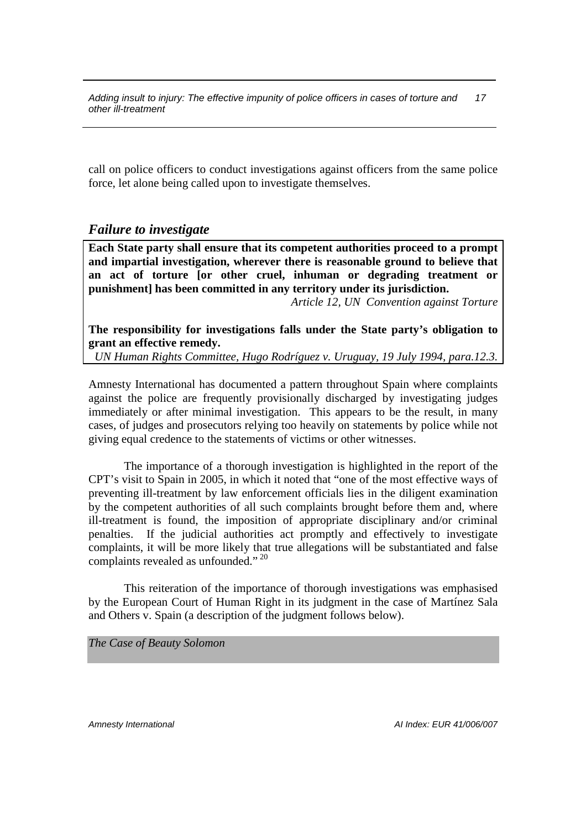call on police officers to conduct investigations against officers from the same police force, let alone being called upon to investigate themselves.

#### *Failure to investigate*

**Each State party shall ensure that its competent authorities proceed to a prompt and impartial investigation, wherever there is reasonable ground to believe that an act of torture [or other cruel, inhuman or degrading treatment or punishment] has been committed in any territory under its jurisdiction.** 

*Article 12, UN Convention against Torture*

**The responsibility for investigations falls under the State party's obligation to grant an effective remedy.**  *UN Human Rights Committee, Hugo Rodríguez v. Uruguay, 19 July 1994, para.12.3.*

Amnesty International has documented a pattern throughout Spain where complaints against the police are frequently provisionally discharged by investigating judges immediately or after minimal investigation. This appears to be the result, in many cases, of judges and prosecutors relying too heavily on statements by police while not giving equal credence to the statements of victims or other witnesses.

The importance of a thorough investigation is highlighted in the report of the CPT's visit to Spain in 2005, in which it noted that "one of the most effective ways of preventing ill-treatment by law enforcement officials lies in the diligent examination by the competent authorities of all such complaints brought before them and, where ill-treatment is found, the imposition of appropriate disciplinary and/or criminal penalties. If the judicial authorities act promptly and effectively to investigate complaints, it will be more likely that true allegations will be substantiated and false complaints revealed as unfounded."<sup>20</sup>

This reiteration of the importance of thorough investigations was emphasised by the European Court of Human Right in its judgment in the case of Martínez Sala and Others v. Spain (a description of the judgment follows below).

*The Case of Beauty Solomon*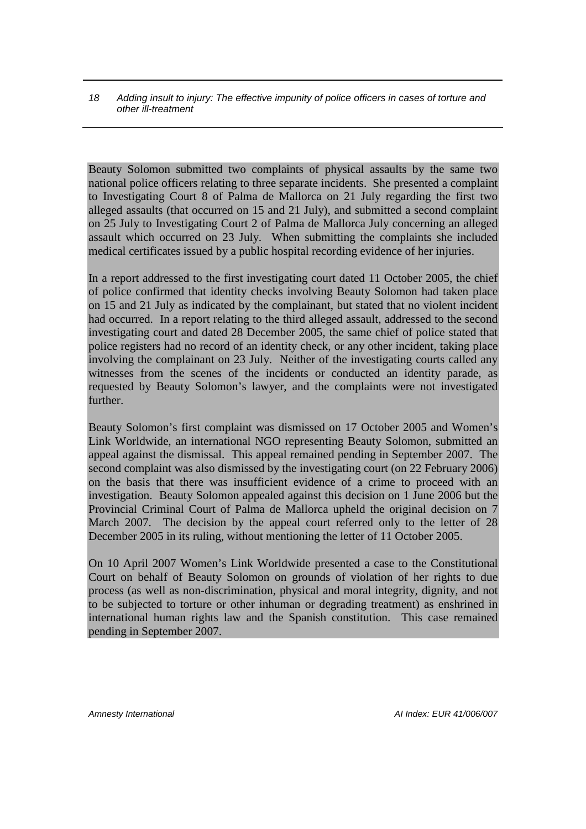Beauty Solomon submitted two complaints of physical assaults by the same two national police officers relating to three separate incidents. She presented a complaint to Investigating Court 8 of Palma de Mallorca on 21 July regarding the first two alleged assaults (that occurred on 15 and 21 July), and submitted a second complaint on 25 July to Investigating Court 2 of Palma de Mallorca July concerning an alleged assault which occurred on 23 July. When submitting the complaints she included medical certificates issued by a public hospital recording evidence of her injuries.

In a report addressed to the first investigating court dated 11 October 2005, the chief of police confirmed that identity checks involving Beauty Solomon had taken place on 15 and 21 July as indicated by the complainant, but stated that no violent incident had occurred. In a report relating to the third alleged assault, addressed to the second investigating court and dated 28 December 2005, the same chief of police stated that police registers had no record of an identity check, or any other incident, taking place involving the complainant on 23 July. Neither of the investigating courts called any witnesses from the scenes of the incidents or conducted an identity parade, as requested by Beauty Solomon's lawyer, and the complaints were not investigated further.

Beauty Solomon's first complaint was dismissed on 17 October 2005 and Women's Link Worldwide, an international NGO representing Beauty Solomon, submitted an appeal against the dismissal. This appeal remained pending in September 2007. The second complaint was also dismissed by the investigating court (on 22 February 2006) on the basis that there was insufficient evidence of a crime to proceed with an investigation. Beauty Solomon appealed against this decision on 1 June 2006 but the Provincial Criminal Court of Palma de Mallorca upheld the original decision on 7 March 2007. The decision by the appeal court referred only to the letter of 28 December 2005 in its ruling, without mentioning the letter of 11 October 2005.

On 10 April 2007 Women's Link Worldwide presented a case to the Constitutional Court on behalf of Beauty Solomon on grounds of violation of her rights to due process (as well as non-discrimination, physical and moral integrity, dignity, and not to be subjected to torture or other inhuman or degrading treatment) as enshrined in international human rights law and the Spanish constitution. This case remained pending in September 2007.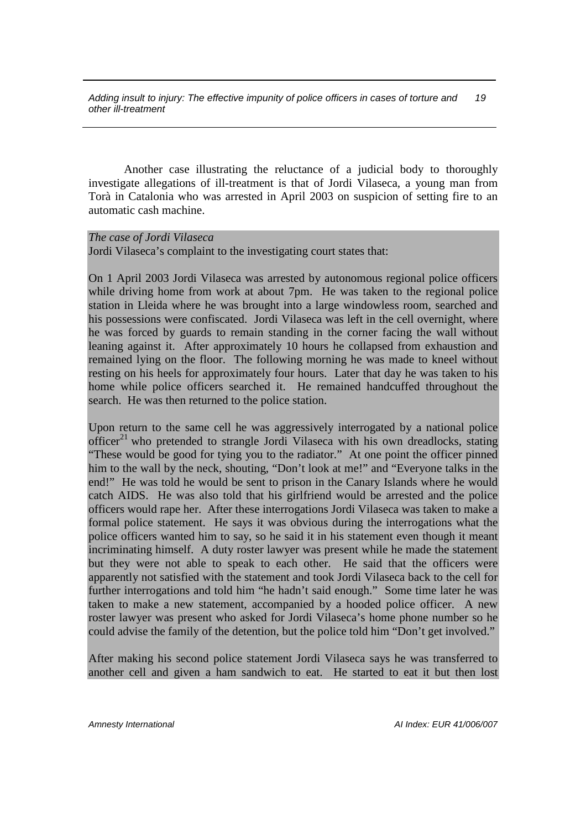Another case illustrating the reluctance of a judicial body to thoroughly investigate allegations of ill-treatment is that of Jordi Vilaseca, a young man from Torà in Catalonia who was arrested in April 2003 on suspicion of setting fire to an automatic cash machine.

#### *The case of Jordi Vilaseca*

Jordi Vilaseca's complaint to the investigating court states that:

On 1 April 2003 Jordi Vilaseca was arrested by autonomous regional police officers while driving home from work at about 7pm. He was taken to the regional police station in Lleida where he was brought into a large windowless room, searched and his possessions were confiscated. Jordi Vilaseca was left in the cell overnight, where he was forced by guards to remain standing in the corner facing the wall without leaning against it. After approximately 10 hours he collapsed from exhaustion and remained lying on the floor. The following morning he was made to kneel without resting on his heels for approximately four hours. Later that day he was taken to his home while police officers searched it. He remained handcuffed throughout the search. He was then returned to the police station.

Upon return to the same cell he was aggressively interrogated by a national police officer<sup>21</sup> who pretended to strangle Jordi Vilaseca with his own dreadlocks, stating "These would be good for tying you to the radiator." At one point the officer pinned him to the wall by the neck, shouting, "Don't look at me!" and "Everyone talks in the end!" He was told he would be sent to prison in the Canary Islands where he would catch AIDS. He was also told that his girlfriend would be arrested and the police officers would rape her. After these interrogations Jordi Vilaseca was taken to make a formal police statement. He says it was obvious during the interrogations what the police officers wanted him to say, so he said it in his statement even though it meant incriminating himself. A duty roster lawyer was present while he made the statement but they were not able to speak to each other. He said that the officers were apparently not satisfied with the statement and took Jordi Vilaseca back to the cell for further interrogations and told him "he hadn't said enough." Some time later he was taken to make a new statement, accompanied by a hooded police officer. A new roster lawyer was present who asked for Jordi Vilaseca's home phone number so he could advise the family of the detention, but the police told him "Don't get involved."

After making his second police statement Jordi Vilaseca says he was transferred to another cell and given a ham sandwich to eat. He started to eat it but then lost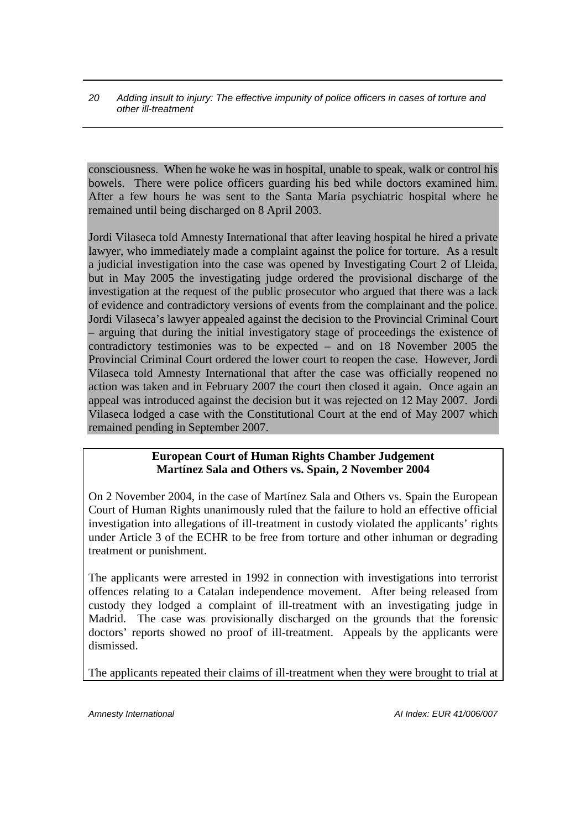consciousness. When he woke he was in hospital, unable to speak, walk or control his bowels. There were police officers guarding his bed while doctors examined him. After a few hours he was sent to the Santa María psychiatric hospital where he remained until being discharged on 8 April 2003.

Jordi Vilaseca told Amnesty International that after leaving hospital he hired a private lawyer, who immediately made a complaint against the police for torture. As a result a judicial investigation into the case was opened by Investigating Court 2 of Lleida, but in May 2005 the investigating judge ordered the provisional discharge of the investigation at the request of the public prosecutor who argued that there was a lack of evidence and contradictory versions of events from the complainant and the police. Jordi Vilaseca's lawyer appealed against the decision to the Provincial Criminal Court – arguing that during the initial investigatory stage of proceedings the existence of contradictory testimonies was to be expected – and on 18 November 2005 the Provincial Criminal Court ordered the lower court to reopen the case. However, Jordi Vilaseca told Amnesty International that after the case was officially reopened no action was taken and in February 2007 the court then closed it again. Once again an appeal was introduced against the decision but it was rejected on 12 May 2007. Jordi Vilaseca lodged a case with the Constitutional Court at the end of May 2007 which remained pending in September 2007.

#### **European Court of Human Rights Chamber Judgement Martínez Sala and Others vs. Spain, 2 November 2004**

On 2 November 2004, in the case of Martínez Sala and Others vs. Spain the European Court of Human Rights unanimously ruled that the failure to hold an effective official investigation into allegations of ill-treatment in custody violated the applicants' rights under Article 3 of the ECHR to be free from torture and other inhuman or degrading treatment or punishment.

The applicants were arrested in 1992 in connection with investigations into terrorist offences relating to a Catalan independence movement. After being released from custody they lodged a complaint of ill-treatment with an investigating judge in Madrid. The case was provisionally discharged on the grounds that the forensic doctors' reports showed no proof of ill-treatment. Appeals by the applicants were dismissed.

The applicants repeated their claims of ill-treatment when they were brought to trial at

Amnesty International **All 2006/007** All 2006/007 All 2006/007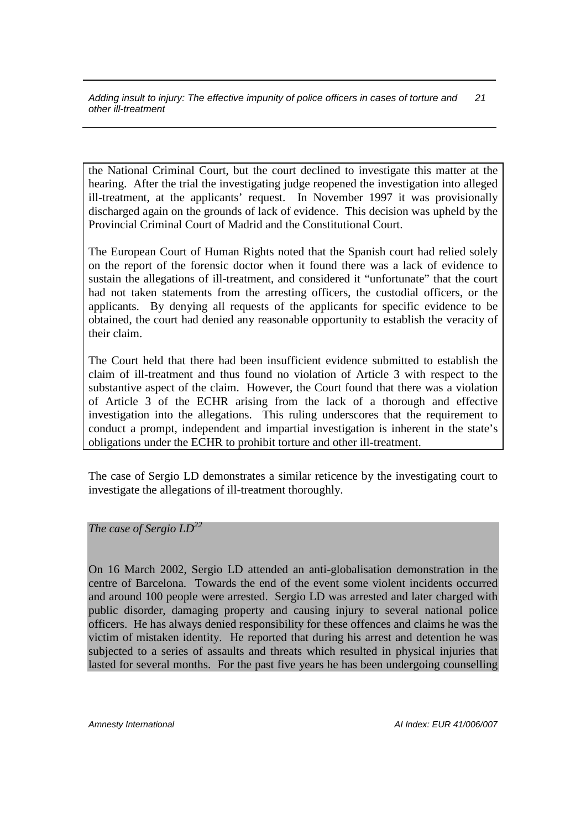the National Criminal Court, but the court declined to investigate this matter at the hearing. After the trial the investigating judge reopened the investigation into alleged ill-treatment, at the applicants' request. In November 1997 it was provisionally discharged again on the grounds of lack of evidence. This decision was upheld by the Provincial Criminal Court of Madrid and the Constitutional Court.

The European Court of Human Rights noted that the Spanish court had relied solely on the report of the forensic doctor when it found there was a lack of evidence to sustain the allegations of ill-treatment, and considered it "unfortunate" that the court had not taken statements from the arresting officers, the custodial officers, or the applicants. By denying all requests of the applicants for specific evidence to be obtained, the court had denied any reasonable opportunity to establish the veracity of their claim.

The Court held that there had been insufficient evidence submitted to establish the claim of ill-treatment and thus found no violation of Article 3 with respect to the substantive aspect of the claim. However, the Court found that there was a violation of Article 3 of the ECHR arising from the lack of a thorough and effective investigation into the allegations. This ruling underscores that the requirement to conduct a prompt, independent and impartial investigation is inherent in the state's obligations under the ECHR to prohibit torture and other ill-treatment.

The case of Sergio LD demonstrates a similar reticence by the investigating court to investigate the allegations of ill-treatment thoroughly.

#### *The case of Sergio LD<sup>22</sup>*

On 16 March 2002, Sergio LD attended an anti-globalisation demonstration in the centre of Barcelona. Towards the end of the event some violent incidents occurred and around 100 people were arrested. Sergio LD was arrested and later charged with public disorder, damaging property and causing injury to several national police officers. He has always denied responsibility for these offences and claims he was the victim of mistaken identity. He reported that during his arrest and detention he was subjected to a series of assaults and threats which resulted in physical injuries that lasted for several months. For the past five years he has been undergoing counselling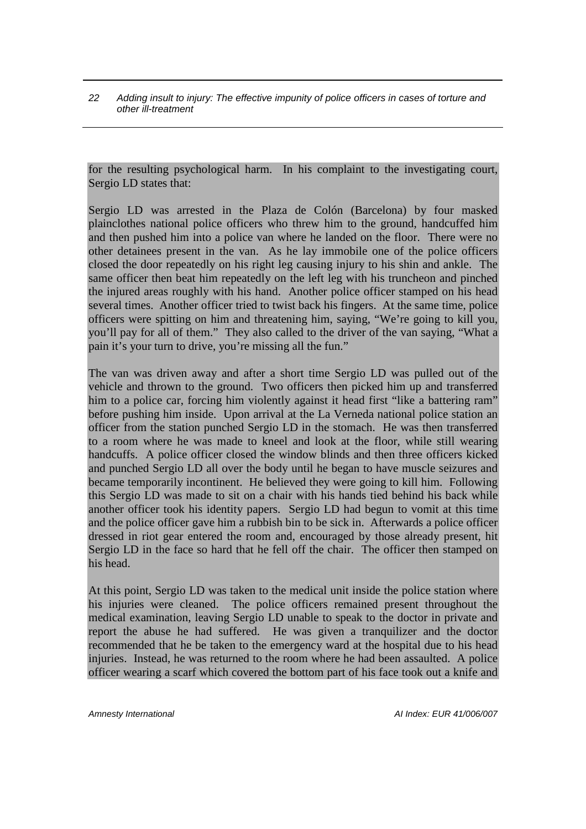for the resulting psychological harm. In his complaint to the investigating court, Sergio LD states that:

Sergio LD was arrested in the Plaza de Colón (Barcelona) by four masked plainclothes national police officers who threw him to the ground, handcuffed him and then pushed him into a police van where he landed on the floor. There were no other detainees present in the van. As he lay immobile one of the police officers closed the door repeatedly on his right leg causing injury to his shin and ankle. The same officer then beat him repeatedly on the left leg with his truncheon and pinched the injured areas roughly with his hand. Another police officer stamped on his head several times. Another officer tried to twist back his fingers. At the same time, police officers were spitting on him and threatening him, saying, "We're going to kill you, you'll pay for all of them." They also called to the driver of the van saying, "What a pain it's your turn to drive, you're missing all the fun."

The van was driven away and after a short time Sergio LD was pulled out of the vehicle and thrown to the ground. Two officers then picked him up and transferred him to a police car, forcing him violently against it head first "like a battering ram" before pushing him inside. Upon arrival at the La Verneda national police station an officer from the station punched Sergio LD in the stomach. He was then transferred to a room where he was made to kneel and look at the floor, while still wearing handcuffs. A police officer closed the window blinds and then three officers kicked and punched Sergio LD all over the body until he began to have muscle seizures and became temporarily incontinent. He believed they were going to kill him. Following this Sergio LD was made to sit on a chair with his hands tied behind his back while another officer took his identity papers. Sergio LD had begun to vomit at this time and the police officer gave him a rubbish bin to be sick in. Afterwards a police officer dressed in riot gear entered the room and, encouraged by those already present, hit Sergio LD in the face so hard that he fell off the chair. The officer then stamped on his head.

At this point, Sergio LD was taken to the medical unit inside the police station where his injuries were cleaned. The police officers remained present throughout the medical examination, leaving Sergio LD unable to speak to the doctor in private and report the abuse he had suffered. He was given a tranquilizer and the doctor recommended that he be taken to the emergency ward at the hospital due to his head injuries. Instead, he was returned to the room where he had been assaulted. A police officer wearing a scarf which covered the bottom part of his face took out a knife and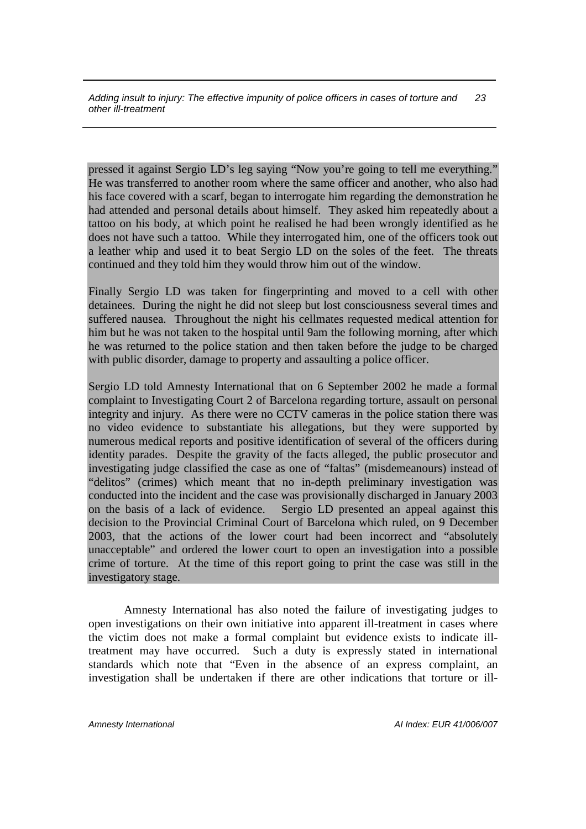pressed it against Sergio LD's leg saying "Now you're going to tell me everything." He was transferred to another room where the same officer and another, who also had his face covered with a scarf, began to interrogate him regarding the demonstration he had attended and personal details about himself. They asked him repeatedly about a tattoo on his body, at which point he realised he had been wrongly identified as he does not have such a tattoo. While they interrogated him, one of the officers took out a leather whip and used it to beat Sergio LD on the soles of the feet. The threats continued and they told him they would throw him out of the window.

Finally Sergio LD was taken for fingerprinting and moved to a cell with other detainees. During the night he did not sleep but lost consciousness several times and suffered nausea. Throughout the night his cellmates requested medical attention for him but he was not taken to the hospital until 9am the following morning, after which he was returned to the police station and then taken before the judge to be charged with public disorder, damage to property and assaulting a police officer.

Sergio LD told Amnesty International that on 6 September 2002 he made a formal complaint to Investigating Court 2 of Barcelona regarding torture, assault on personal integrity and injury. As there were no CCTV cameras in the police station there was no video evidence to substantiate his allegations, but they were supported by numerous medical reports and positive identification of several of the officers during identity parades. Despite the gravity of the facts alleged, the public prosecutor and investigating judge classified the case as one of "faltas" (misdemeanours) instead of "delitos" (crimes) which meant that no in-depth preliminary investigation was conducted into the incident and the case was provisionally discharged in January 2003 on the basis of a lack of evidence. Sergio LD presented an appeal against this decision to the Provincial Criminal Court of Barcelona which ruled, on 9 December 2003, that the actions of the lower court had been incorrect and "absolutely unacceptable" and ordered the lower court to open an investigation into a possible crime of torture. At the time of this report going to print the case was still in the investigatory stage.

Amnesty International has also noted the failure of investigating judges to open investigations on their own initiative into apparent ill-treatment in cases where the victim does not make a formal complaint but evidence exists to indicate illtreatment may have occurred. Such a duty is expressly stated in international standards which note that "Even in the absence of an express complaint, an investigation shall be undertaken if there are other indications that torture or ill-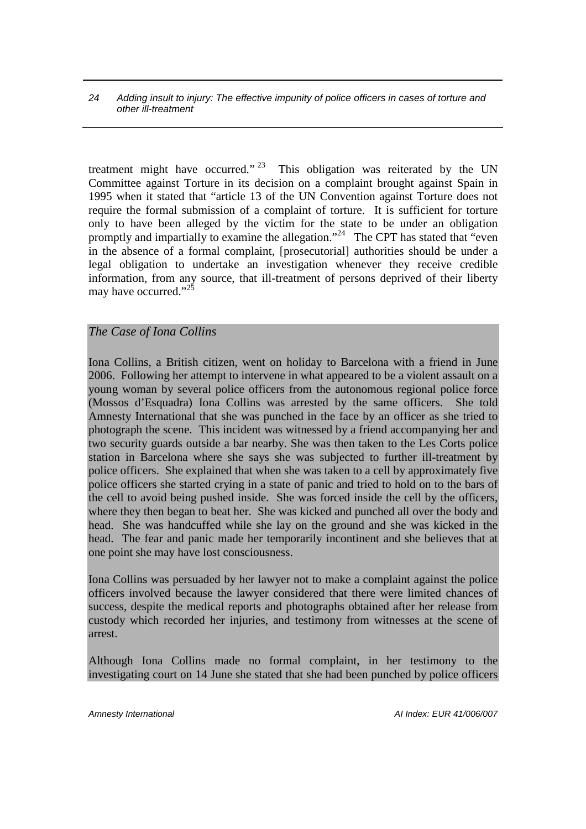treatment might have occurred." <sup>23</sup> This obligation was reiterated by the UN Committee against Torture in its decision on a complaint brought against Spain in 1995 when it stated that "article 13 of the UN Convention against Torture does not require the formal submission of a complaint of torture. It is sufficient for torture only to have been alleged by the victim for the state to be under an obligation promptly and impartially to examine the allegation."<sup>24</sup> The CPT has stated that "even in the absence of a formal complaint, [prosecutorial] authorities should be under a legal obligation to undertake an investigation whenever they receive credible information, from any source, that ill-treatment of persons deprived of their liberty may have occurred."<sup>25</sup>

#### *The Case of Iona Collins*

Iona Collins, a British citizen, went on holiday to Barcelona with a friend in June 2006. Following her attempt to intervene in what appeared to be a violent assault on a young woman by several police officers from the autonomous regional police force (Mossos d'Esquadra) Iona Collins was arrested by the same officers. She told Amnesty International that she was punched in the face by an officer as she tried to photograph the scene. This incident was witnessed by a friend accompanying her and two security guards outside a bar nearby. She was then taken to the Les Corts police station in Barcelona where she says she was subjected to further ill-treatment by police officers. She explained that when she was taken to a cell by approximately five police officers she started crying in a state of panic and tried to hold on to the bars of the cell to avoid being pushed inside. She was forced inside the cell by the officers, where they then began to beat her. She was kicked and punched all over the body and head. She was handcuffed while she lay on the ground and she was kicked in the head. The fear and panic made her temporarily incontinent and she believes that at one point she may have lost consciousness.

Iona Collins was persuaded by her lawyer not to make a complaint against the police officers involved because the lawyer considered that there were limited chances of success, despite the medical reports and photographs obtained after her release from custody which recorded her injuries, and testimony from witnesses at the scene of arrest.

Although Iona Collins made no formal complaint, in her testimony to the investigating court on 14 June she stated that she had been punched by police officers

Amnesty International **All 2006/007** All 2006/007 All 2006/007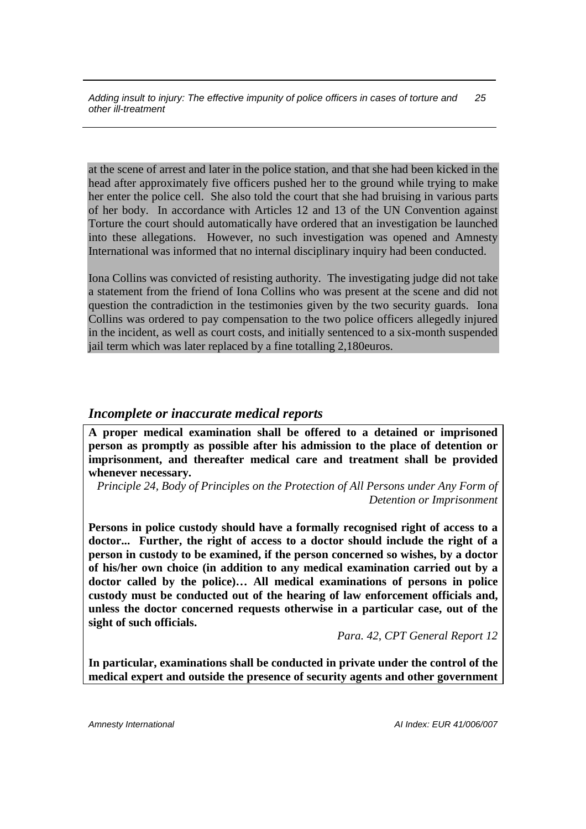at the scene of arrest and later in the police station, and that she had been kicked in the head after approximately five officers pushed her to the ground while trying to make her enter the police cell. She also told the court that she had bruising in various parts of her body. In accordance with Articles 12 and 13 of the UN Convention against Torture the court should automatically have ordered that an investigation be launched into these allegations. However, no such investigation was opened and Amnesty International was informed that no internal disciplinary inquiry had been conducted.

Iona Collins was convicted of resisting authority. The investigating judge did not take a statement from the friend of Iona Collins who was present at the scene and did not question the contradiction in the testimonies given by the two security guards. Iona Collins was ordered to pay compensation to the two police officers allegedly injured in the incident, as well as court costs, and initially sentenced to a six-month suspended jail term which was later replaced by a fine totalling 2,180euros.

#### *Incomplete or inaccurate medical reports*

**A proper medical examination shall be offered to a detained or imprisoned person as promptly as possible after his admission to the place of detention or imprisonment, and thereafter medical care and treatment shall be provided whenever necessary.** 

*Principle 24, Body of Principles on the Protection of All Persons under Any Form of Detention or Imprisonment* 

**Persons in police custody should have a formally recognised right of access to a doctor... Further, the right of access to a doctor should include the right of a person in custody to be examined, if the person concerned so wishes, by a doctor of his/her own choice (in addition to any medical examination carried out by a doctor called by the police)… All medical examinations of persons in police custody must be conducted out of the hearing of law enforcement officials and, unless the doctor concerned requests otherwise in a particular case, out of the sight of such officials.** 

*Para. 42, CPT General Report 12* 

**In particular, examinations shall be conducted in private under the control of the medical expert and outside the presence of security agents and other government**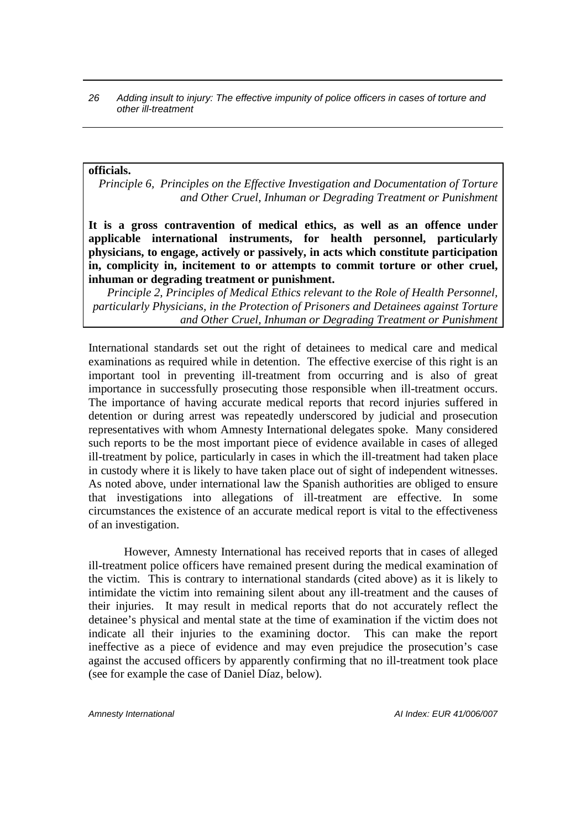#### **officials.**

*Principle 6, Principles on the Effective Investigation and Documentation of Torture and Other Cruel, Inhuman or Degrading Treatment or Punishment*

**It is a gross contravention of medical ethics, as well as an offence under applicable international instruments, for health personnel, particularly physicians, to engage, actively or passively, in acts which constitute participation in, complicity in, incitement to or attempts to commit torture or other cruel, inhuman or degrading treatment or punishment.** 

*Principle 2, Principles of Medical Ethics relevant to the Role of Health Personnel, particularly Physicians, in the Protection of Prisoners and Detainees against Torture and Other Cruel, Inhuman or Degrading Treatment or Punishment*

International standards set out the right of detainees to medical care and medical examinations as required while in detention. The effective exercise of this right is an important tool in preventing ill-treatment from occurring and is also of great importance in successfully prosecuting those responsible when ill-treatment occurs. The importance of having accurate medical reports that record injuries suffered in detention or during arrest was repeatedly underscored by judicial and prosecution representatives with whom Amnesty International delegates spoke. Many considered such reports to be the most important piece of evidence available in cases of alleged ill-treatment by police, particularly in cases in which the ill-treatment had taken place in custody where it is likely to have taken place out of sight of independent witnesses. As noted above, under international law the Spanish authorities are obliged to ensure that investigations into allegations of ill-treatment are effective. In some circumstances the existence of an accurate medical report is vital to the effectiveness of an investigation.

However, Amnesty International has received reports that in cases of alleged ill-treatment police officers have remained present during the medical examination of the victim. This is contrary to international standards (cited above) as it is likely to intimidate the victim into remaining silent about any ill-treatment and the causes of their injuries. It may result in medical reports that do not accurately reflect the detainee's physical and mental state at the time of examination if the victim does not indicate all their injuries to the examining doctor. This can make the report ineffective as a piece of evidence and may even prejudice the prosecution's case against the accused officers by apparently confirming that no ill-treatment took place (see for example the case of Daniel Díaz, below).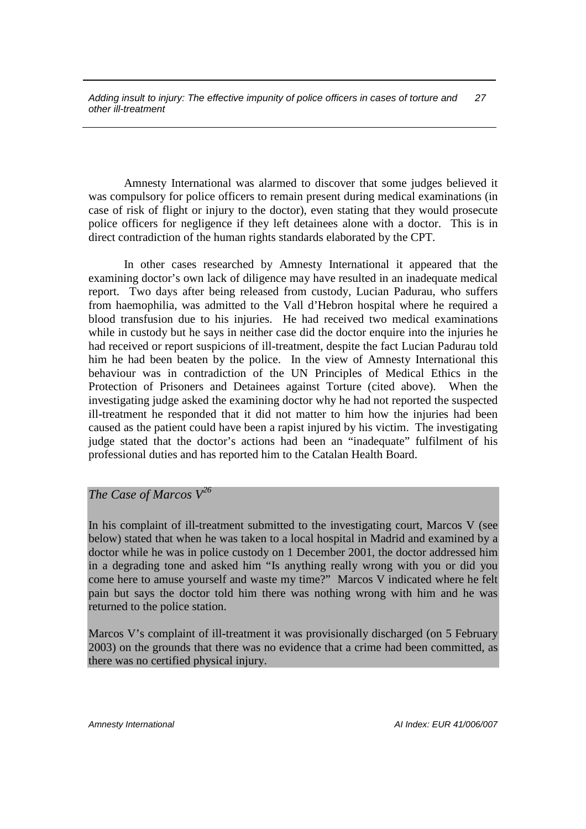Amnesty International was alarmed to discover that some judges believed it was compulsory for police officers to remain present during medical examinations (in case of risk of flight or injury to the doctor), even stating that they would prosecute police officers for negligence if they left detainees alone with a doctor. This is in direct contradiction of the human rights standards elaborated by the CPT.

In other cases researched by Amnesty International it appeared that the examining doctor's own lack of diligence may have resulted in an inadequate medical report. Two days after being released from custody, Lucian Padurau, who suffers from haemophilia, was admitted to the Vall d'Hebron hospital where he required a blood transfusion due to his injuries. He had received two medical examinations while in custody but he says in neither case did the doctor enquire into the injuries he had received or report suspicions of ill-treatment, despite the fact Lucian Padurau told him he had been beaten by the police. In the view of Amnesty International this behaviour was in contradiction of the UN Principles of Medical Ethics in the Protection of Prisoners and Detainees against Torture (cited above). When the investigating judge asked the examining doctor why he had not reported the suspected ill-treatment he responded that it did not matter to him how the injuries had been caused as the patient could have been a rapist injured by his victim. The investigating judge stated that the doctor's actions had been an "inadequate" fulfilment of his professional duties and has reported him to the Catalan Health Board.

# *The Case of Marcos V<sup>26</sup>*

In his complaint of ill-treatment submitted to the investigating court, Marcos V (see below) stated that when he was taken to a local hospital in Madrid and examined by a doctor while he was in police custody on 1 December 2001, the doctor addressed him in a degrading tone and asked him "Is anything really wrong with you or did you come here to amuse yourself and waste my time?" Marcos V indicated where he felt pain but says the doctor told him there was nothing wrong with him and he was returned to the police station.

Marcos V's complaint of ill-treatment it was provisionally discharged (on 5 February 2003) on the grounds that there was no evidence that a crime had been committed, as there was no certified physical injury.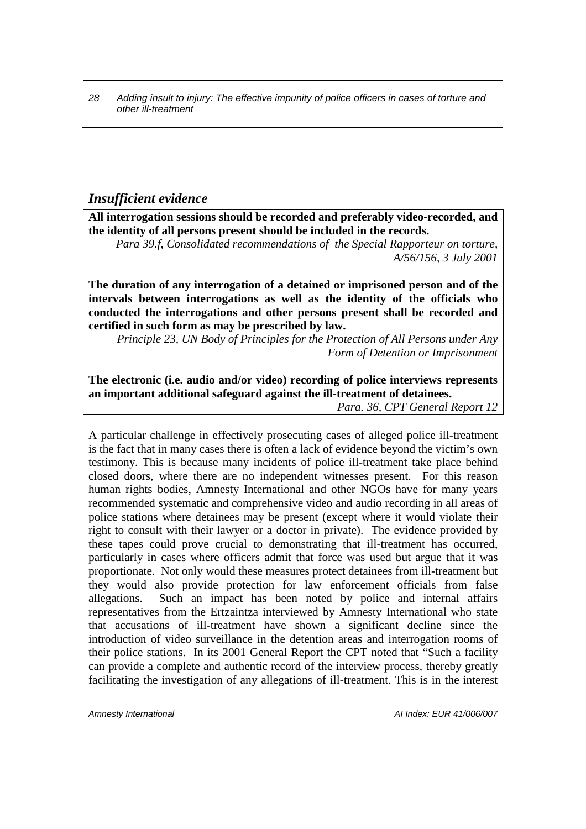# *Insufficient evidence*

**All interrogation sessions should be recorded and preferably video-recorded, and the identity of all persons present should be included in the records.** 

*Para 39.f, Consolidated recommendations of the Special Rapporteur on torture, A/56/156, 3 July 2001*

**The duration of any interrogation of a detained or imprisoned person and of the intervals between interrogations as well as the identity of the officials who conducted the interrogations and other persons present shall be recorded and certified in such form as may be prescribed by law.**

*Principle 23, UN Body of Principles for the Protection of All Persons under Any Form of Detention or Imprisonment*

**The electronic (i.e. audio and/or video) recording of police interviews represents an important additional safeguard against the ill-treatment of detainees.**  *Para. 36, CPT General Report 12*

A particular challenge in effectively prosecuting cases of alleged police ill-treatment is the fact that in many cases there is often a lack of evidence beyond the victim's own testimony. This is because many incidents of police ill-treatment take place behind closed doors, where there are no independent witnesses present. For this reason human rights bodies, Amnesty International and other NGOs have for many years recommended systematic and comprehensive video and audio recording in all areas of police stations where detainees may be present (except where it would violate their right to consult with their lawyer or a doctor in private). The evidence provided by these tapes could prove crucial to demonstrating that ill-treatment has occurred, particularly in cases where officers admit that force was used but argue that it was proportionate. Not only would these measures protect detainees from ill-treatment but they would also provide protection for law enforcement officials from false allegations. Such an impact has been noted by police and internal affairs representatives from the Ertzaintza interviewed by Amnesty International who state that accusations of ill-treatment have shown a significant decline since the introduction of video surveillance in the detention areas and interrogation rooms of their police stations. In its 2001 General Report the CPT noted that "Such a facility can provide a complete and authentic record of the interview process, thereby greatly facilitating the investigation of any allegations of ill-treatment. This is in the interest

Amnesty International **All 2006/007** All 2006/007 All 2006/007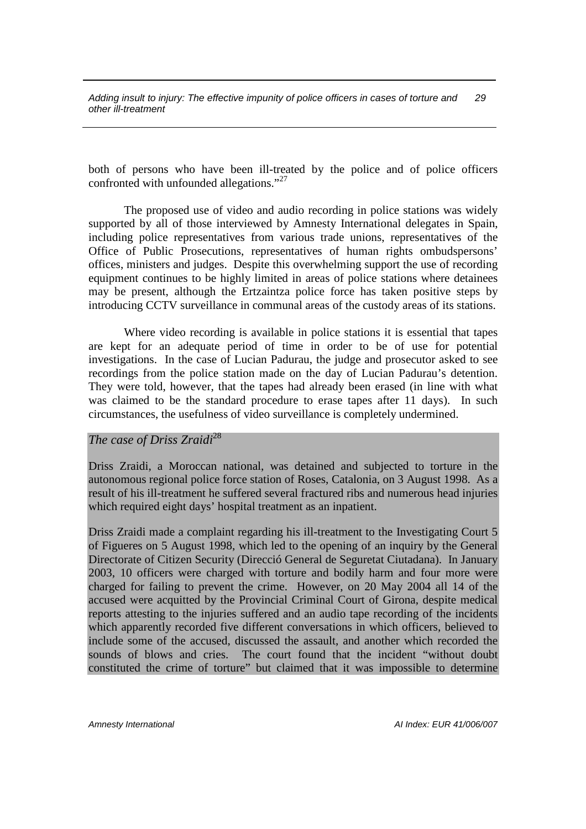both of persons who have been ill-treated by the police and of police officers confronted with unfounded allegations."<sup>27</sup>

The proposed use of video and audio recording in police stations was widely supported by all of those interviewed by Amnesty International delegates in Spain, including police representatives from various trade unions, representatives of the Office of Public Prosecutions, representatives of human rights ombudspersons' offices, ministers and judges. Despite this overwhelming support the use of recording equipment continues to be highly limited in areas of police stations where detainees may be present, although the Ertzaintza police force has taken positive steps by introducing CCTV surveillance in communal areas of the custody areas of its stations.

Where video recording is available in police stations it is essential that tapes are kept for an adequate period of time in order to be of use for potential investigations. In the case of Lucian Padurau, the judge and prosecutor asked to see recordings from the police station made on the day of Lucian Padurau's detention. They were told, however, that the tapes had already been erased (in line with what was claimed to be the standard procedure to erase tapes after 11 days). In such circumstances, the usefulness of video surveillance is completely undermined.

#### *The case of Driss Zraidi*<sup>28</sup>

Driss Zraidi, a Moroccan national, was detained and subjected to torture in the autonomous regional police force station of Roses, Catalonia, on 3 August 1998. As a result of his ill-treatment he suffered several fractured ribs and numerous head injuries which required eight days' hospital treatment as an inpatient.

Driss Zraidi made a complaint regarding his ill-treatment to the Investigating Court 5 of Figueres on 5 August 1998, which led to the opening of an inquiry by the General Directorate of Citizen Security (Direcció General de Seguretat Ciutadana). In January 2003, 10 officers were charged with torture and bodily harm and four more were charged for failing to prevent the crime. However, on 20 May 2004 all 14 of the accused were acquitted by the Provincial Criminal Court of Girona, despite medical reports attesting to the injuries suffered and an audio tape recording of the incidents which apparently recorded five different conversations in which officers, believed to include some of the accused, discussed the assault, and another which recorded the sounds of blows and cries. The court found that the incident "without doubt constituted the crime of torture" but claimed that it was impossible to determine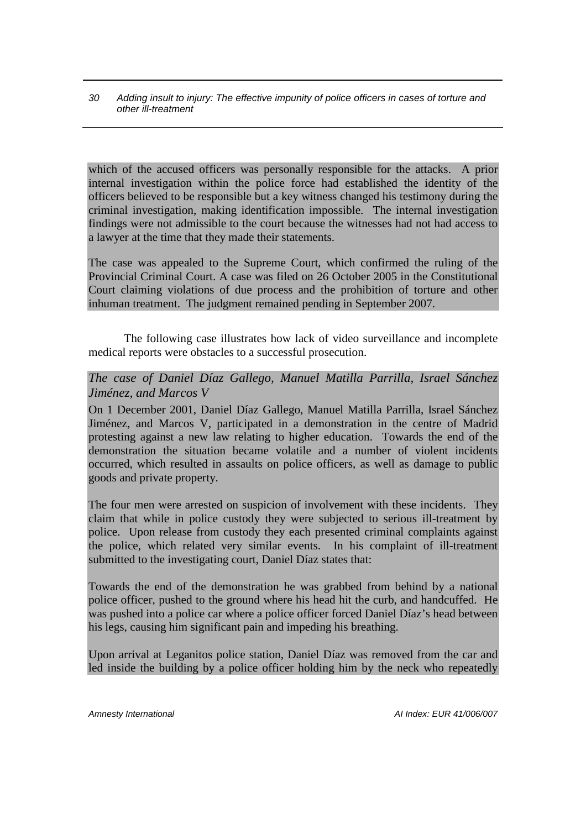which of the accused officers was personally responsible for the attacks. A prior internal investigation within the police force had established the identity of the officers believed to be responsible but a key witness changed his testimony during the criminal investigation, making identification impossible. The internal investigation findings were not admissible to the court because the witnesses had not had access to a lawyer at the time that they made their statements.

The case was appealed to the Supreme Court, which confirmed the ruling of the Provincial Criminal Court. A case was filed on 26 October 2005 in the Constitutional Court claiming violations of due process and the prohibition of torture and other inhuman treatment. The judgment remained pending in September 2007.

The following case illustrates how lack of video surveillance and incomplete medical reports were obstacles to a successful prosecution.

#### *The case of Daniel Díaz Gallego, Manuel Matilla Parrilla, Israel Sánchez Jiménez, and Marcos V*

On 1 December 2001, Daniel Díaz Gallego, Manuel Matilla Parrilla, Israel Sánchez Jiménez, and Marcos V, participated in a demonstration in the centre of Madrid protesting against a new law relating to higher education. Towards the end of the demonstration the situation became volatile and a number of violent incidents occurred, which resulted in assaults on police officers, as well as damage to public goods and private property.

The four men were arrested on suspicion of involvement with these incidents. They claim that while in police custody they were subjected to serious ill-treatment by police. Upon release from custody they each presented criminal complaints against the police, which related very similar events. In his complaint of ill-treatment submitted to the investigating court, Daniel Díaz states that:

Towards the end of the demonstration he was grabbed from behind by a national police officer, pushed to the ground where his head hit the curb, and handcuffed. He was pushed into a police car where a police officer forced Daniel Díaz's head between his legs, causing him significant pain and impeding his breathing.

Upon arrival at Leganitos police station, Daniel Díaz was removed from the car and led inside the building by a police officer holding him by the neck who repeatedly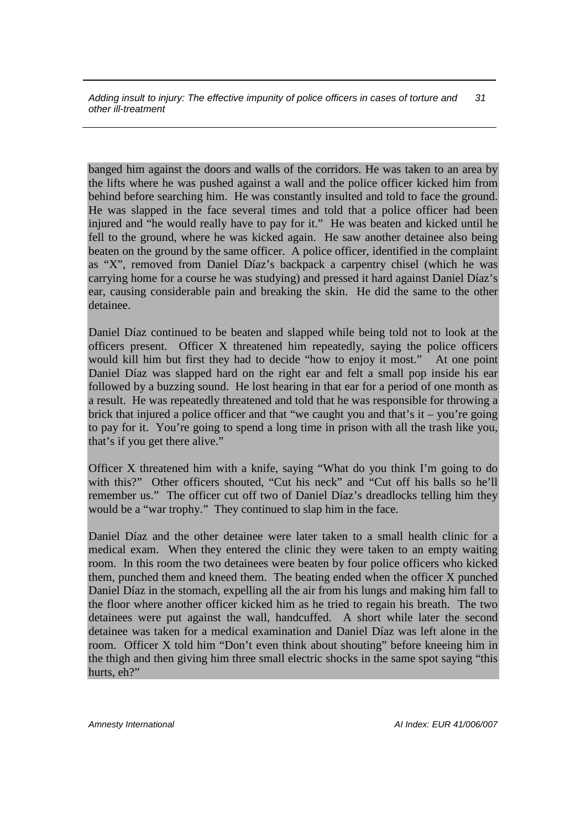banged him against the doors and walls of the corridors. He was taken to an area by the lifts where he was pushed against a wall and the police officer kicked him from behind before searching him. He was constantly insulted and told to face the ground. He was slapped in the face several times and told that a police officer had been injured and "he would really have to pay for it." He was beaten and kicked until he fell to the ground, where he was kicked again. He saw another detainee also being beaten on the ground by the same officer. A police officer, identified in the complaint as "X", removed from Daniel Díaz's backpack a carpentry chisel (which he was carrying home for a course he was studying) and pressed it hard against Daniel Díaz's ear, causing considerable pain and breaking the skin. He did the same to the other detainee.

Daniel Díaz continued to be beaten and slapped while being told not to look at the officers present. Officer X threatened him repeatedly, saying the police officers would kill him but first they had to decide "how to enjoy it most." At one point Daniel Díaz was slapped hard on the right ear and felt a small pop inside his ear followed by a buzzing sound. He lost hearing in that ear for a period of one month as a result. He was repeatedly threatened and told that he was responsible for throwing a brick that injured a police officer and that "we caught you and that's it – you're going to pay for it. You're going to spend a long time in prison with all the trash like you, that's if you get there alive."

Officer X threatened him with a knife, saying "What do you think I'm going to do with this?" Other officers shouted, "Cut his neck" and "Cut off his balls so he'll remember us." The officer cut off two of Daniel Díaz's dreadlocks telling him they would be a "war trophy." They continued to slap him in the face.

Daniel Díaz and the other detainee were later taken to a small health clinic for a medical exam. When they entered the clinic they were taken to an empty waiting room. In this room the two detainees were beaten by four police officers who kicked them, punched them and kneed them. The beating ended when the officer X punched Daniel Díaz in the stomach, expelling all the air from his lungs and making him fall to the floor where another officer kicked him as he tried to regain his breath. The two detainees were put against the wall, handcuffed. A short while later the second detainee was taken for a medical examination and Daniel Díaz was left alone in the room. Officer X told him "Don't even think about shouting" before kneeing him in the thigh and then giving him three small electric shocks in the same spot saying "this hurts, eh?"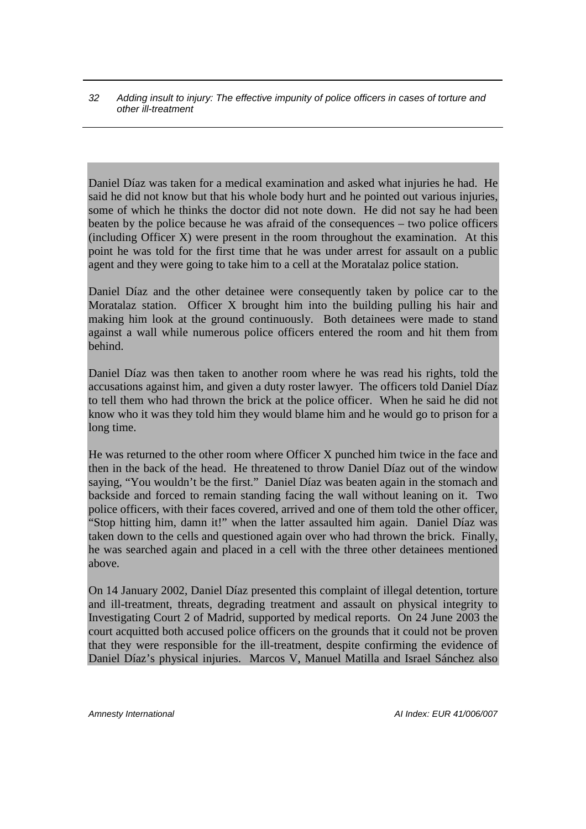Daniel Díaz was taken for a medical examination and asked what injuries he had. He said he did not know but that his whole body hurt and he pointed out various injuries, some of which he thinks the doctor did not note down. He did not say he had been beaten by the police because he was afraid of the consequences – two police officers (including Officer X) were present in the room throughout the examination. At this point he was told for the first time that he was under arrest for assault on a public agent and they were going to take him to a cell at the Moratalaz police station.

Daniel Díaz and the other detainee were consequently taken by police car to the Moratalaz station. Officer X brought him into the building pulling his hair and making him look at the ground continuously. Both detainees were made to stand against a wall while numerous police officers entered the room and hit them from behind.

Daniel Díaz was then taken to another room where he was read his rights, told the accusations against him, and given a duty roster lawyer. The officers told Daniel Díaz to tell them who had thrown the brick at the police officer. When he said he did not know who it was they told him they would blame him and he would go to prison for a long time.

He was returned to the other room where Officer X punched him twice in the face and then in the back of the head. He threatened to throw Daniel Díaz out of the window saying, "You wouldn't be the first." Daniel Díaz was beaten again in the stomach and backside and forced to remain standing facing the wall without leaning on it. Two police officers, with their faces covered, arrived and one of them told the other officer, "Stop hitting him, damn it!" when the latter assaulted him again. Daniel Díaz was taken down to the cells and questioned again over who had thrown the brick. Finally, he was searched again and placed in a cell with the three other detainees mentioned above.

On 14 January 2002, Daniel Díaz presented this complaint of illegal detention, torture and ill-treatment, threats, degrading treatment and assault on physical integrity to Investigating Court 2 of Madrid, supported by medical reports. On 24 June 2003 the court acquitted both accused police officers on the grounds that it could not be proven that they were responsible for the ill-treatment, despite confirming the evidence of Daniel Díaz's physical injuries. Marcos V, Manuel Matilla and Israel Sánchez also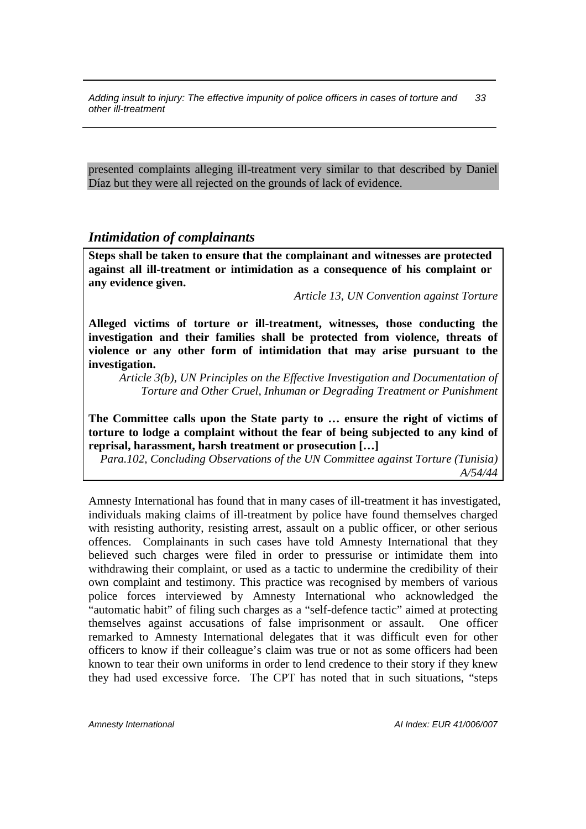presented complaints alleging ill-treatment very similar to that described by Daniel Díaz but they were all rejected on the grounds of lack of evidence.

#### *Intimidation of complainants*

**Steps shall be taken to ensure that the complainant and witnesses are protected against all ill-treatment or intimidation as a consequence of his complaint or any evidence given.** 

*Article 13, UN Convention against Torture* 

**Alleged victims of torture or ill-treatment, witnesses, those conducting the investigation and their families shall be protected from violence, threats of violence or any other form of intimidation that may arise pursuant to the investigation.** 

*Article 3(b), UN Principles on the Effective Investigation and Documentation of Torture and Other Cruel, Inhuman or Degrading Treatment or Punishment*

**The Committee calls upon the State party to … ensure the right of victims of torture to lodge a complaint without the fear of being subjected to any kind of reprisal, harassment, harsh treatment or prosecution […]** 

*Para.102, Concluding Observations of the UN Committee against Torture (Tunisia) A/54/44* 

Amnesty International has found that in many cases of ill-treatment it has investigated, individuals making claims of ill-treatment by police have found themselves charged with resisting authority, resisting arrest, assault on a public officer, or other serious offences. Complainants in such cases have told Amnesty International that they believed such charges were filed in order to pressurise or intimidate them into withdrawing their complaint, or used as a tactic to undermine the credibility of their own complaint and testimony. This practice was recognised by members of various police forces interviewed by Amnesty International who acknowledged the "automatic habit" of filing such charges as a "self-defence tactic" aimed at protecting themselves against accusations of false imprisonment or assault. One officer remarked to Amnesty International delegates that it was difficult even for other officers to know if their colleague's claim was true or not as some officers had been known to tear their own uniforms in order to lend credence to their story if they knew they had used excessive force. The CPT has noted that in such situations, "steps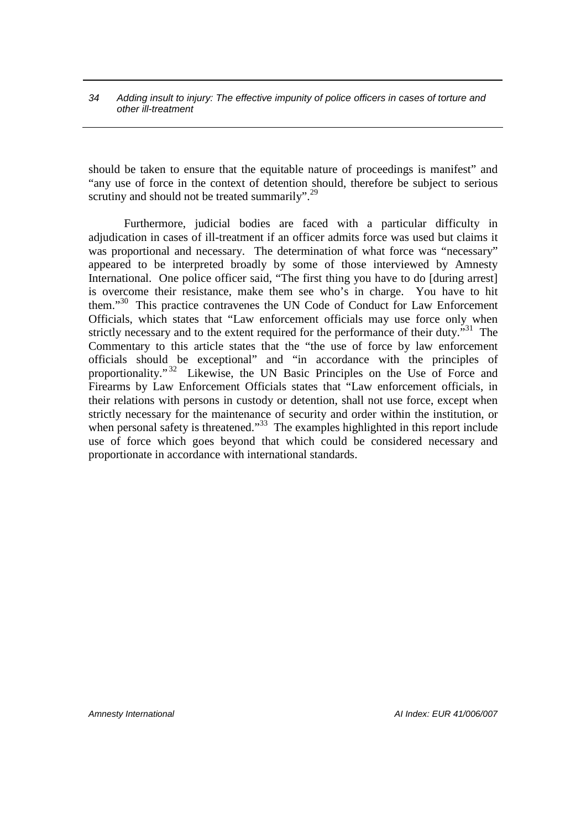should be taken to ensure that the equitable nature of proceedings is manifest" and "any use of force in the context of detention should, therefore be subject to serious scrutiny and should not be treated summarily".<sup>29</sup>

Furthermore, judicial bodies are faced with a particular difficulty in adjudication in cases of ill-treatment if an officer admits force was used but claims it was proportional and necessary. The determination of what force was "necessary" appeared to be interpreted broadly by some of those interviewed by Amnesty International. One police officer said, "The first thing you have to do [during arrest] is overcome their resistance, make them see who's in charge. You have to hit them."<sup>30</sup> This practice contravenes the UN Code of Conduct for Law Enforcement Officials, which states that "Law enforcement officials may use force only when strictly necessary and to the extent required for the performance of their duty."<sup>31</sup> The Commentary to this article states that the "the use of force by law enforcement officials should be exceptional" and "in accordance with the principles of proportionality."<sup>32</sup> Likewise, the UN Basic Principles on the Use of Force and Firearms by Law Enforcement Officials states that "Law enforcement officials, in their relations with persons in custody or detention, shall not use force, except when strictly necessary for the maintenance of security and order within the institution, or when personal safety is threatened."<sup>33</sup> The examples highlighted in this report include use of force which goes beyond that which could be considered necessary and proportionate in accordance with international standards.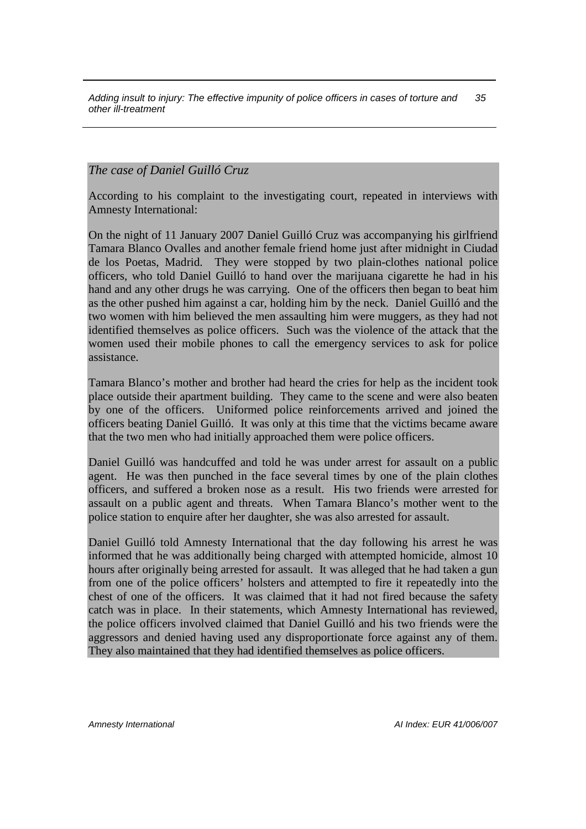#### *The case of Daniel Guilló Cruz*

According to his complaint to the investigating court, repeated in interviews with Amnesty International:

On the night of 11 January 2007 Daniel Guilló Cruz was accompanying his girlfriend Tamara Blanco Ovalles and another female friend home just after midnight in Ciudad de los Poetas, Madrid. They were stopped by two plain-clothes national police officers, who told Daniel Guilló to hand over the marijuana cigarette he had in his hand and any other drugs he was carrying. One of the officers then began to beat him as the other pushed him against a car, holding him by the neck. Daniel Guilló and the two women with him believed the men assaulting him were muggers, as they had not identified themselves as police officers. Such was the violence of the attack that the women used their mobile phones to call the emergency services to ask for police assistance.

Tamara Blanco's mother and brother had heard the cries for help as the incident took place outside their apartment building. They came to the scene and were also beaten by one of the officers. Uniformed police reinforcements arrived and joined the officers beating Daniel Guilló. It was only at this time that the victims became aware that the two men who had initially approached them were police officers.

Daniel Guilló was handcuffed and told he was under arrest for assault on a public agent. He was then punched in the face several times by one of the plain clothes officers, and suffered a broken nose as a result. His two friends were arrested for assault on a public agent and threats. When Tamara Blanco's mother went to the police station to enquire after her daughter, she was also arrested for assault.

Daniel Guilló told Amnesty International that the day following his arrest he was informed that he was additionally being charged with attempted homicide, almost 10 hours after originally being arrested for assault. It was alleged that he had taken a gun from one of the police officers' holsters and attempted to fire it repeatedly into the chest of one of the officers. It was claimed that it had not fired because the safety catch was in place. In their statements, which Amnesty International has reviewed, the police officers involved claimed that Daniel Guilló and his two friends were the aggressors and denied having used any disproportionate force against any of them. They also maintained that they had identified themselves as police officers.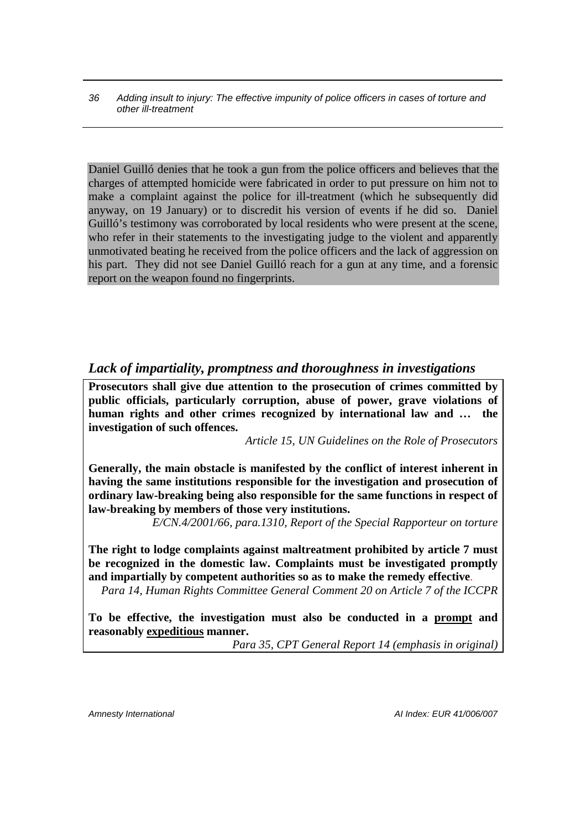Daniel Guilló denies that he took a gun from the police officers and believes that the charges of attempted homicide were fabricated in order to put pressure on him not to make a complaint against the police for ill-treatment (which he subsequently did anyway, on 19 January) or to discredit his version of events if he did so. Daniel Guilló's testimony was corroborated by local residents who were present at the scene, who refer in their statements to the investigating judge to the violent and apparently unmotivated beating he received from the police officers and the lack of aggression on his part. They did not see Daniel Guilló reach for a gun at any time, and a forensic report on the weapon found no fingerprints.

#### *Lack of impartiality, promptness and thoroughness in investigations*

**Prosecutors shall give due attention to the prosecution of crimes committed by public officials, particularly corruption, abuse of power, grave violations of human rights and other crimes recognized by international law and … the investigation of such offences.** 

*Article 15, UN Guidelines on the Role of Prosecutors*

**Generally, the main obstacle is manifested by the conflict of interest inherent in having the same institutions responsible for the investigation and prosecution of ordinary law-breaking being also responsible for the same functions in respect of law-breaking by members of those very institutions.**

*E/CN.4/2001/66, para.1310, Report of the Special Rapporteur on torture*

**The right to lodge complaints against maltreatment prohibited by article 7 must be recognized in the domestic law. Complaints must be investigated promptly and impartially by competent authorities so as to make the remedy effective**.

*Para 14, Human Rights Committee General Comment 20 on Article 7 of the ICCPR*

**To be effective, the investigation must also be conducted in a prompt and reasonably expeditious manner.** 

*Para 35, CPT General Report 14 (emphasis in original)*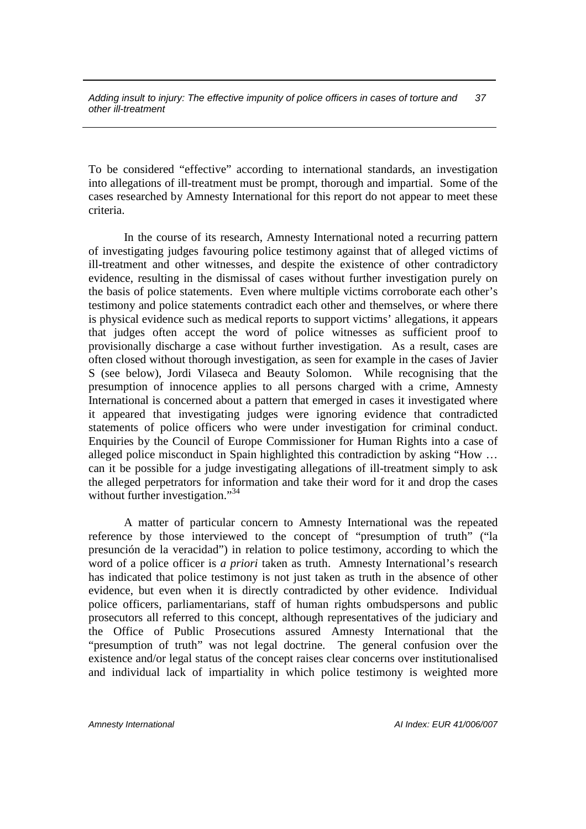To be considered "effective" according to international standards, an investigation into allegations of ill-treatment must be prompt, thorough and impartial. Some of the cases researched by Amnesty International for this report do not appear to meet these criteria.

In the course of its research, Amnesty International noted a recurring pattern of investigating judges favouring police testimony against that of alleged victims of ill-treatment and other witnesses, and despite the existence of other contradictory evidence, resulting in the dismissal of cases without further investigation purely on the basis of police statements. Even where multiple victims corroborate each other's testimony and police statements contradict each other and themselves, or where there is physical evidence such as medical reports to support victims' allegations, it appears that judges often accept the word of police witnesses as sufficient proof to provisionally discharge a case without further investigation. As a result, cases are often closed without thorough investigation, as seen for example in the cases of Javier S (see below), Jordi Vilaseca and Beauty Solomon. While recognising that the presumption of innocence applies to all persons charged with a crime, Amnesty International is concerned about a pattern that emerged in cases it investigated where it appeared that investigating judges were ignoring evidence that contradicted statements of police officers who were under investigation for criminal conduct. Enquiries by the Council of Europe Commissioner for Human Rights into a case of alleged police misconduct in Spain highlighted this contradiction by asking "How … can it be possible for a judge investigating allegations of ill-treatment simply to ask the alleged perpetrators for information and take their word for it and drop the cases without further investigation."<sup>34</sup>

A matter of particular concern to Amnesty International was the repeated reference by those interviewed to the concept of "presumption of truth" ("la presunción de la veracidad") in relation to police testimony, according to which the word of a police officer is *a priori* taken as truth. Amnesty International's research has indicated that police testimony is not just taken as truth in the absence of other evidence, but even when it is directly contradicted by other evidence. Individual police officers, parliamentarians, staff of human rights ombudspersons and public prosecutors all referred to this concept, although representatives of the judiciary and the Office of Public Prosecutions assured Amnesty International that the "presumption of truth" was not legal doctrine. The general confusion over the existence and/or legal status of the concept raises clear concerns over institutionalised and individual lack of impartiality in which police testimony is weighted more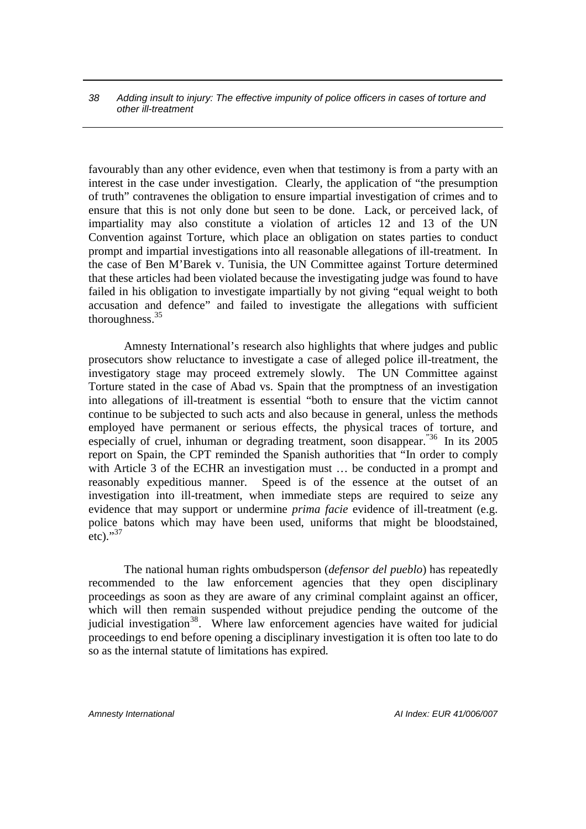favourably than any other evidence, even when that testimony is from a party with an interest in the case under investigation. Clearly, the application of "the presumption of truth" contravenes the obligation to ensure impartial investigation of crimes and to ensure that this is not only done but seen to be done. Lack, or perceived lack, of impartiality may also constitute a violation of articles 12 and 13 of the UN Convention against Torture, which place an obligation on states parties to conduct prompt and impartial investigations into all reasonable allegations of ill-treatment. In the case of Ben M'Barek v. Tunisia, the UN Committee against Torture determined that these articles had been violated because the investigating judge was found to have failed in his obligation to investigate impartially by not giving "equal weight to both accusation and defence" and failed to investigate the allegations with sufficient thoroughness.<sup>35</sup>

Amnesty International's research also highlights that where judges and public prosecutors show reluctance to investigate a case of alleged police ill-treatment, the investigatory stage may proceed extremely slowly. The UN Committee against Torture stated in the case of Abad vs. Spain that the promptness of an investigation into allegations of ill-treatment is essential "both to ensure that the victim cannot continue to be subjected to such acts and also because in general, unless the methods employed have permanent or serious effects, the physical traces of torture, and especially of cruel, inhuman or degrading treatment, soon disappear."36 In its 2005 report on Spain, the CPT reminded the Spanish authorities that "In order to comply with Article 3 of the ECHR an investigation must ... be conducted in a prompt and reasonably expeditious manner. Speed is of the essence at the outset of an investigation into ill-treatment, when immediate steps are required to seize any evidence that may support or undermine *prima facie* evidence of ill-treatment (e.g. police batons which may have been used, uniforms that might be bloodstained,  $etc).$ <sup>37</sup>

 The national human rights ombudsperson (*defensor del pueblo*) has repeatedly recommended to the law enforcement agencies that they open disciplinary proceedings as soon as they are aware of any criminal complaint against an officer, which will then remain suspended without prejudice pending the outcome of the judicial investigation<sup>38</sup>. Where law enforcement agencies have waited for judicial proceedings to end before opening a disciplinary investigation it is often too late to do so as the internal statute of limitations has expired.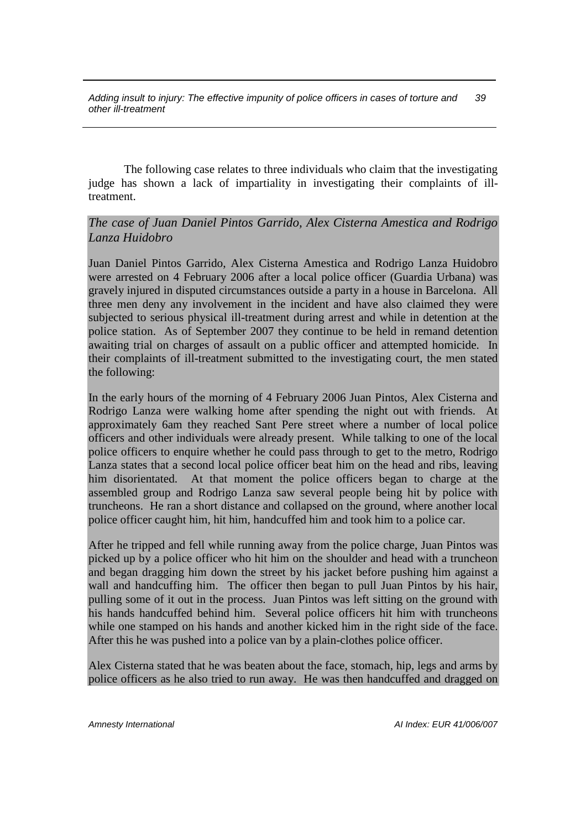The following case relates to three individuals who claim that the investigating judge has shown a lack of impartiality in investigating their complaints of illtreatment.

#### *The case of Juan Daniel Pintos Garrido, Alex Cisterna Amestica and Rodrigo Lanza Huidobro*

Juan Daniel Pintos Garrido, Alex Cisterna Amestica and Rodrigo Lanza Huidobro were arrested on 4 February 2006 after a local police officer (Guardia Urbana) was gravely injured in disputed circumstances outside a party in a house in Barcelona. All three men deny any involvement in the incident and have also claimed they were subjected to serious physical ill-treatment during arrest and while in detention at the police station. As of September 2007 they continue to be held in remand detention awaiting trial on charges of assault on a public officer and attempted homicide. In their complaints of ill-treatment submitted to the investigating court, the men stated the following:

In the early hours of the morning of 4 February 2006 Juan Pintos, Alex Cisterna and Rodrigo Lanza were walking home after spending the night out with friends. At approximately 6am they reached Sant Pere street where a number of local police officers and other individuals were already present. While talking to one of the local police officers to enquire whether he could pass through to get to the metro, Rodrigo Lanza states that a second local police officer beat him on the head and ribs, leaving him disorientated. At that moment the police officers began to charge at the assembled group and Rodrigo Lanza saw several people being hit by police with truncheons. He ran a short distance and collapsed on the ground, where another local police officer caught him, hit him, handcuffed him and took him to a police car.

After he tripped and fell while running away from the police charge, Juan Pintos was picked up by a police officer who hit him on the shoulder and head with a truncheon and began dragging him down the street by his jacket before pushing him against a wall and handcuffing him. The officer then began to pull Juan Pintos by his hair, pulling some of it out in the process. Juan Pintos was left sitting on the ground with his hands handcuffed behind him. Several police officers hit him with truncheons while one stamped on his hands and another kicked him in the right side of the face. After this he was pushed into a police van by a plain-clothes police officer.

Alex Cisterna stated that he was beaten about the face, stomach, hip, legs and arms by police officers as he also tried to run away. He was then handcuffed and dragged on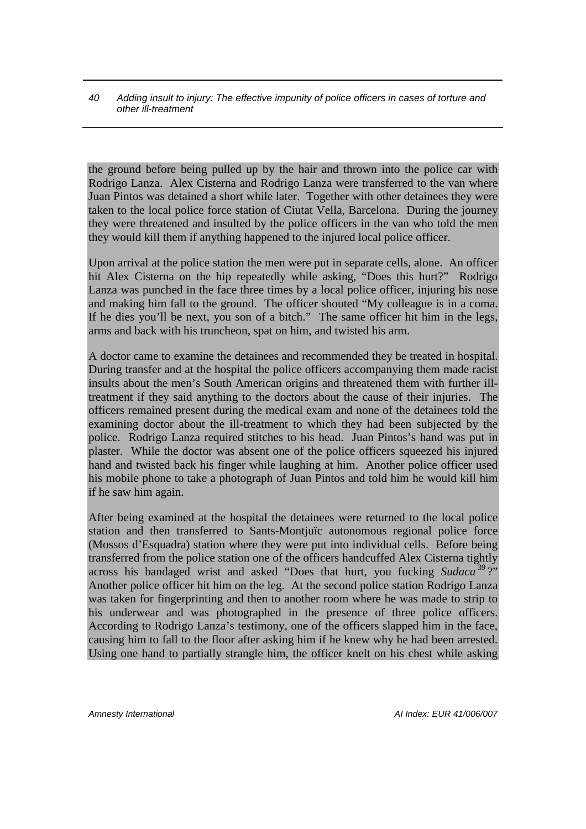the ground before being pulled up by the hair and thrown into the police car with Rodrigo Lanza. Alex Cisterna and Rodrigo Lanza were transferred to the van where Juan Pintos was detained a short while later. Together with other detainees they were taken to the local police force station of Ciutat Vella, Barcelona. During the journey they were threatened and insulted by the police officers in the van who told the men they would kill them if anything happened to the injured local police officer.

Upon arrival at the police station the men were put in separate cells, alone. An officer hit Alex Cisterna on the hip repeatedly while asking, "Does this hurt?" Rodrigo Lanza was punched in the face three times by a local police officer, injuring his nose and making him fall to the ground. The officer shouted "My colleague is in a coma. If he dies you'll be next, you son of a bitch." The same officer hit him in the legs, arms and back with his truncheon, spat on him, and twisted his arm.

A doctor came to examine the detainees and recommended they be treated in hospital. During transfer and at the hospital the police officers accompanying them made racist insults about the men's South American origins and threatened them with further illtreatment if they said anything to the doctors about the cause of their injuries. The officers remained present during the medical exam and none of the detainees told the examining doctor about the ill-treatment to which they had been subjected by the police. Rodrigo Lanza required stitches to his head. Juan Pintos's hand was put in plaster. While the doctor was absent one of the police officers squeezed his injured hand and twisted back his finger while laughing at him. Another police officer used his mobile phone to take a photograph of Juan Pintos and told him he would kill him if he saw him again.

After being examined at the hospital the detainees were returned to the local police station and then transferred to Sants-Montjuïc autonomous regional police force (Mossos d'Esquadra) station where they were put into individual cells. Before being transferred from the police station one of the officers handcuffed Alex Cisterna tightly across his bandaged wrist and asked "Does that hurt, you fucking *Sudaca*<sup>39</sup>?" Another police officer hit him on the leg. At the second police station Rodrigo Lanza was taken for fingerprinting and then to another room where he was made to strip to his underwear and was photographed in the presence of three police officers. According to Rodrigo Lanza's testimony, one of the officers slapped him in the face, causing him to fall to the floor after asking him if he knew why he had been arrested. Using one hand to partially strangle him, the officer knelt on his chest while asking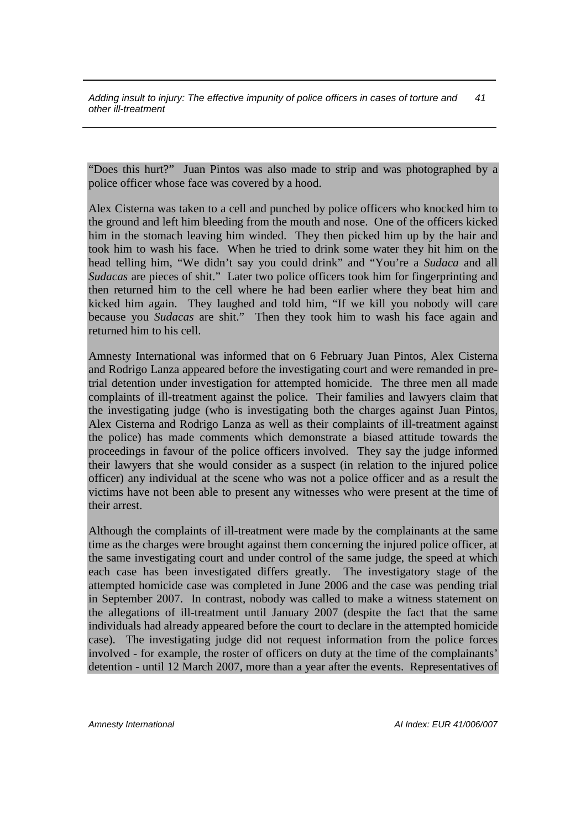"Does this hurt?" Juan Pintos was also made to strip and was photographed by a police officer whose face was covered by a hood.

Alex Cisterna was taken to a cell and punched by police officers who knocked him to the ground and left him bleeding from the mouth and nose. One of the officers kicked him in the stomach leaving him winded. They then picked him up by the hair and took him to wash his face. When he tried to drink some water they hit him on the head telling him, "We didn't say you could drink" and "You're a *Sudaca* and all *Sudacas* are pieces of shit." Later two police officers took him for fingerprinting and then returned him to the cell where he had been earlier where they beat him and kicked him again. They laughed and told him, "If we kill you nobody will care because you *Sudacas* are shit." Then they took him to wash his face again and returned him to his cell.

Amnesty International was informed that on 6 February Juan Pintos, Alex Cisterna and Rodrigo Lanza appeared before the investigating court and were remanded in pretrial detention under investigation for attempted homicide. The three men all made complaints of ill-treatment against the police. Their families and lawyers claim that the investigating judge (who is investigating both the charges against Juan Pintos, Alex Cisterna and Rodrigo Lanza as well as their complaints of ill-treatment against the police) has made comments which demonstrate a biased attitude towards the proceedings in favour of the police officers involved. They say the judge informed their lawyers that she would consider as a suspect (in relation to the injured police officer) any individual at the scene who was not a police officer and as a result the victims have not been able to present any witnesses who were present at the time of their arrest.

Although the complaints of ill-treatment were made by the complainants at the same time as the charges were brought against them concerning the injured police officer, at the same investigating court and under control of the same judge, the speed at which each case has been investigated differs greatly. The investigatory stage of the attempted homicide case was completed in June 2006 and the case was pending trial in September 2007. In contrast, nobody was called to make a witness statement on the allegations of ill-treatment until January 2007 (despite the fact that the same individuals had already appeared before the court to declare in the attempted homicide case). The investigating judge did not request information from the police forces involved - for example, the roster of officers on duty at the time of the complainants' detention - until 12 March 2007, more than a year after the events. Representatives of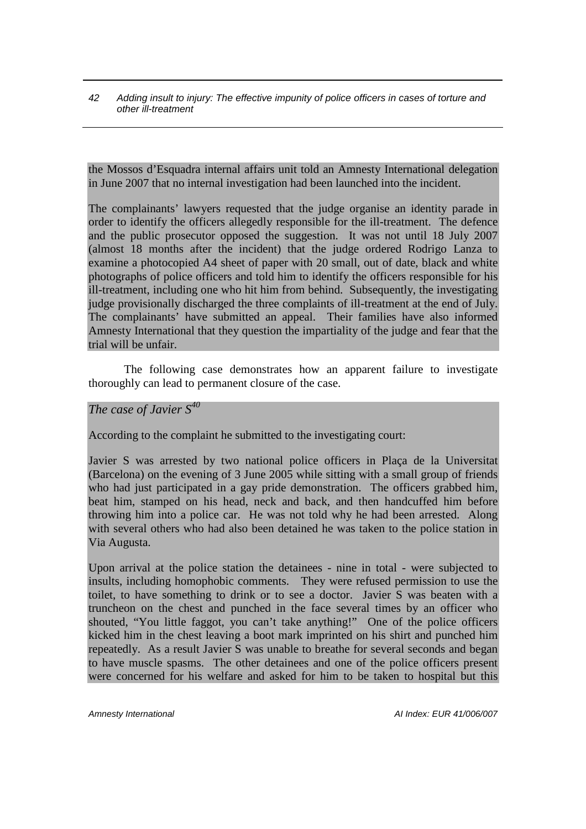the Mossos d'Esquadra internal affairs unit told an Amnesty International delegation in June 2007 that no internal investigation had been launched into the incident.

The complainants' lawyers requested that the judge organise an identity parade in order to identify the officers allegedly responsible for the ill-treatment. The defence and the public prosecutor opposed the suggestion. It was not until 18 July 2007 (almost 18 months after the incident) that the judge ordered Rodrigo Lanza to examine a photocopied A4 sheet of paper with 20 small, out of date, black and white photographs of police officers and told him to identify the officers responsible for his ill-treatment, including one who hit him from behind. Subsequently, the investigating judge provisionally discharged the three complaints of ill-treatment at the end of July. The complainants' have submitted an appeal. Their families have also informed Amnesty International that they question the impartiality of the judge and fear that the trial will be unfair.

The following case demonstrates how an apparent failure to investigate thoroughly can lead to permanent closure of the case.

*The case of Javier S<sup>40</sup>*

According to the complaint he submitted to the investigating court:

Javier S was arrested by two national police officers in Plaça de la Universitat (Barcelona) on the evening of 3 June 2005 while sitting with a small group of friends who had just participated in a gay pride demonstration. The officers grabbed him, beat him, stamped on his head, neck and back, and then handcuffed him before throwing him into a police car. He was not told why he had been arrested. Along with several others who had also been detained he was taken to the police station in Via Augusta.

Upon arrival at the police station the detainees - nine in total - were subjected to insults, including homophobic comments. They were refused permission to use the toilet, to have something to drink or to see a doctor. Javier S was beaten with a truncheon on the chest and punched in the face several times by an officer who shouted, "You little faggot, you can't take anything!" One of the police officers kicked him in the chest leaving a boot mark imprinted on his shirt and punched him repeatedly. As a result Javier S was unable to breathe for several seconds and began to have muscle spasms. The other detainees and one of the police officers present were concerned for his welfare and asked for him to be taken to hospital but this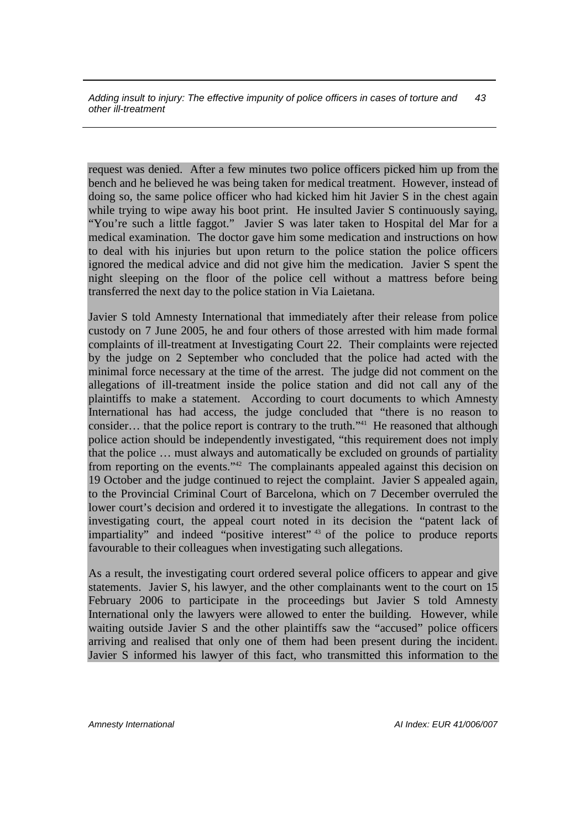request was denied. After a few minutes two police officers picked him up from the bench and he believed he was being taken for medical treatment. However, instead of doing so, the same police officer who had kicked him hit Javier S in the chest again while trying to wipe away his boot print. He insulted Javier S continuously saying, "You're such a little faggot." Javier S was later taken to Hospital del Mar for a medical examination. The doctor gave him some medication and instructions on how to deal with his injuries but upon return to the police station the police officers ignored the medical advice and did not give him the medication. Javier S spent the night sleeping on the floor of the police cell without a mattress before being transferred the next day to the police station in Via Laietana.

Javier S told Amnesty International that immediately after their release from police custody on 7 June 2005, he and four others of those arrested with him made formal complaints of ill-treatment at Investigating Court 22. Their complaints were rejected by the judge on 2 September who concluded that the police had acted with the minimal force necessary at the time of the arrest. The judge did not comment on the allegations of ill-treatment inside the police station and did not call any of the plaintiffs to make a statement. According to court documents to which Amnesty International has had access, the judge concluded that "there is no reason to consider… that the police report is contrary to the truth."<sup>41</sup> He reasoned that although police action should be independently investigated, "this requirement does not imply that the police … must always and automatically be excluded on grounds of partiality from reporting on the events."<sup>42</sup> The complainants appealed against this decision on 19 October and the judge continued to reject the complaint. Javier S appealed again, to the Provincial Criminal Court of Barcelona, which on 7 December overruled the lower court's decision and ordered it to investigate the allegations. In contrast to the investigating court, the appeal court noted in its decision the "patent lack of impartiality" and indeed "positive interest"  $43$  of the police to produce reports favourable to their colleagues when investigating such allegations.

As a result, the investigating court ordered several police officers to appear and give statements. Javier S, his lawyer, and the other complainants went to the court on 15 February 2006 to participate in the proceedings but Javier S told Amnesty International only the lawyers were allowed to enter the building. However, while waiting outside Javier S and the other plaintiffs saw the "accused" police officers arriving and realised that only one of them had been present during the incident. Javier S informed his lawyer of this fact, who transmitted this information to the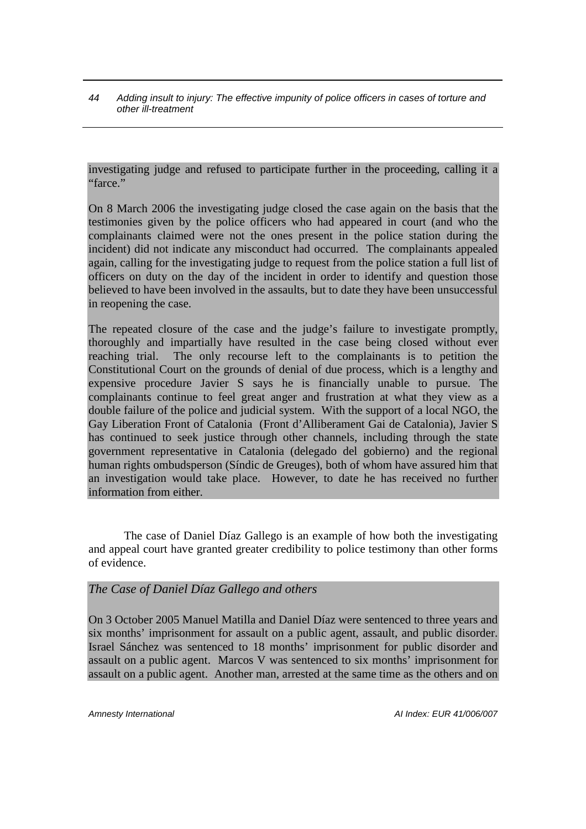investigating judge and refused to participate further in the proceeding, calling it a "farce."

On 8 March 2006 the investigating judge closed the case again on the basis that the testimonies given by the police officers who had appeared in court (and who the complainants claimed were not the ones present in the police station during the incident) did not indicate any misconduct had occurred. The complainants appealed again, calling for the investigating judge to request from the police station a full list of officers on duty on the day of the incident in order to identify and question those believed to have been involved in the assaults, but to date they have been unsuccessful in reopening the case.

The repeated closure of the case and the judge's failure to investigate promptly, thoroughly and impartially have resulted in the case being closed without ever reaching trial. The only recourse left to the complainants is to petition the Constitutional Court on the grounds of denial of due process, which is a lengthy and expensive procedure Javier S says he is financially unable to pursue. The complainants continue to feel great anger and frustration at what they view as a double failure of the police and judicial system. With the support of a local NGO, the Gay Liberation Front of Catalonia (Front d'Alliberament Gai de Catalonia), Javier S has continued to seek justice through other channels, including through the state government representative in Catalonia (delegado del gobierno) and the regional human rights ombudsperson (Síndic de Greuges), both of whom have assured him that an investigation would take place. However, to date he has received no further information from either.

The case of Daniel Díaz Gallego is an example of how both the investigating and appeal court have granted greater credibility to police testimony than other forms of evidence.

#### *The Case of Daniel Díaz Gallego and others*

On 3 October 2005 Manuel Matilla and Daniel Díaz were sentenced to three years and six months' imprisonment for assault on a public agent, assault, and public disorder. Israel Sánchez was sentenced to 18 months' imprisonment for public disorder and assault on a public agent. Marcos V was sentenced to six months' imprisonment for assault on a public agent. Another man, arrested at the same time as the others and on

Amnesty International **All and August 2008/007** All and AI Index: EUR 41/006/007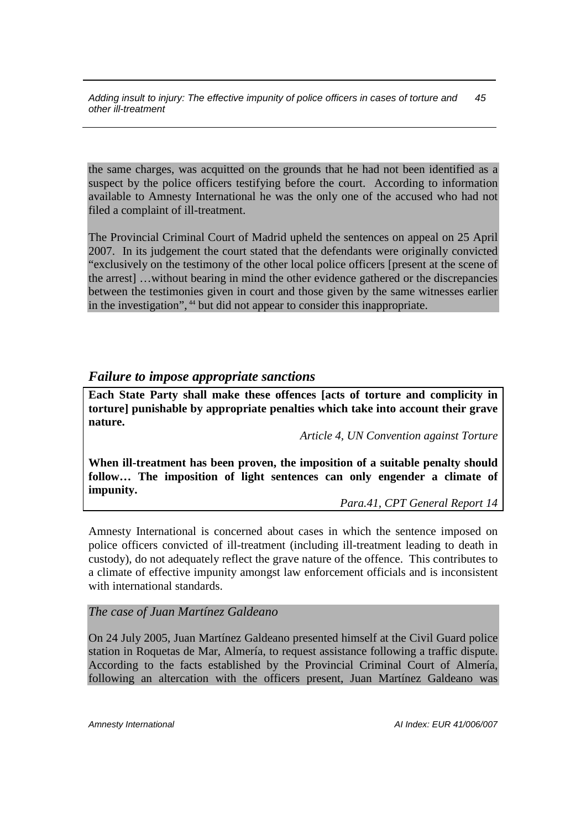the same charges, was acquitted on the grounds that he had not been identified as a suspect by the police officers testifying before the court. According to information available to Amnesty International he was the only one of the accused who had not filed a complaint of ill-treatment.

The Provincial Criminal Court of Madrid upheld the sentences on appeal on 25 April 2007. In its judgement the court stated that the defendants were originally convicted "exclusively on the testimony of the other local police officers [present at the scene of the arrest] …without bearing in mind the other evidence gathered or the discrepancies between the testimonies given in court and those given by the same witnesses earlier in the investigation", <sup>44</sup> but did not appear to consider this inappropriate.

#### *Failure to impose appropriate sanctions*

**Each State Party shall make these offences [acts of torture and complicity in torture] punishable by appropriate penalties which take into account their grave nature.** 

*Article 4, UN Convention against Torture*

**When ill-treatment has been proven, the imposition of a suitable penalty should follow… The imposition of light sentences can only engender a climate of impunity.** 

*Para.41, CPT General Report 14*

Amnesty International is concerned about cases in which the sentence imposed on police officers convicted of ill-treatment (including ill-treatment leading to death in custody), do not adequately reflect the grave nature of the offence. This contributes to a climate of effective impunity amongst law enforcement officials and is inconsistent with international standards.

#### *The case of Juan Martínez Galdeano*

On 24 July 2005, Juan Martínez Galdeano presented himself at the Civil Guard police station in Roquetas de Mar, Almería, to request assistance following a traffic dispute. According to the facts established by the Provincial Criminal Court of Almería, following an altercation with the officers present, Juan Martínez Galdeano was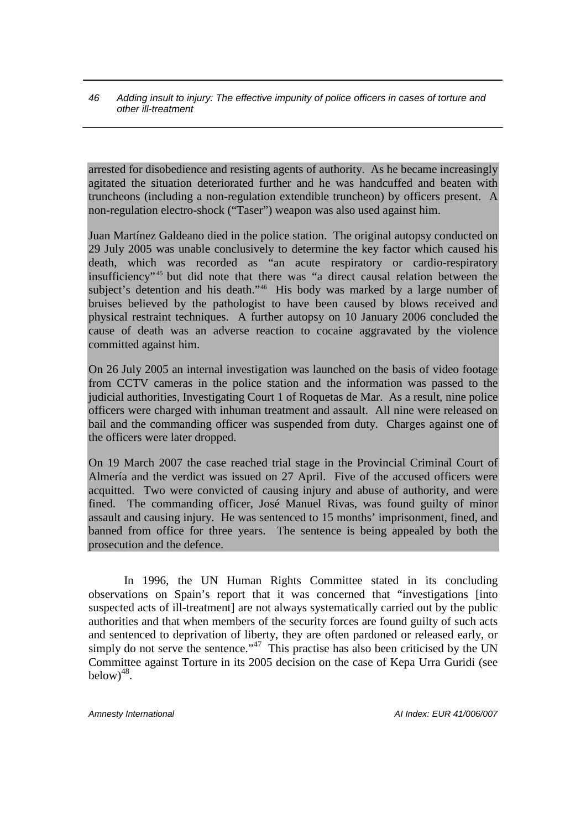arrested for disobedience and resisting agents of authority. As he became increasingly agitated the situation deteriorated further and he was handcuffed and beaten with truncheons (including a non-regulation extendible truncheon) by officers present. A non-regulation electro-shock ("Taser") weapon was also used against him.

Juan Martínez Galdeano died in the police station. The original autopsy conducted on 29 July 2005 was unable conclusively to determine the key factor which caused his death, which was recorded as "an acute respiratory or cardio-respiratory insufficiency" <sup>45</sup> but did note that there was "a direct causal relation between the subject's detention and his death."<sup>46</sup> His body was marked by a large number of bruises believed by the pathologist to have been caused by blows received and physical restraint techniques. A further autopsy on 10 January 2006 concluded the cause of death was an adverse reaction to cocaine aggravated by the violence committed against him.

On 26 July 2005 an internal investigation was launched on the basis of video footage from CCTV cameras in the police station and the information was passed to the judicial authorities, Investigating Court 1 of Roquetas de Mar. As a result, nine police officers were charged with inhuman treatment and assault. All nine were released on bail and the commanding officer was suspended from duty. Charges against one of the officers were later dropped.

On 19 March 2007 the case reached trial stage in the Provincial Criminal Court of Almería and the verdict was issued on 27 April. Five of the accused officers were acquitted. Two were convicted of causing injury and abuse of authority, and were fined. The commanding officer, José Manuel Rivas, was found guilty of minor assault and causing injury. He was sentenced to 15 months' imprisonment, fined, and banned from office for three years. The sentence is being appealed by both the prosecution and the defence.

In 1996, the UN Human Rights Committee stated in its concluding observations on Spain's report that it was concerned that "investigations [into suspected acts of ill-treatment] are not always systematically carried out by the public authorities and that when members of the security forces are found guilty of such acts and sentenced to deprivation of liberty, they are often pardoned or released early, or simply do not serve the sentence." $47$  This practise has also been criticised by the UN Committee against Torture in its 2005 decision on the case of Kepa Urra Guridi (see below) $48$ .

Amnesty International **All and August 2008/007** All and AI Index: EUR 41/006/007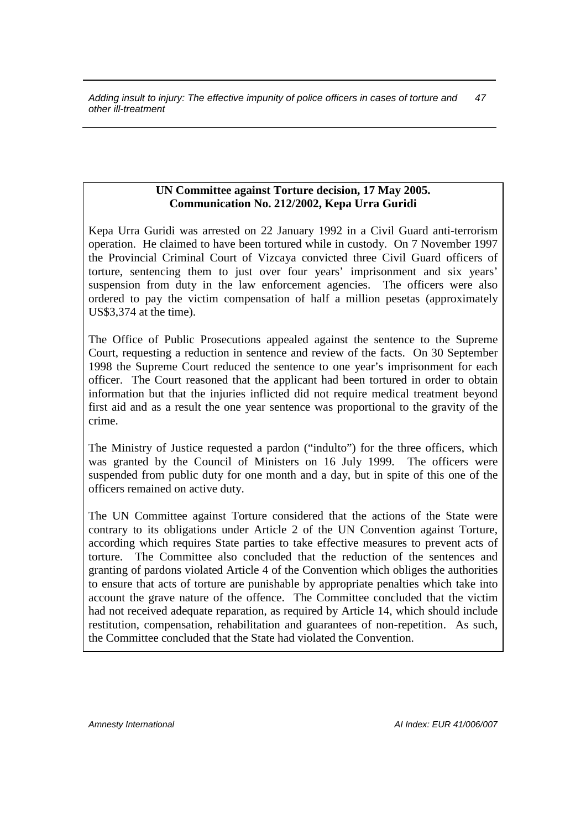#### **UN Committee against Torture decision, 17 May 2005. Communication No. 212/2002, Kepa Urra Guridi**

Kepa Urra Guridi was arrested on 22 January 1992 in a Civil Guard anti-terrorism operation. He claimed to have been tortured while in custody. On 7 November 1997 the Provincial Criminal Court of Vizcaya convicted three Civil Guard officers of torture, sentencing them to just over four years' imprisonment and six years' suspension from duty in the law enforcement agencies. The officers were also ordered to pay the victim compensation of half a million pesetas (approximately US\$3,374 at the time).

The Office of Public Prosecutions appealed against the sentence to the Supreme Court, requesting a reduction in sentence and review of the facts. On 30 September 1998 the Supreme Court reduced the sentence to one year's imprisonment for each officer. The Court reasoned that the applicant had been tortured in order to obtain information but that the injuries inflicted did not require medical treatment beyond first aid and as a result the one year sentence was proportional to the gravity of the crime.

The Ministry of Justice requested a pardon ("indulto") for the three officers, which was granted by the Council of Ministers on 16 July 1999. The officers were suspended from public duty for one month and a day, but in spite of this one of the officers remained on active duty.

The UN Committee against Torture considered that the actions of the State were contrary to its obligations under Article 2 of the UN Convention against Torture, according which requires State parties to take effective measures to prevent acts of torture. The Committee also concluded that the reduction of the sentences and granting of pardons violated Article 4 of the Convention which obliges the authorities to ensure that acts of torture are punishable by appropriate penalties which take into account the grave nature of the offence. The Committee concluded that the victim had not received adequate reparation, as required by Article 14, which should include restitution, compensation, rehabilitation and guarantees of non-repetition. As such, the Committee concluded that the State had violated the Convention.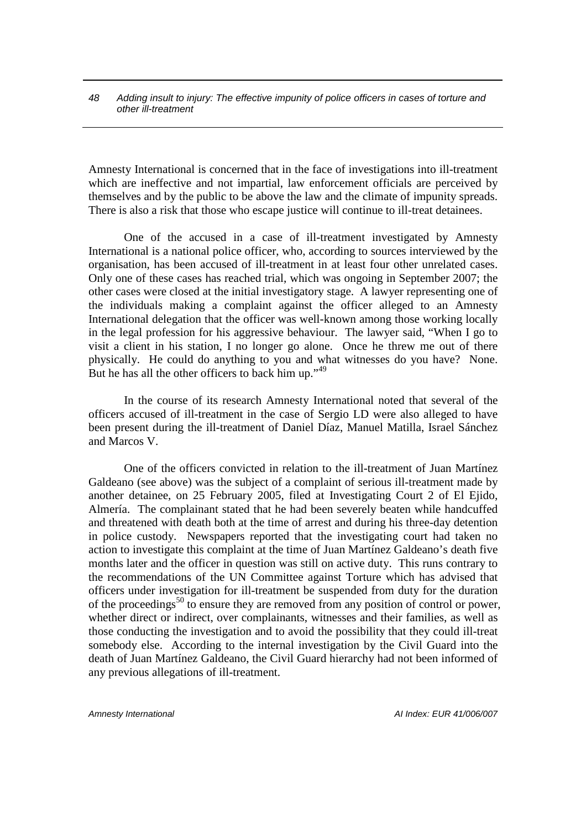Amnesty International is concerned that in the face of investigations into ill-treatment which are ineffective and not impartial, law enforcement officials are perceived by themselves and by the public to be above the law and the climate of impunity spreads. There is also a risk that those who escape justice will continue to ill-treat detainees.

One of the accused in a case of ill-treatment investigated by Amnesty International is a national police officer, who, according to sources interviewed by the organisation, has been accused of ill-treatment in at least four other unrelated cases. Only one of these cases has reached trial, which was ongoing in September 2007; the other cases were closed at the initial investigatory stage. A lawyer representing one of the individuals making a complaint against the officer alleged to an Amnesty International delegation that the officer was well-known among those working locally in the legal profession for his aggressive behaviour. The lawyer said, "When I go to visit a client in his station, I no longer go alone. Once he threw me out of there physically. He could do anything to you and what witnesses do you have? None. But he has all the other officers to back him up."<sup>49</sup>

In the course of its research Amnesty International noted that several of the officers accused of ill-treatment in the case of Sergio LD were also alleged to have been present during the ill-treatment of Daniel Díaz, Manuel Matilla, Israel Sánchez and Marcos V.

One of the officers convicted in relation to the ill-treatment of Juan Martínez Galdeano (see above) was the subject of a complaint of serious ill-treatment made by another detainee, on 25 February 2005, filed at Investigating Court 2 of El Ejido, Almería. The complainant stated that he had been severely beaten while handcuffed and threatened with death both at the time of arrest and during his three-day detention in police custody. Newspapers reported that the investigating court had taken no action to investigate this complaint at the time of Juan Martínez Galdeano's death five months later and the officer in question was still on active duty. This runs contrary to the recommendations of the UN Committee against Torture which has advised that officers under investigation for ill-treatment be suspended from duty for the duration of the proceedings<sup>50</sup> to ensure they are removed from any position of control or power, whether direct or indirect, over complainants, witnesses and their families, as well as those conducting the investigation and to avoid the possibility that they could ill-treat somebody else. According to the internal investigation by the Civil Guard into the death of Juan Martínez Galdeano, the Civil Guard hierarchy had not been informed of any previous allegations of ill-treatment.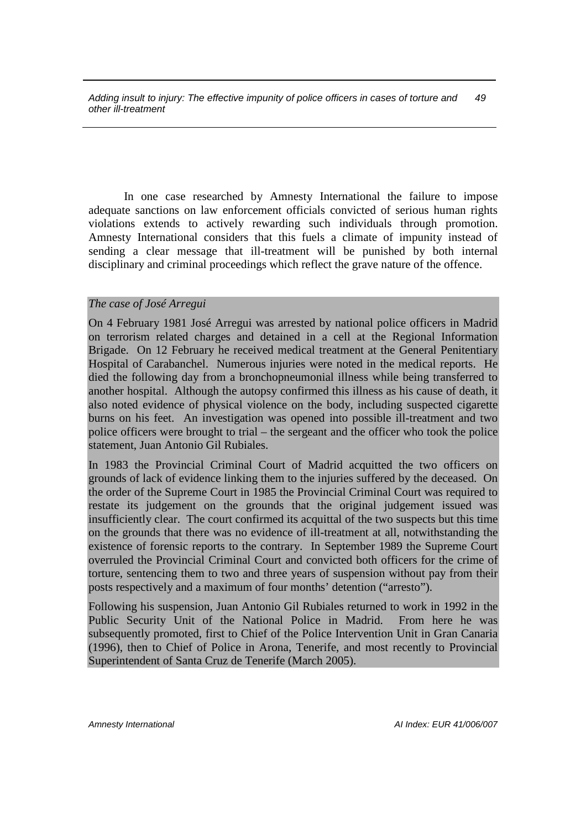In one case researched by Amnesty International the failure to impose adequate sanctions on law enforcement officials convicted of serious human rights violations extends to actively rewarding such individuals through promotion. Amnesty International considers that this fuels a climate of impunity instead of sending a clear message that ill-treatment will be punished by both internal disciplinary and criminal proceedings which reflect the grave nature of the offence.

#### *The case of José Arregui*

On 4 February 1981 José Arregui was arrested by national police officers in Madrid on terrorism related charges and detained in a cell at the Regional Information Brigade. On 12 February he received medical treatment at the General Penitentiary Hospital of Carabanchel. Numerous injuries were noted in the medical reports. He died the following day from a bronchopneumonial illness while being transferred to another hospital. Although the autopsy confirmed this illness as his cause of death, it also noted evidence of physical violence on the body, including suspected cigarette burns on his feet. An investigation was opened into possible ill-treatment and two police officers were brought to trial – the sergeant and the officer who took the police statement, Juan Antonio Gil Rubiales.

In 1983 the Provincial Criminal Court of Madrid acquitted the two officers on grounds of lack of evidence linking them to the injuries suffered by the deceased. On the order of the Supreme Court in 1985 the Provincial Criminal Court was required to restate its judgement on the grounds that the original judgement issued was insufficiently clear. The court confirmed its acquittal of the two suspects but this time on the grounds that there was no evidence of ill-treatment at all, notwithstanding the existence of forensic reports to the contrary. In September 1989 the Supreme Court overruled the Provincial Criminal Court and convicted both officers for the crime of torture, sentencing them to two and three years of suspension without pay from their posts respectively and a maximum of four months' detention ("arresto").

Following his suspension, Juan Antonio Gil Rubiales returned to work in 1992 in the Public Security Unit of the National Police in Madrid. From here he was subsequently promoted, first to Chief of the Police Intervention Unit in Gran Canaria (1996), then to Chief of Police in Arona, Tenerife, and most recently to Provincial Superintendent of Santa Cruz de Tenerife (March 2005).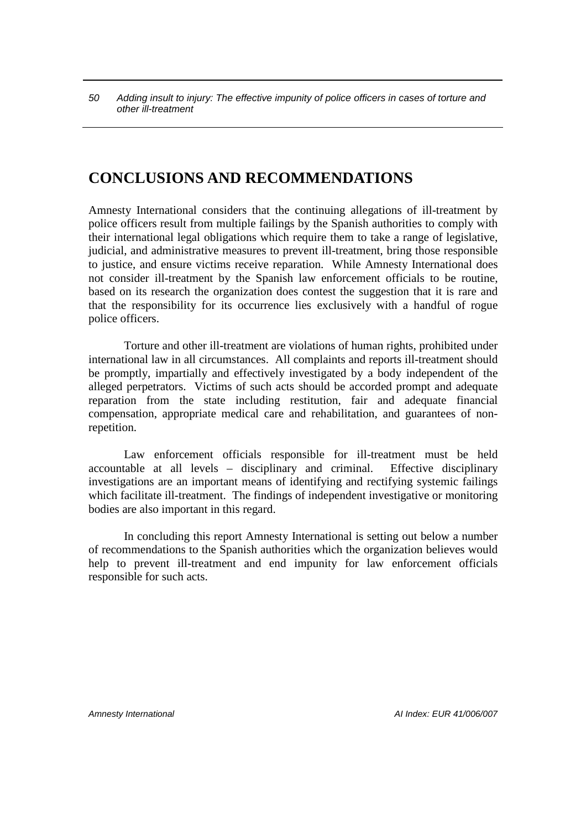# **CONCLUSIONS AND RECOMMENDATIONS**

Amnesty International considers that the continuing allegations of ill-treatment by police officers result from multiple failings by the Spanish authorities to comply with their international legal obligations which require them to take a range of legislative, judicial, and administrative measures to prevent ill-treatment, bring those responsible to justice, and ensure victims receive reparation. While Amnesty International does not consider ill-treatment by the Spanish law enforcement officials to be routine, based on its research the organization does contest the suggestion that it is rare and that the responsibility for its occurrence lies exclusively with a handful of rogue police officers.

Torture and other ill-treatment are violations of human rights, prohibited under international law in all circumstances. All complaints and reports ill-treatment should be promptly, impartially and effectively investigated by a body independent of the alleged perpetrators. Victims of such acts should be accorded prompt and adequate reparation from the state including restitution, fair and adequate financial compensation, appropriate medical care and rehabilitation, and guarantees of nonrepetition.

Law enforcement officials responsible for ill-treatment must be held accountable at all levels – disciplinary and criminal. Effective disciplinary investigations are an important means of identifying and rectifying systemic failings which facilitate ill-treatment. The findings of independent investigative or monitoring bodies are also important in this regard.

In concluding this report Amnesty International is setting out below a number of recommendations to the Spanish authorities which the organization believes would help to prevent ill-treatment and end impunity for law enforcement officials responsible for such acts.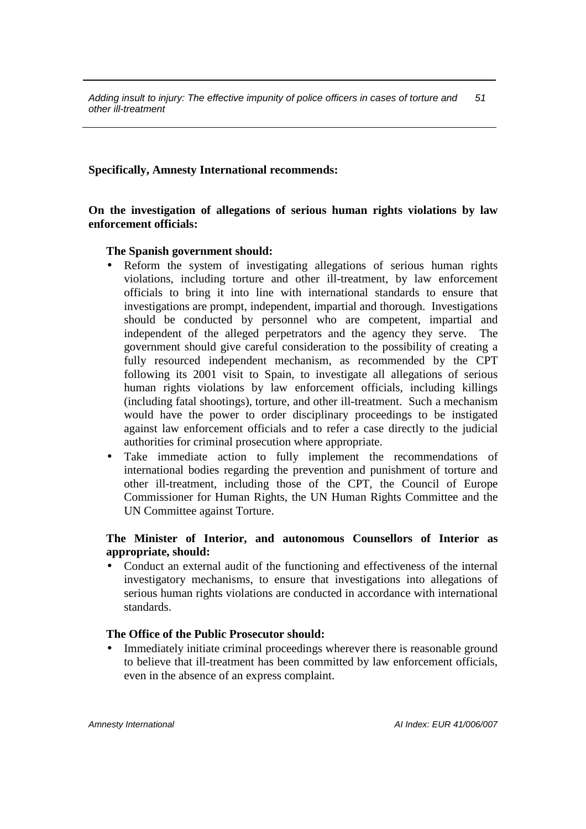**Specifically, Amnesty International recommends:** 

#### **On the investigation of allegations of serious human rights violations by law enforcement officials:**

#### **The Spanish government should:**

- Reform the system of investigating allegations of serious human rights violations, including torture and other ill-treatment, by law enforcement officials to bring it into line with international standards to ensure that investigations are prompt, independent, impartial and thorough. Investigations should be conducted by personnel who are competent, impartial and independent of the alleged perpetrators and the agency they serve. The government should give careful consideration to the possibility of creating a fully resourced independent mechanism, as recommended by the CPT following its 2001 visit to Spain, to investigate all allegations of serious human rights violations by law enforcement officials, including killings (including fatal shootings), torture, and other ill-treatment. Such a mechanism would have the power to order disciplinary proceedings to be instigated against law enforcement officials and to refer a case directly to the judicial authorities for criminal prosecution where appropriate.
- Take immediate action to fully implement the recommendations of international bodies regarding the prevention and punishment of torture and other ill-treatment, including those of the CPT, the Council of Europe Commissioner for Human Rights, the UN Human Rights Committee and the UN Committee against Torture.

#### **The Minister of Interior, and autonomous Counsellors of Interior as appropriate, should:**

• Conduct an external audit of the functioning and effectiveness of the internal investigatory mechanisms, to ensure that investigations into allegations of serious human rights violations are conducted in accordance with international standards.

#### **The Office of the Public Prosecutor should:**

• Immediately initiate criminal proceedings wherever there is reasonable ground to believe that ill-treatment has been committed by law enforcement officials, even in the absence of an express complaint.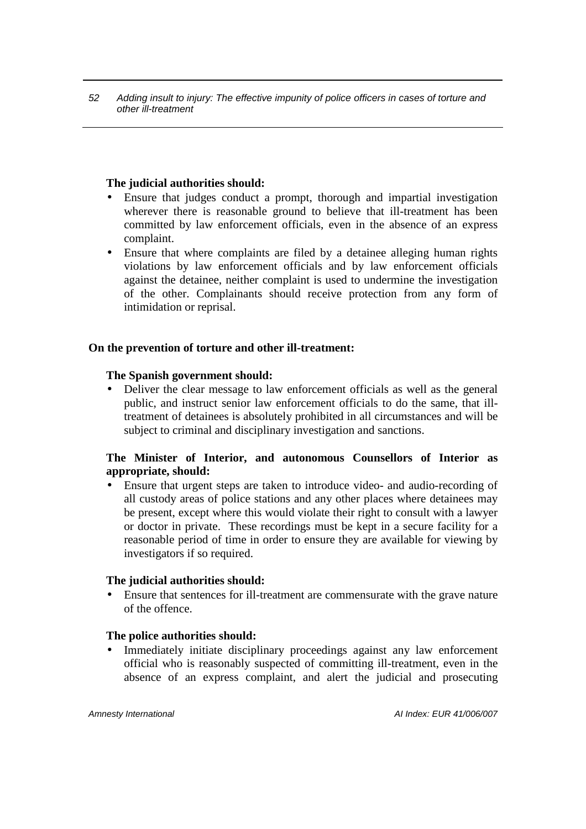#### **The judicial authorities should:**

- Ensure that judges conduct a prompt, thorough and impartial investigation wherever there is reasonable ground to believe that ill-treatment has been committed by law enforcement officials, even in the absence of an express complaint.
- Ensure that where complaints are filed by a detainee alleging human rights violations by law enforcement officials and by law enforcement officials against the detainee, neither complaint is used to undermine the investigation of the other. Complainants should receive protection from any form of intimidation or reprisal.

#### **On the prevention of torture and other ill-treatment:**

#### **The Spanish government should:**

• Deliver the clear message to law enforcement officials as well as the general public, and instruct senior law enforcement officials to do the same, that illtreatment of detainees is absolutely prohibited in all circumstances and will be subject to criminal and disciplinary investigation and sanctions.

#### **The Minister of Interior, and autonomous Counsellors of Interior as appropriate, should:**

• Ensure that urgent steps are taken to introduce video- and audio-recording of all custody areas of police stations and any other places where detainees may be present, except where this would violate their right to consult with a lawyer or doctor in private. These recordings must be kept in a secure facility for a reasonable period of time in order to ensure they are available for viewing by investigators if so required.

#### **The judicial authorities should:**

• Ensure that sentences for ill-treatment are commensurate with the grave nature of the offence.

#### **The police authorities should:**

• Immediately initiate disciplinary proceedings against any law enforcement official who is reasonably suspected of committing ill-treatment, even in the absence of an express complaint, and alert the judicial and prosecuting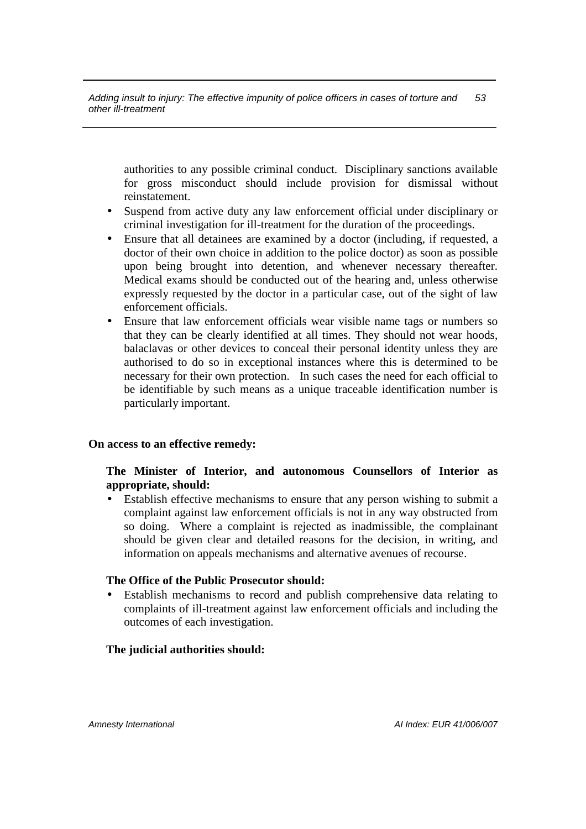authorities to any possible criminal conduct. Disciplinary sanctions available for gross misconduct should include provision for dismissal without reinstatement.

- Suspend from active duty any law enforcement official under disciplinary or criminal investigation for ill-treatment for the duration of the proceedings.
- Ensure that all detainees are examined by a doctor (including, if requested, a doctor of their own choice in addition to the police doctor) as soon as possible upon being brought into detention, and whenever necessary thereafter. Medical exams should be conducted out of the hearing and, unless otherwise expressly requested by the doctor in a particular case, out of the sight of law enforcement officials.
- Ensure that law enforcement officials wear visible name tags or numbers so that they can be clearly identified at all times. They should not wear hoods, balaclavas or other devices to conceal their personal identity unless they are authorised to do so in exceptional instances where this is determined to be necessary for their own protection. In such cases the need for each official to be identifiable by such means as a unique traceable identification number is particularly important.

#### **On access to an effective remedy:**

#### **The Minister of Interior, and autonomous Counsellors of Interior as appropriate, should:**

• Establish effective mechanisms to ensure that any person wishing to submit a complaint against law enforcement officials is not in any way obstructed from so doing. Where a complaint is rejected as inadmissible, the complainant should be given clear and detailed reasons for the decision, in writing, and information on appeals mechanisms and alternative avenues of recourse.

#### **The Office of the Public Prosecutor should:**

• Establish mechanisms to record and publish comprehensive data relating to complaints of ill-treatment against law enforcement officials and including the outcomes of each investigation.

#### **The judicial authorities should:**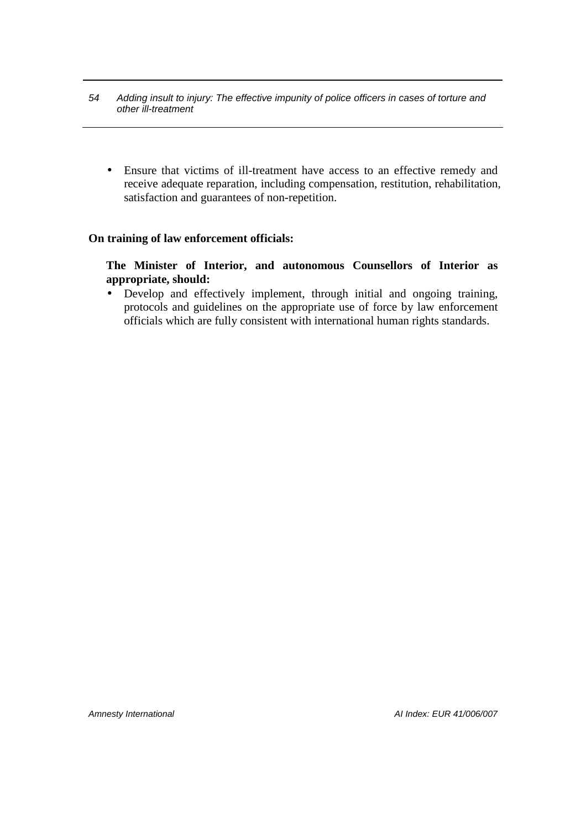- 54 Adding insult to injury: The effective impunity of police officers in cases of torture and other ill-treatment
	- Ensure that victims of ill-treatment have access to an effective remedy and receive adequate reparation, including compensation, restitution, rehabilitation, satisfaction and guarantees of non-repetition.

#### **On training of law enforcement officials:**

#### **The Minister of Interior, and autonomous Counsellors of Interior as appropriate, should:**

• Develop and effectively implement, through initial and ongoing training, protocols and guidelines on the appropriate use of force by law enforcement officials which are fully consistent with international human rights standards.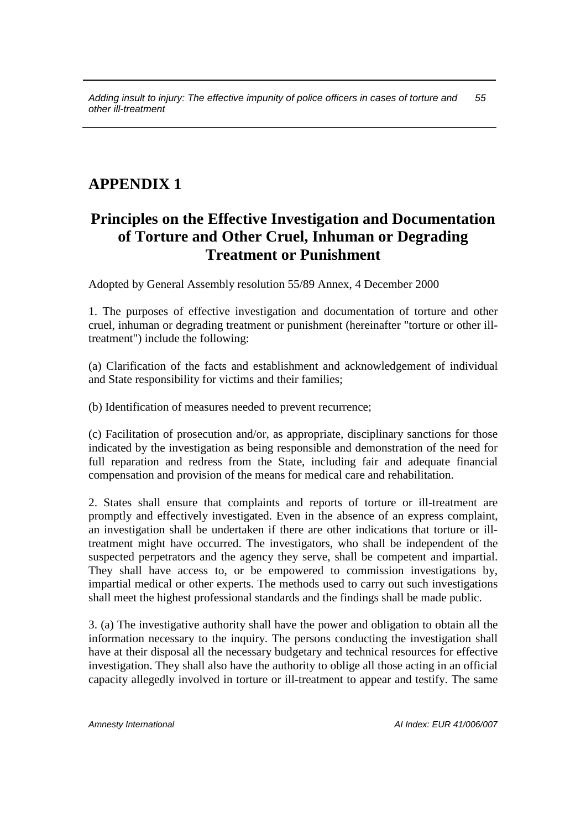# **APPENDIX 1**

# **Principles on the Effective Investigation and Documentation of Torture and Other Cruel, Inhuman or Degrading Treatment or Punishment**

Adopted by General Assembly resolution 55/89 Annex, 4 December 2000

1. The purposes of effective investigation and documentation of torture and other cruel, inhuman or degrading treatment or punishment (hereinafter "torture or other illtreatment") include the following:

(a) Clarification of the facts and establishment and acknowledgement of individual and State responsibility for victims and their families;

(b) Identification of measures needed to prevent recurrence;

(c) Facilitation of prosecution and/or, as appropriate, disciplinary sanctions for those indicated by the investigation as being responsible and demonstration of the need for full reparation and redress from the State, including fair and adequate financial compensation and provision of the means for medical care and rehabilitation.

2. States shall ensure that complaints and reports of torture or ill-treatment are promptly and effectively investigated. Even in the absence of an express complaint, an investigation shall be undertaken if there are other indications that torture or illtreatment might have occurred. The investigators, who shall be independent of the suspected perpetrators and the agency they serve, shall be competent and impartial. They shall have access to, or be empowered to commission investigations by, impartial medical or other experts. The methods used to carry out such investigations shall meet the highest professional standards and the findings shall be made public.

3. (a) The investigative authority shall have the power and obligation to obtain all the information necessary to the inquiry. The persons conducting the investigation shall have at their disposal all the necessary budgetary and technical resources for effective investigation. They shall also have the authority to oblige all those acting in an official capacity allegedly involved in torture or ill-treatment to appear and testify. The same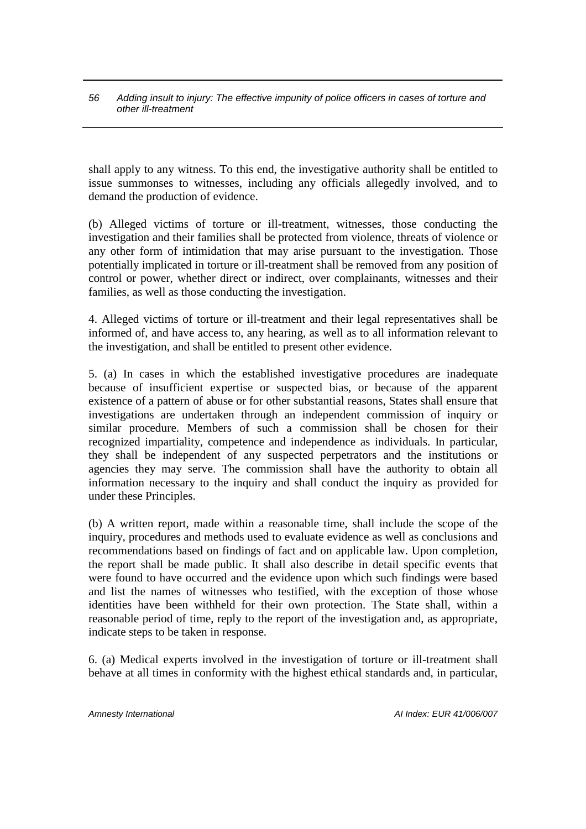shall apply to any witness. To this end, the investigative authority shall be entitled to issue summonses to witnesses, including any officials allegedly involved, and to demand the production of evidence.

(b) Alleged victims of torture or ill-treatment, witnesses, those conducting the investigation and their families shall be protected from violence, threats of violence or any other form of intimidation that may arise pursuant to the investigation. Those potentially implicated in torture or ill-treatment shall be removed from any position of control or power, whether direct or indirect, over complainants, witnesses and their families, as well as those conducting the investigation.

4. Alleged victims of torture or ill-treatment and their legal representatives shall be informed of, and have access to, any hearing, as well as to all information relevant to the investigation, and shall be entitled to present other evidence.

5. (a) In cases in which the established investigative procedures are inadequate because of insufficient expertise or suspected bias, or because of the apparent existence of a pattern of abuse or for other substantial reasons, States shall ensure that investigations are undertaken through an independent commission of inquiry or similar procedure. Members of such a commission shall be chosen for their recognized impartiality, competence and independence as individuals. In particular, they shall be independent of any suspected perpetrators and the institutions or agencies they may serve. The commission shall have the authority to obtain all information necessary to the inquiry and shall conduct the inquiry as provided for under these Principles.

(b) A written report, made within a reasonable time, shall include the scope of the inquiry, procedures and methods used to evaluate evidence as well as conclusions and recommendations based on findings of fact and on applicable law. Upon completion, the report shall be made public. It shall also describe in detail specific events that were found to have occurred and the evidence upon which such findings were based and list the names of witnesses who testified, with the exception of those whose identities have been withheld for their own protection. The State shall, within a reasonable period of time, reply to the report of the investigation and, as appropriate, indicate steps to be taken in response.

6. (a) Medical experts involved in the investigation of torture or ill-treatment shall behave at all times in conformity with the highest ethical standards and, in particular,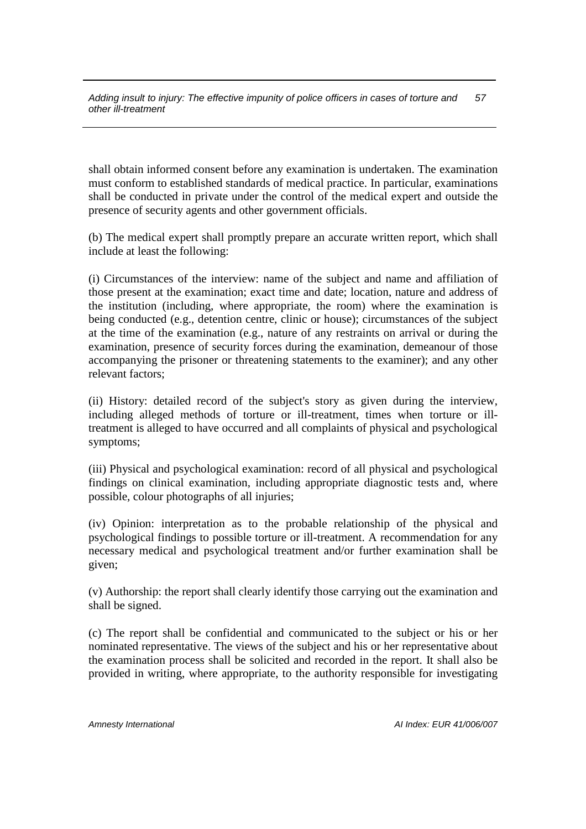shall obtain informed consent before any examination is undertaken. The examination must conform to established standards of medical practice. In particular, examinations shall be conducted in private under the control of the medical expert and outside the presence of security agents and other government officials.

(b) The medical expert shall promptly prepare an accurate written report, which shall include at least the following:

(i) Circumstances of the interview: name of the subject and name and affiliation of those present at the examination; exact time and date; location, nature and address of the institution (including, where appropriate, the room) where the examination is being conducted (e.g., detention centre, clinic or house); circumstances of the subject at the time of the examination (e.g., nature of any restraints on arrival or during the examination, presence of security forces during the examination, demeanour of those accompanying the prisoner or threatening statements to the examiner); and any other relevant factors;

(ii) History: detailed record of the subject's story as given during the interview, including alleged methods of torture or ill-treatment, times when torture or illtreatment is alleged to have occurred and all complaints of physical and psychological symptoms;

(iii) Physical and psychological examination: record of all physical and psychological findings on clinical examination, including appropriate diagnostic tests and, where possible, colour photographs of all injuries;

(iv) Opinion: interpretation as to the probable relationship of the physical and psychological findings to possible torture or ill-treatment. A recommendation for any necessary medical and psychological treatment and/or further examination shall be given;

(v) Authorship: the report shall clearly identify those carrying out the examination and shall be signed.

(c) The report shall be confidential and communicated to the subject or his or her nominated representative. The views of the subject and his or her representative about the examination process shall be solicited and recorded in the report. It shall also be provided in writing, where appropriate, to the authority responsible for investigating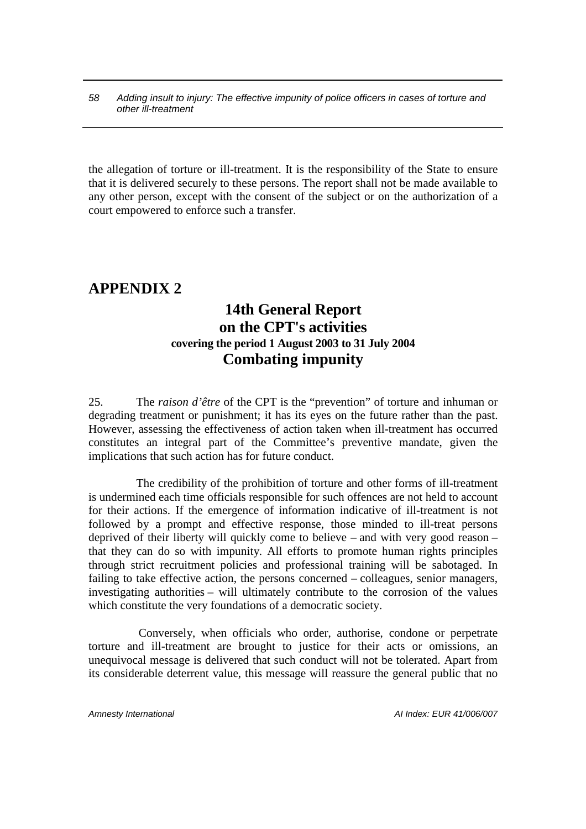the allegation of torture or ill-treatment. It is the responsibility of the State to ensure that it is delivered securely to these persons. The report shall not be made available to any other person, except with the consent of the subject or on the authorization of a court empowered to enforce such a transfer.

# **APPENDIX 2**

# **14th General Report on the CPT's activities covering the period 1 August 2003 to 31 July 2004 Combating impunity**

25. The *raison d'être* of the CPT is the "prevention" of torture and inhuman or degrading treatment or punishment; it has its eyes on the future rather than the past. However, assessing the effectiveness of action taken when ill-treatment has occurred constitutes an integral part of the Committee's preventive mandate, given the implications that such action has for future conduct.

 The credibility of the prohibition of torture and other forms of ill-treatment is undermined each time officials responsible for such offences are not held to account for their actions. If the emergence of information indicative of ill-treatment is not followed by a prompt and effective response, those minded to ill-treat persons deprived of their liberty will quickly come to believe – and with very good reason – that they can do so with impunity. All efforts to promote human rights principles through strict recruitment policies and professional training will be sabotaged. In failing to take effective action, the persons concerned – colleagues, senior managers, investigating authorities – will ultimately contribute to the corrosion of the values which constitute the very foundations of a democratic society.

 Conversely, when officials who order, authorise, condone or perpetrate torture and ill-treatment are brought to justice for their acts or omissions, an unequivocal message is delivered that such conduct will not be tolerated. Apart from its considerable deterrent value, this message will reassure the general public that no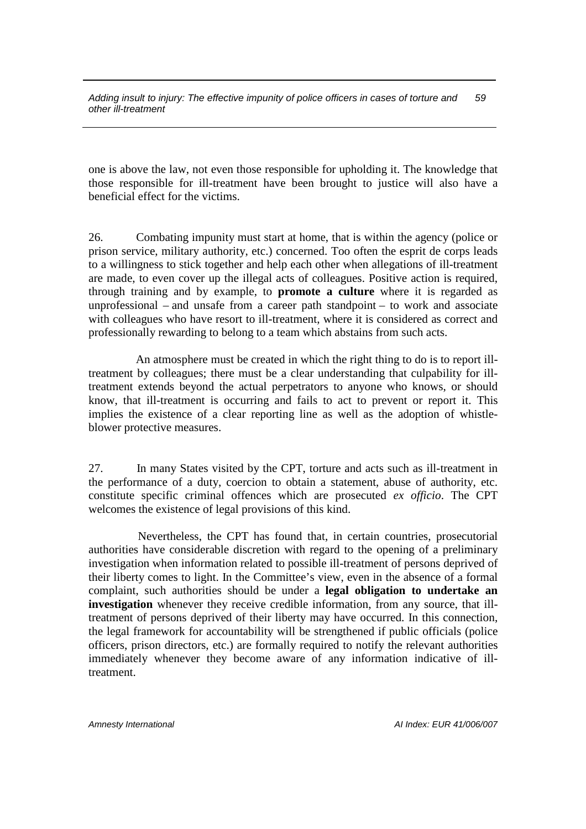one is above the law, not even those responsible for upholding it. The knowledge that those responsible for ill-treatment have been brought to justice will also have a beneficial effect for the victims.

26. Combating impunity must start at home, that is within the agency (police or prison service, military authority, etc.) concerned. Too often the esprit de corps leads to a willingness to stick together and help each other when allegations of ill-treatment are made, to even cover up the illegal acts of colleagues. Positive action is required, through training and by example, to **promote a culture** where it is regarded as unprofessional – and unsafe from a career path standpoint – to work and associate with colleagues who have resort to ill-treatment, where it is considered as correct and professionally rewarding to belong to a team which abstains from such acts.

 An atmosphere must be created in which the right thing to do is to report illtreatment by colleagues; there must be a clear understanding that culpability for illtreatment extends beyond the actual perpetrators to anyone who knows, or should know, that ill-treatment is occurring and fails to act to prevent or report it. This implies the existence of a clear reporting line as well as the adoption of whistleblower protective measures.

27. In many States visited by the CPT, torture and acts such as ill-treatment in the performance of a duty, coercion to obtain a statement, abuse of authority, etc. constitute specific criminal offences which are prosecuted *ex officio*. The CPT welcomes the existence of legal provisions of this kind.

 Nevertheless, the CPT has found that, in certain countries, prosecutorial authorities have considerable discretion with regard to the opening of a preliminary investigation when information related to possible ill-treatment of persons deprived of their liberty comes to light. In the Committee's view, even in the absence of a formal complaint, such authorities should be under a **legal obligation to undertake an investigation** whenever they receive credible information, from any source, that illtreatment of persons deprived of their liberty may have occurred. In this connection, the legal framework for accountability will be strengthened if public officials (police officers, prison directors, etc.) are formally required to notify the relevant authorities immediately whenever they become aware of any information indicative of illtreatment.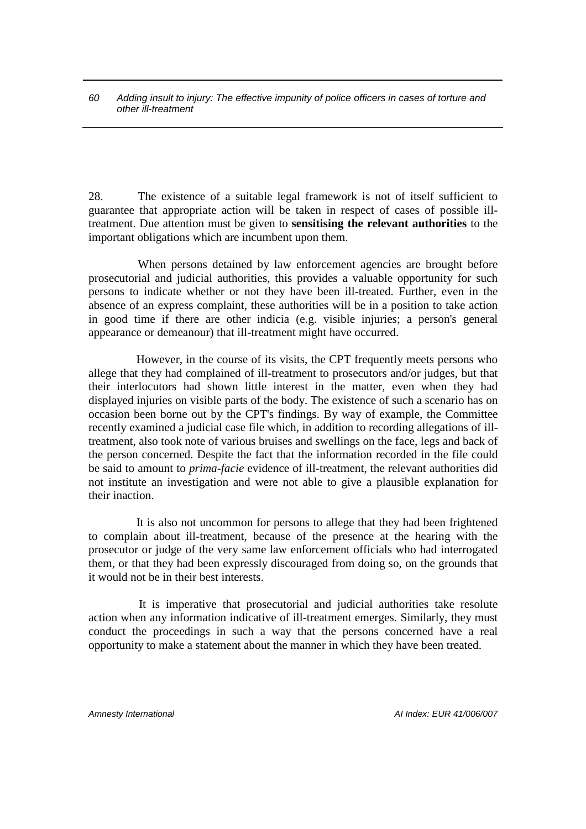28. The existence of a suitable legal framework is not of itself sufficient to guarantee that appropriate action will be taken in respect of cases of possible illtreatment. Due attention must be given to **sensitising the relevant authorities** to the important obligations which are incumbent upon them.

 When persons detained by law enforcement agencies are brought before prosecutorial and judicial authorities, this provides a valuable opportunity for such persons to indicate whether or not they have been ill-treated. Further, even in the absence of an express complaint, these authorities will be in a position to take action in good time if there are other indicia (e.g. visible injuries; a person's general appearance or demeanour) that ill-treatment might have occurred.

 However, in the course of its visits, the CPT frequently meets persons who allege that they had complained of ill-treatment to prosecutors and/or judges, but that their interlocutors had shown little interest in the matter, even when they had displayed injuries on visible parts of the body. The existence of such a scenario has on occasion been borne out by the CPT's findings. By way of example, the Committee recently examined a judicial case file which, in addition to recording allegations of illtreatment, also took note of various bruises and swellings on the face, legs and back of the person concerned. Despite the fact that the information recorded in the file could be said to amount to *prima-facie* evidence of ill-treatment, the relevant authorities did not institute an investigation and were not able to give a plausible explanation for their inaction.

 It is also not uncommon for persons to allege that they had been frightened to complain about ill-treatment, because of the presence at the hearing with the prosecutor or judge of the very same law enforcement officials who had interrogated them, or that they had been expressly discouraged from doing so, on the grounds that it would not be in their best interests.

 It is imperative that prosecutorial and judicial authorities take resolute action when any information indicative of ill-treatment emerges. Similarly, they must conduct the proceedings in such a way that the persons concerned have a real opportunity to make a statement about the manner in which they have been treated.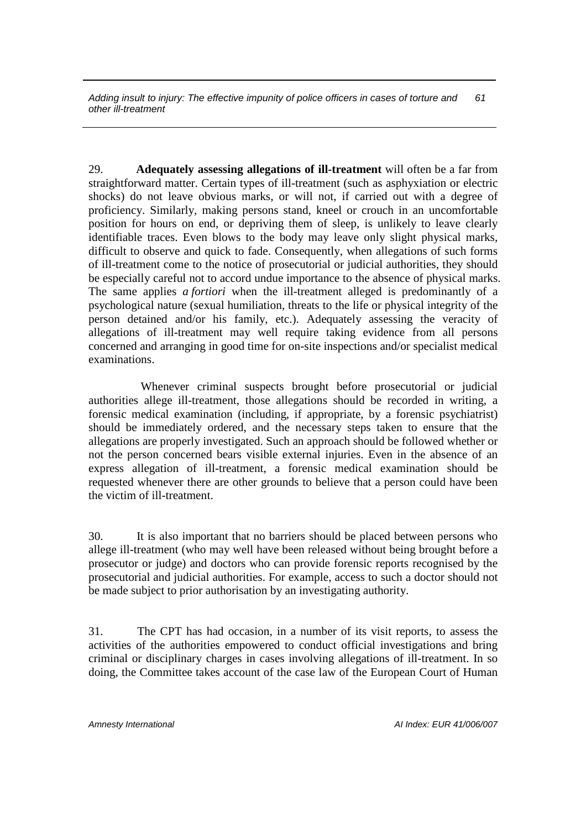29. **Adequately assessing allegations of ill-treatment** will often be a far from straightforward matter. Certain types of ill-treatment (such as asphyxiation or electric shocks) do not leave obvious marks, or will not, if carried out with a degree of proficiency. Similarly, making persons stand, kneel or crouch in an uncomfortable position for hours on end, or depriving them of sleep, is unlikely to leave clearly identifiable traces. Even blows to the body may leave only slight physical marks, difficult to observe and quick to fade. Consequently, when allegations of such forms of ill-treatment come to the notice of prosecutorial or judicial authorities, they should be especially careful not to accord undue importance to the absence of physical marks. The same applies *a fortiori* when the ill-treatment alleged is predominantly of a psychological nature (sexual humiliation, threats to the life or physical integrity of the person detained and/or his family, etc.). Adequately assessing the veracity of allegations of ill-treatment may well require taking evidence from all persons concerned and arranging in good time for on-site inspections and/or specialist medical examinations.

 Whenever criminal suspects brought before prosecutorial or judicial authorities allege ill-treatment, those allegations should be recorded in writing, a forensic medical examination (including, if appropriate, by a forensic psychiatrist) should be immediately ordered, and the necessary steps taken to ensure that the allegations are properly investigated. Such an approach should be followed whether or not the person concerned bears visible external injuries. Even in the absence of an express allegation of ill-treatment, a forensic medical examination should be requested whenever there are other grounds to believe that a person could have been the victim of ill-treatment.

30. It is also important that no barriers should be placed between persons who allege ill-treatment (who may well have been released without being brought before a prosecutor or judge) and doctors who can provide forensic reports recognised by the prosecutorial and judicial authorities. For example, access to such a doctor should not be made subject to prior authorisation by an investigating authority.

31. The CPT has had occasion, in a number of its visit reports, to assess the activities of the authorities empowered to conduct official investigations and bring criminal or disciplinary charges in cases involving allegations of ill-treatment. In so doing, the Committee takes account of the case law of the European Court of Human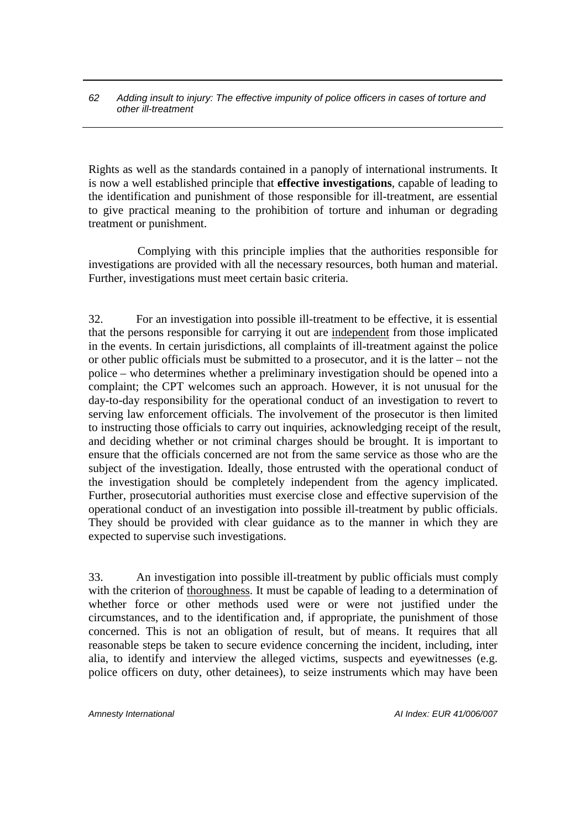Rights as well as the standards contained in a panoply of international instruments. It is now a well established principle that **effective investigations**, capable of leading to the identification and punishment of those responsible for ill-treatment, are essential to give practical meaning to the prohibition of torture and inhuman or degrading treatment or punishment.

 Complying with this principle implies that the authorities responsible for investigations are provided with all the necessary resources, both human and material. Further, investigations must meet certain basic criteria.

32. For an investigation into possible ill-treatment to be effective, it is essential that the persons responsible for carrying it out are independent from those implicated in the events. In certain jurisdictions, all complaints of ill-treatment against the police or other public officials must be submitted to a prosecutor, and it is the latter – not the police – who determines whether a preliminary investigation should be opened into a complaint; the CPT welcomes such an approach. However, it is not unusual for the day-to-day responsibility for the operational conduct of an investigation to revert to serving law enforcement officials. The involvement of the prosecutor is then limited to instructing those officials to carry out inquiries, acknowledging receipt of the result, and deciding whether or not criminal charges should be brought. It is important to ensure that the officials concerned are not from the same service as those who are the subject of the investigation. Ideally, those entrusted with the operational conduct of the investigation should be completely independent from the agency implicated. Further, prosecutorial authorities must exercise close and effective supervision of the operational conduct of an investigation into possible ill-treatment by public officials. They should be provided with clear guidance as to the manner in which they are expected to supervise such investigations.

33. An investigation into possible ill-treatment by public officials must comply with the criterion of thoroughness. It must be capable of leading to a determination of whether force or other methods used were or were not justified under the circumstances, and to the identification and, if appropriate, the punishment of those concerned. This is not an obligation of result, but of means. It requires that all reasonable steps be taken to secure evidence concerning the incident, including, inter alia, to identify and interview the alleged victims, suspects and eyewitnesses (e.g. police officers on duty, other detainees), to seize instruments which may have been

Amnesty International **All 2006/007** All 2006/007 All 2006/007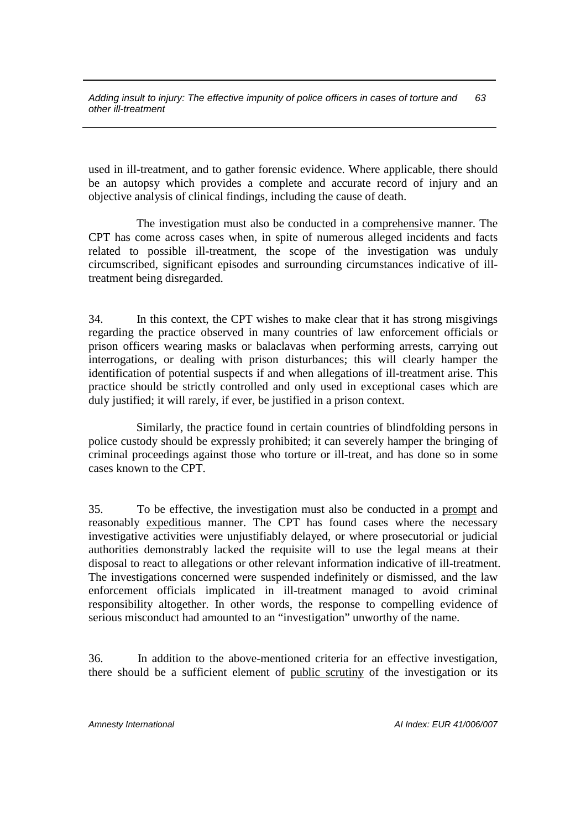used in ill-treatment, and to gather forensic evidence. Where applicable, there should be an autopsy which provides a complete and accurate record of injury and an objective analysis of clinical findings, including the cause of death.

 The investigation must also be conducted in a comprehensive manner. The CPT has come across cases when, in spite of numerous alleged incidents and facts related to possible ill-treatment, the scope of the investigation was unduly circumscribed, significant episodes and surrounding circumstances indicative of illtreatment being disregarded.

34. In this context, the CPT wishes to make clear that it has strong misgivings regarding the practice observed in many countries of law enforcement officials or prison officers wearing masks or balaclavas when performing arrests, carrying out interrogations, or dealing with prison disturbances; this will clearly hamper the identification of potential suspects if and when allegations of ill-treatment arise. This practice should be strictly controlled and only used in exceptional cases which are duly justified; it will rarely, if ever, be justified in a prison context.

 Similarly, the practice found in certain countries of blindfolding persons in police custody should be expressly prohibited; it can severely hamper the bringing of criminal proceedings against those who torture or ill-treat, and has done so in some cases known to the CPT.

35. To be effective, the investigation must also be conducted in a prompt and reasonably expeditious manner. The CPT has found cases where the necessary investigative activities were unjustifiably delayed, or where prosecutorial or judicial authorities demonstrably lacked the requisite will to use the legal means at their disposal to react to allegations or other relevant information indicative of ill-treatment. The investigations concerned were suspended indefinitely or dismissed, and the law enforcement officials implicated in ill-treatment managed to avoid criminal responsibility altogether. In other words, the response to compelling evidence of serious misconduct had amounted to an "investigation" unworthy of the name.

36. In addition to the above-mentioned criteria for an effective investigation, there should be a sufficient element of public scrutiny of the investigation or its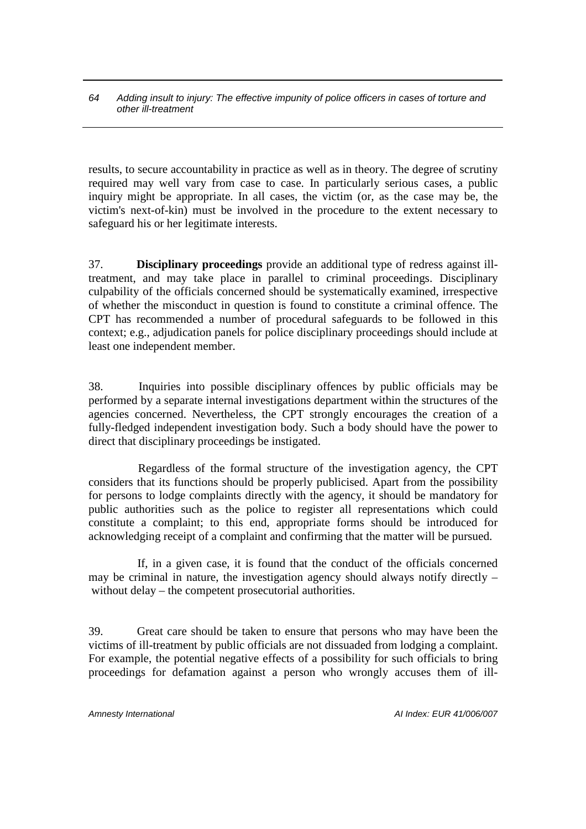results, to secure accountability in practice as well as in theory. The degree of scrutiny required may well vary from case to case. In particularly serious cases, a public inquiry might be appropriate. In all cases, the victim (or, as the case may be, the victim's next-of-kin) must be involved in the procedure to the extent necessary to safeguard his or her legitimate interests.

37. **Disciplinary proceedings** provide an additional type of redress against illtreatment, and may take place in parallel to criminal proceedings. Disciplinary culpability of the officials concerned should be systematically examined, irrespective of whether the misconduct in question is found to constitute a criminal offence. The CPT has recommended a number of procedural safeguards to be followed in this context; e.g., adjudication panels for police disciplinary proceedings should include at least one independent member.

38. Inquiries into possible disciplinary offences by public officials may be performed by a separate internal investigations department within the structures of the agencies concerned. Nevertheless, the CPT strongly encourages the creation of a fully-fledged independent investigation body. Such a body should have the power to direct that disciplinary proceedings be instigated.

 Regardless of the formal structure of the investigation agency, the CPT considers that its functions should be properly publicised. Apart from the possibility for persons to lodge complaints directly with the agency, it should be mandatory for public authorities such as the police to register all representations which could constitute a complaint; to this end, appropriate forms should be introduced for acknowledging receipt of a complaint and confirming that the matter will be pursued.

 If, in a given case, it is found that the conduct of the officials concerned may be criminal in nature, the investigation agency should always notify directly  $$ without delay – the competent prosecutorial authorities.

39. Great care should be taken to ensure that persons who may have been the victims of ill-treatment by public officials are not dissuaded from lodging a complaint. For example, the potential negative effects of a possibility for such officials to bring proceedings for defamation against a person who wrongly accuses them of ill-

Amnesty International **All and August 2008/007** All and AI Index: EUR 41/006/007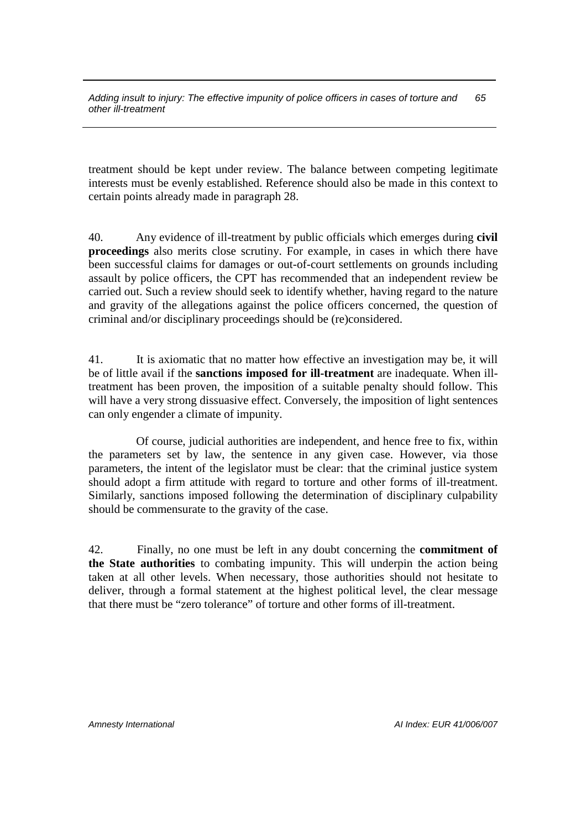treatment should be kept under review. The balance between competing legitimate interests must be evenly established. Reference should also be made in this context to certain points already made in paragraph 28.

40. Any evidence of ill-treatment by public officials which emerges during **civil proceedings** also merits close scrutiny. For example, in cases in which there have been successful claims for damages or out-of-court settlements on grounds including assault by police officers, the CPT has recommended that an independent review be carried out. Such a review should seek to identify whether, having regard to the nature and gravity of the allegations against the police officers concerned, the question of criminal and/or disciplinary proceedings should be (re)considered.

41. It is axiomatic that no matter how effective an investigation may be, it will be of little avail if the **sanctions imposed for ill-treatment** are inadequate. When illtreatment has been proven, the imposition of a suitable penalty should follow. This will have a very strong dissuasive effect. Conversely, the imposition of light sentences can only engender a climate of impunity.

 Of course, judicial authorities are independent, and hence free to fix, within the parameters set by law, the sentence in any given case. However, via those parameters, the intent of the legislator must be clear: that the criminal justice system should adopt a firm attitude with regard to torture and other forms of ill-treatment. Similarly, sanctions imposed following the determination of disciplinary culpability should be commensurate to the gravity of the case.

42. Finally, no one must be left in any doubt concerning the **commitment of the State authorities** to combating impunity. This will underpin the action being taken at all other levels. When necessary, those authorities should not hesitate to deliver, through a formal statement at the highest political level, the clear message that there must be "zero tolerance" of torture and other forms of ill-treatment.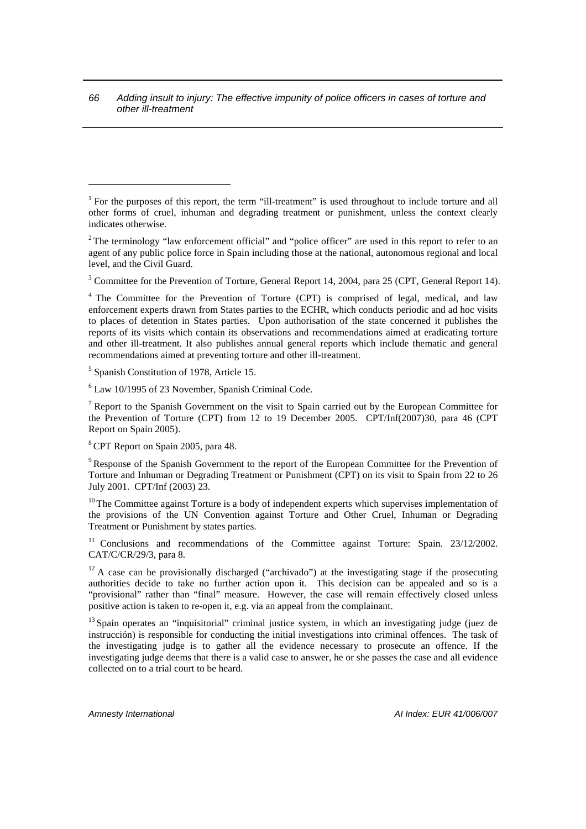<sup>3</sup> Committee for the Prevention of Torture, General Report 14, 2004, para 25 (CPT, General Report 14).

<sup>4</sup> The Committee for the Prevention of Torture (CPT) is comprised of legal, medical, and law enforcement experts drawn from States parties to the ECHR, which conducts periodic and ad hoc visits to places of detention in States parties. Upon authorisation of the state concerned it publishes the reports of its visits which contain its observations and recommendations aimed at eradicating torture and other ill-treatment. It also publishes annual general reports which include thematic and general recommendations aimed at preventing torture and other ill-treatment.

5 Spanish Constitution of 1978, Article 15.

 $\overline{a}$ 

<sup>6</sup> Law 10/1995 of 23 November, Spanish Criminal Code.

<sup>7</sup> Report to the Spanish Government on the visit to Spain carried out by the European Committee for the Prevention of Torture (CPT) from 12 to 19 December 2005. CPT/Inf(2007)30, para 46 (CPT Report on Spain 2005).

<sup>8</sup>CPT Report on Spain 2005, para 48.

<sup>9</sup>Response of the Spanish Government to the report of the European Committee for the Prevention of Torture and Inhuman or Degrading Treatment or Punishment (CPT) on its visit to Spain from 22 to 26 July 2001. CPT/Inf (2003) 23.

 $10$ The Committee against Torture is a body of independent experts which supervises implementation of the provisions of the UN Convention against Torture and Other Cruel, Inhuman or Degrading Treatment or Punishment by states parties.

<sup>11</sup> Conclusions and recommendations of the Committee against Torture: Spain. 23/12/2002. CAT/C/CR/29/3, para 8.

 $12$  A case can be provisionally discharged ("archivado") at the investigating stage if the prosecuting authorities decide to take no further action upon it. This decision can be appealed and so is a "provisional" rather than "final" measure. However, the case will remain effectively closed unless positive action is taken to re-open it, e.g. via an appeal from the complainant.

<sup>13</sup> Spain operates an "inquisitorial" criminal justice system, in which an investigating judge (juez de instrucción) is responsible for conducting the initial investigations into criminal offences. The task of the investigating judge is to gather all the evidence necessary to prosecute an offence. If the investigating judge deems that there is a valid case to answer, he or she passes the case and all evidence collected on to a trial court to be heard.

<sup>&</sup>lt;sup>1</sup> For the purposes of this report, the term "ill-treatment" is used throughout to include torture and all other forms of cruel, inhuman and degrading treatment or punishment, unless the context clearly indicates otherwise.

<sup>&</sup>lt;sup>2</sup>The terminology "law enforcement official" and "police officer" are used in this report to refer to an agent of any public police force in Spain including those at the national, autonomous regional and local level, and the Civil Guard.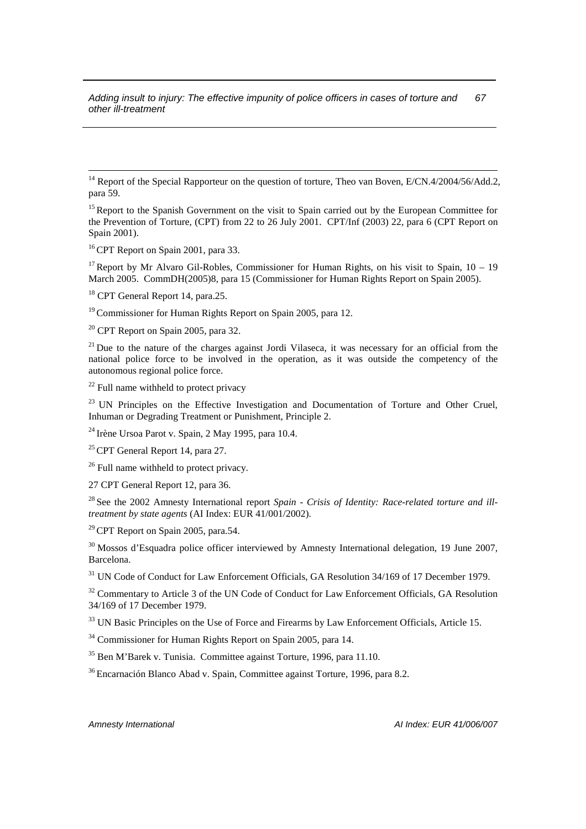$14$  Report of the Special Rapporteur on the question of torture, Theo van Boven, E/CN.4/2004/56/Add.2, para 59.

<sup>15</sup> Report to the Spanish Government on the visit to Spain carried out by the European Committee for the Prevention of Torture, (CPT) from 22 to 26 July 2001. CPT/Inf (2003) 22, para 6 (CPT Report on Spain 2001).

<sup>16</sup> CPT Report on Spain 2001, para 33.

 $\overline{a}$ 

<sup>17</sup> Report by Mr Alvaro Gil-Robles, Commissioner for Human Rights, on his visit to Spain,  $10 - 19$ March 2005. CommDH(2005)8, para 15 (Commissioner for Human Rights Report on Spain 2005).

<sup>18</sup> CPT General Report 14, para.25.

<sup>19</sup> Commissioner for Human Rights Report on Spain 2005, para 12.

 $20$  CPT Report on Spain 2005, para 32.

<sup>21</sup> Due to the nature of the charges against Jordi Vilaseca, it was necessary for an official from the national police force to be involved in the operation, as it was outside the competency of the autonomous regional police force.

 $22$  Full name withheld to protect privacy

<sup>23</sup> UN Principles on the Effective Investigation and Documentation of Torture and Other Cruel, Inhuman or Degrading Treatment or Punishment, Principle 2.

<sup>24</sup> Irène Ursoa Parot v. Spain, 2 May 1995, para 10.4.

<sup>25</sup> CPT General Report 14, para 27.

<sup>26</sup> Full name withheld to protect privacy.

27 CPT General Report 12, para 36.

<sup>28</sup> See the 2002 Amnesty International report Spain - Crisis of Identity: Race-related torture and ill*treatment by state agents* (AI Index: EUR 41/001/2002).

 $29$  CPT Report on Spain 2005, para.54.

<sup>30</sup> Mossos d'Esquadra police officer interviewed by Amnesty International delegation, 19 June 2007, Barcelona.

<sup>31</sup> UN Code of Conduct for Law Enforcement Officials, GA Resolution 34/169 of 17 December 1979.

<sup>32</sup> Commentary to Article 3 of the UN Code of Conduct for Law Enforcement Officials, GA Resolution 34/169 of 17 December 1979.

<sup>33</sup> UN Basic Principles on the Use of Force and Firearms by Law Enforcement Officials, Article 15.

<sup>34</sup> Commissioner for Human Rights Report on Spain 2005, para 14.

<sup>35</sup> Ben M'Barek v. Tunisia. Committee against Torture, 1996, para 11.10.

<sup>36</sup>Encarnación Blanco Abad v. Spain, Committee against Torture, 1996, para 8.2.

Amnesty International AI Index: EUR 41/006/007